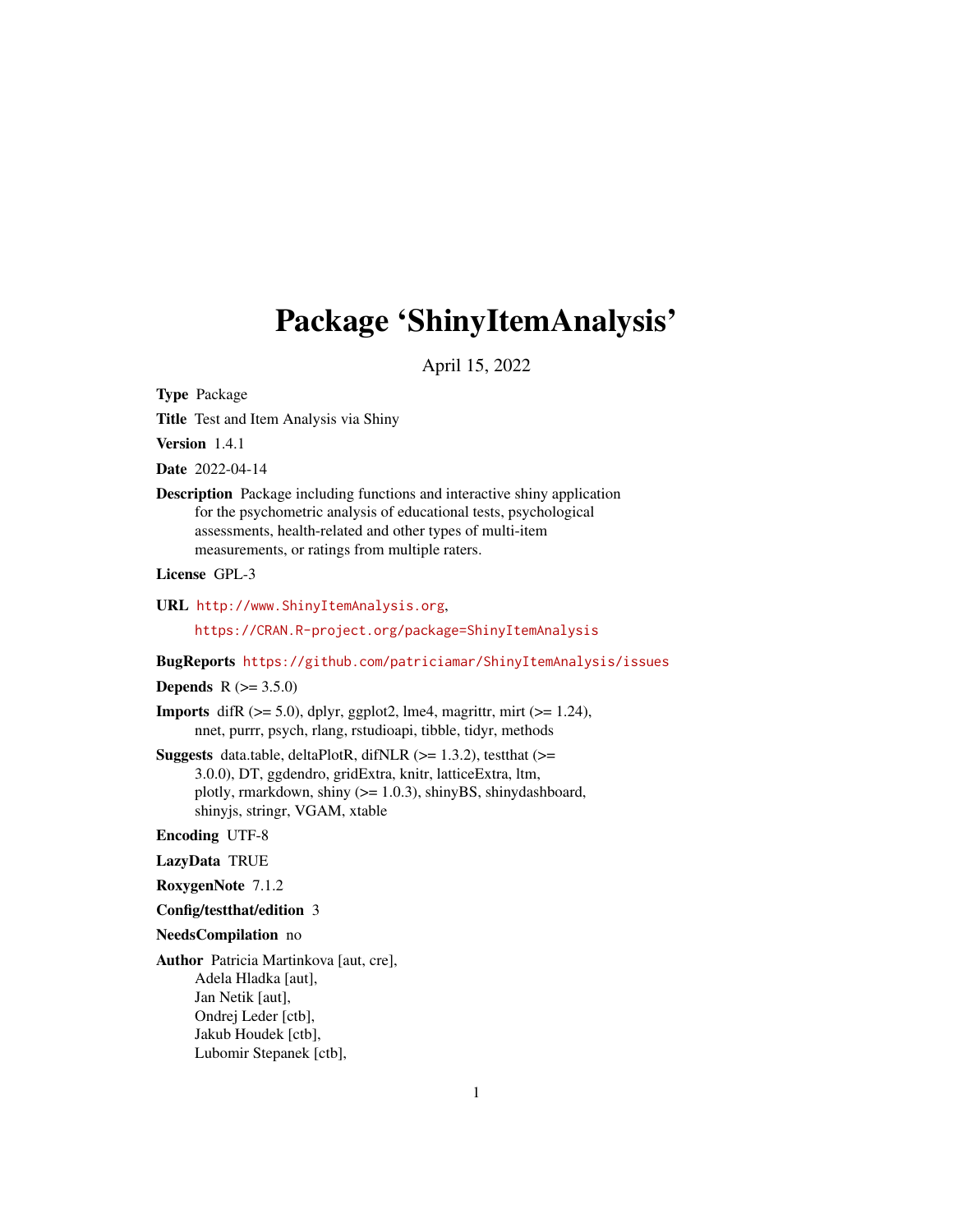# <span id="page-0-0"></span>Package 'ShinyItemAnalysis'

April 15, 2022

Type Package

Title Test and Item Analysis via Shiny

Version 1.4.1

Date 2022-04-14

Description Package including functions and interactive shiny application for the psychometric analysis of educational tests, psychological assessments, health-related and other types of multi-item measurements, or ratings from multiple raters.

License GPL-3

URL <http://www.ShinyItemAnalysis.org>,

<https://CRAN.R-project.org/package=ShinyItemAnalysis>

BugReports <https://github.com/patriciamar/ShinyItemAnalysis/issues>

**Depends** R  $(>= 3.5.0)$ 

- **Imports** difR  $(>= 5.0)$ , dplyr, ggplot2, lme4, magrittr, mirt  $(>= 1.24)$ , nnet, purrr, psych, rlang, rstudioapi, tibble, tidyr, methods
- **Suggests** data.table, deltaPlotR, difNLR  $(>= 1.3.2)$ , testthat  $(>= 1.3.2)$ 3.0.0), DT, ggdendro, gridExtra, knitr, latticeExtra, ltm, plotly, rmarkdown, shiny (>= 1.0.3), shinyBS, shinydashboard, shinyjs, stringr, VGAM, xtable

#### Encoding UTF-8

LazyData TRUE

RoxygenNote 7.1.2

Config/testthat/edition 3

#### NeedsCompilation no

Author Patricia Martinkova [aut, cre], Adela Hladka [aut], Jan Netik [aut], Ondrej Leder [ctb], Jakub Houdek [ctb], Lubomir Stepanek [ctb],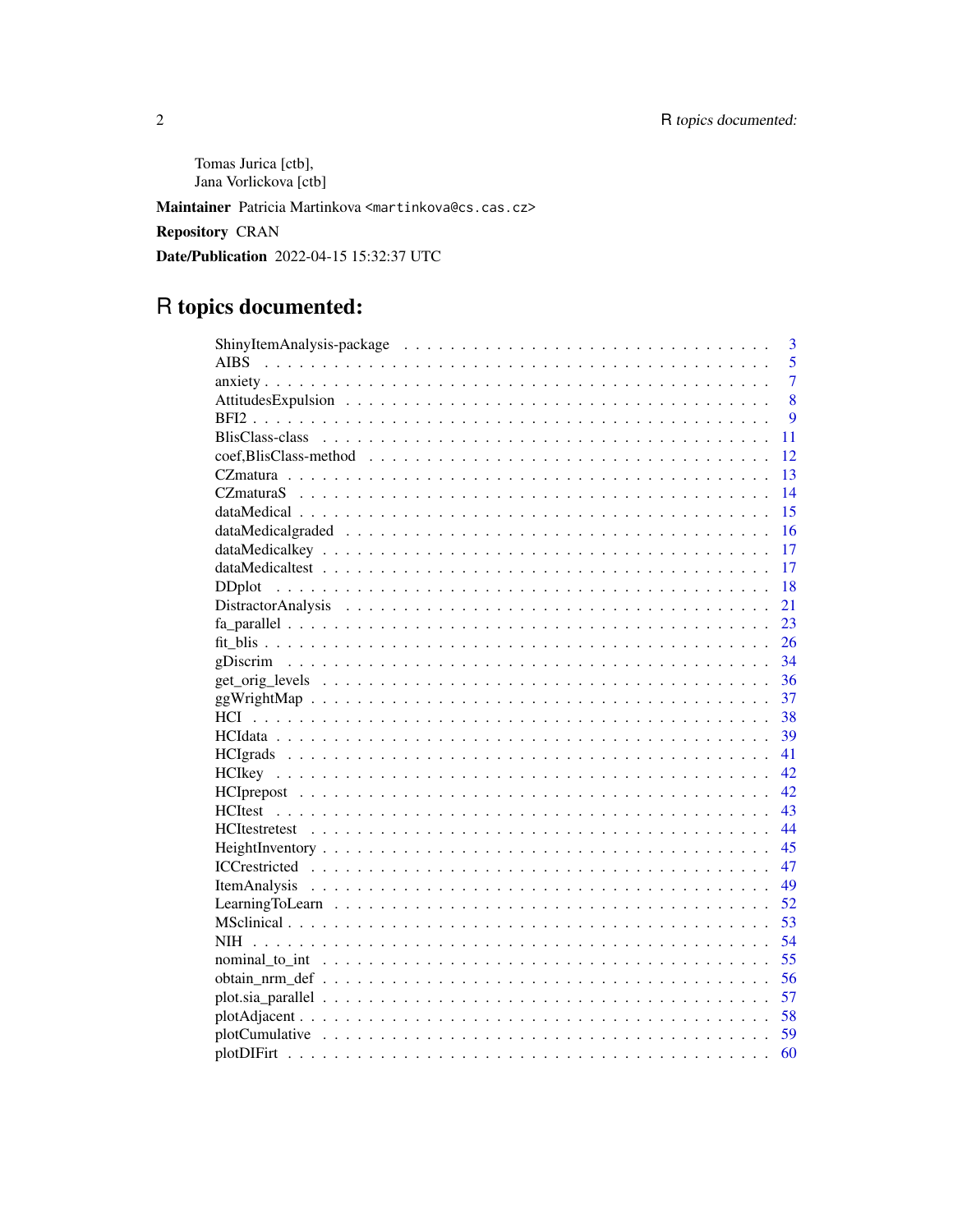Tomas Jurica [ctb], Jana Vorlickova [ctb]

Maintainer Patricia Martinkova <martinkova@cs.cas.cz>

**Repository CRAN** 

Date/Publication 2022-04-15 15:32:37 UTC

# R topics documented:

| 3                                                                                                                    |
|----------------------------------------------------------------------------------------------------------------------|
| 5<br><b>AIBS</b>                                                                                                     |
| 7                                                                                                                    |
| 8                                                                                                                    |
| 9                                                                                                                    |
| 11                                                                                                                   |
| 12                                                                                                                   |
| 13                                                                                                                   |
| 14                                                                                                                   |
| 15                                                                                                                   |
| 16                                                                                                                   |
| 17                                                                                                                   |
| 17                                                                                                                   |
| 18                                                                                                                   |
| Distractor Analysis (a) respectively and the contractor of the contractor and the contractor of the contractor<br>21 |
| 23                                                                                                                   |
| 26                                                                                                                   |
| 34                                                                                                                   |
| 36                                                                                                                   |
| 37                                                                                                                   |
| 38                                                                                                                   |
| 39                                                                                                                   |
| 41                                                                                                                   |
| 42                                                                                                                   |
| 42                                                                                                                   |
| 43                                                                                                                   |
| 44                                                                                                                   |
| 45                                                                                                                   |
| 47                                                                                                                   |
| 49                                                                                                                   |
| Learning To Learn $\ldots \ldots \ldots \ldots \ldots \ldots \ldots \ldots \ldots \ldots \ldots \ldots$<br>52        |
| 53                                                                                                                   |
| 54                                                                                                                   |
| 55                                                                                                                   |
| 56                                                                                                                   |
| 57                                                                                                                   |
| 58                                                                                                                   |
| 59                                                                                                                   |
| 60                                                                                                                   |

 $\overline{2}$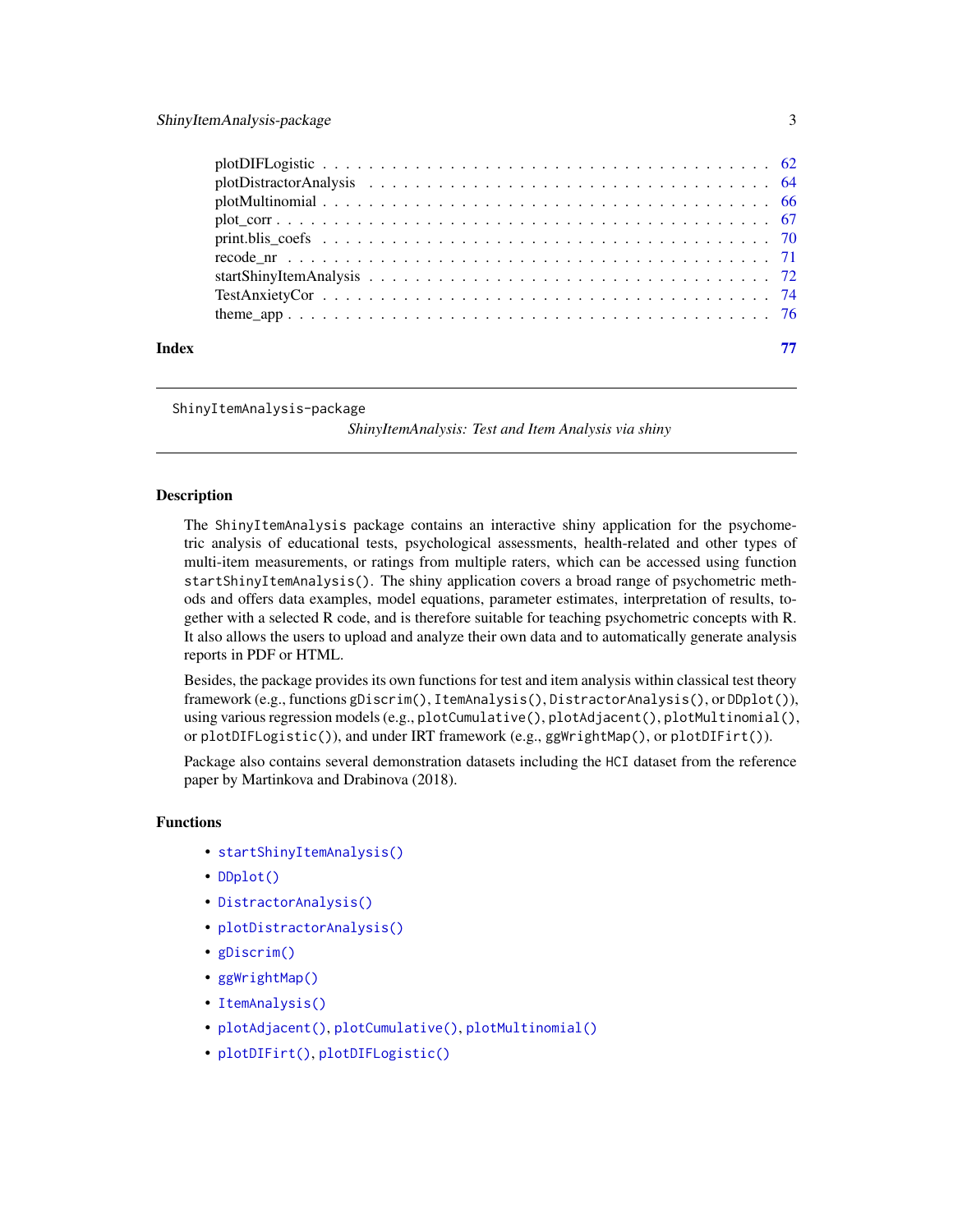<span id="page-2-0"></span>

| Index | 77 |
|-------|----|

ShinyItemAnalysis-package

*ShinyItemAnalysis: Test and Item Analysis via shiny*

## Description

The ShinyItemAnalysis package contains an interactive shiny application for the psychometric analysis of educational tests, psychological assessments, health-related and other types of multi-item measurements, or ratings from multiple raters, which can be accessed using function startShinyItemAnalysis(). The shiny application covers a broad range of psychometric methods and offers data examples, model equations, parameter estimates, interpretation of results, together with a selected R code, and is therefore suitable for teaching psychometric concepts with R. It also allows the users to upload and analyze their own data and to automatically generate analysis reports in PDF or HTML.

Besides, the package provides its own functions for test and item analysis within classical test theory framework (e.g., functions gDiscrim(), ItemAnalysis(), DistractorAnalysis(), or DDplot()), using various regression models (e.g., plotCumulative(), plotAdjacent(), plotMultinomial(), or plotDIFLogistic()), and under IRT framework (e.g., ggWrightMap(), or plotDIFirt()).

Package also contains several demonstration datasets including the HCI dataset from the reference paper by Martinkova and Drabinova (2018).

# Functions

- [startShinyItemAnalysis\(\)](#page-71-1)
- [DDplot\(\)](#page-17-1)
- [DistractorAnalysis\(\)](#page-20-1)
- [plotDistractorAnalysis\(\)](#page-63-1)
- [gDiscrim\(\)](#page-33-1)
- [ggWrightMap\(\)](#page-36-1)
- [ItemAnalysis\(\)](#page-48-1)
- [plotAdjacent\(\)](#page-57-1), [plotCumulative\(\)](#page-58-1), [plotMultinomial\(\)](#page-65-1)
- [plotDIFirt\(\)](#page-59-1), [plotDIFLogistic\(\)](#page-61-1)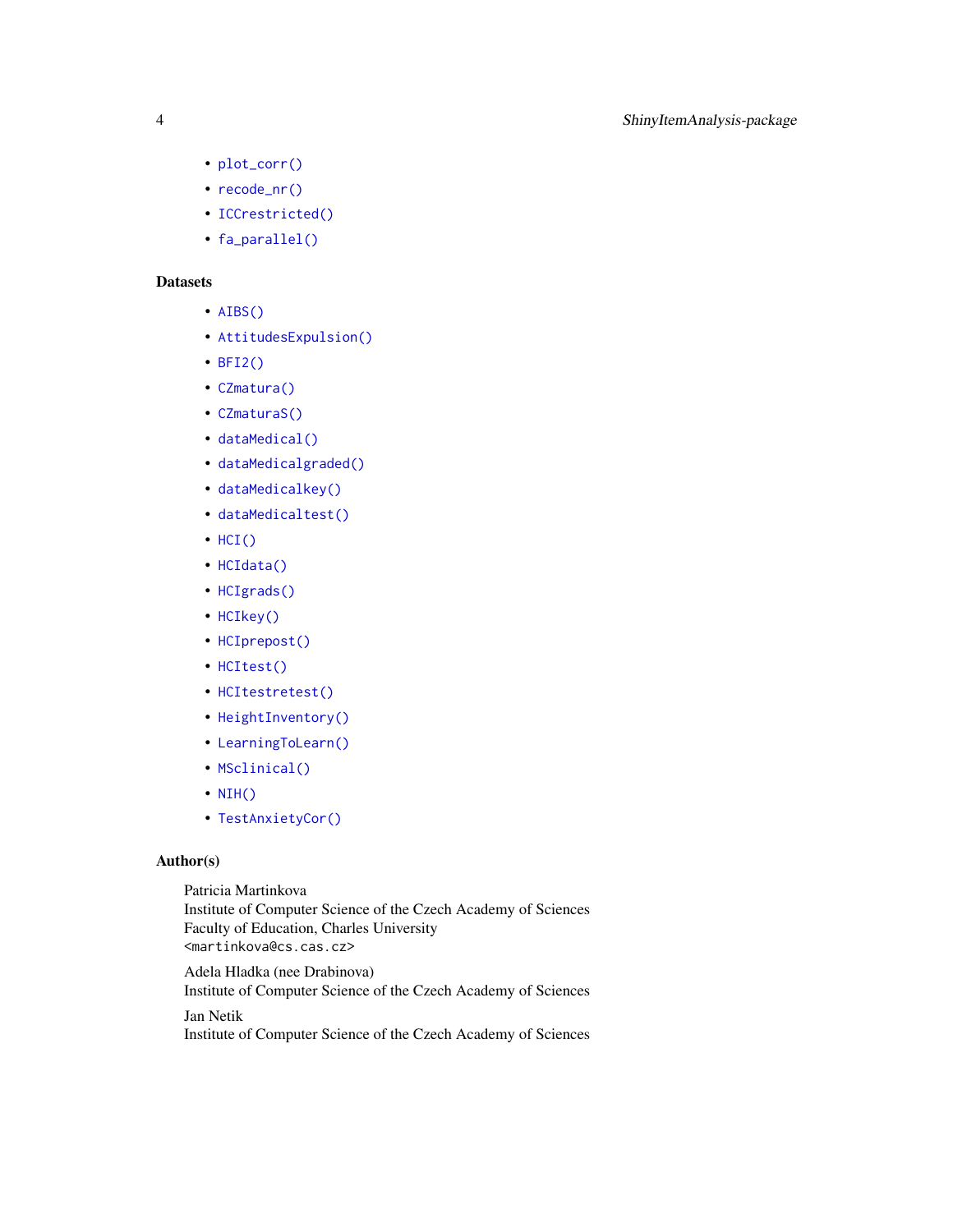- [plot\\_corr\(\)](#page-66-1)
- [recode\\_nr\(\)](#page-70-1)
- [ICCrestricted\(\)](#page-46-1)
- [fa\\_parallel\(\)](#page-22-1)

# **Datasets**

- [AIBS\(\)](#page-4-1)
- [AttitudesExpulsion\(\)](#page-7-1)
- [BFI2\(\)](#page-8-1)
- [CZmatura\(\)](#page-12-1)
- [CZmaturaS\(\)](#page-13-1)
- [dataMedical\(\)](#page-14-1)
- [dataMedicalgraded\(\)](#page-15-1)
- [dataMedicalkey\(\)](#page-16-1)
- [dataMedicaltest\(\)](#page-16-2)
- [HCI\(\)](#page-37-1)
- [HCIdata\(\)](#page-38-1)
- [HCIgrads\(\)](#page-40-1)
- [HCIkey\(\)](#page-41-1)
- [HCIprepost\(\)](#page-41-2)
- [HCItest\(\)](#page-42-1)
- [HCItestretest\(\)](#page-43-1)
- [HeightInventory\(\)](#page-44-1)
- [LearningToLearn\(\)](#page-51-1)
- [MSclinical\(\)](#page-52-1)
- [NIH\(\)](#page-53-1)
- [TestAnxietyCor\(\)](#page-73-1)

# Author(s)

Patricia Martinkova Institute of Computer Science of the Czech Academy of Sciences Faculty of Education, Charles University <martinkova@cs.cas.cz>

Adela Hladka (nee Drabinova) Institute of Computer Science of the Czech Academy of Sciences Jan Netik

Institute of Computer Science of the Czech Academy of Sciences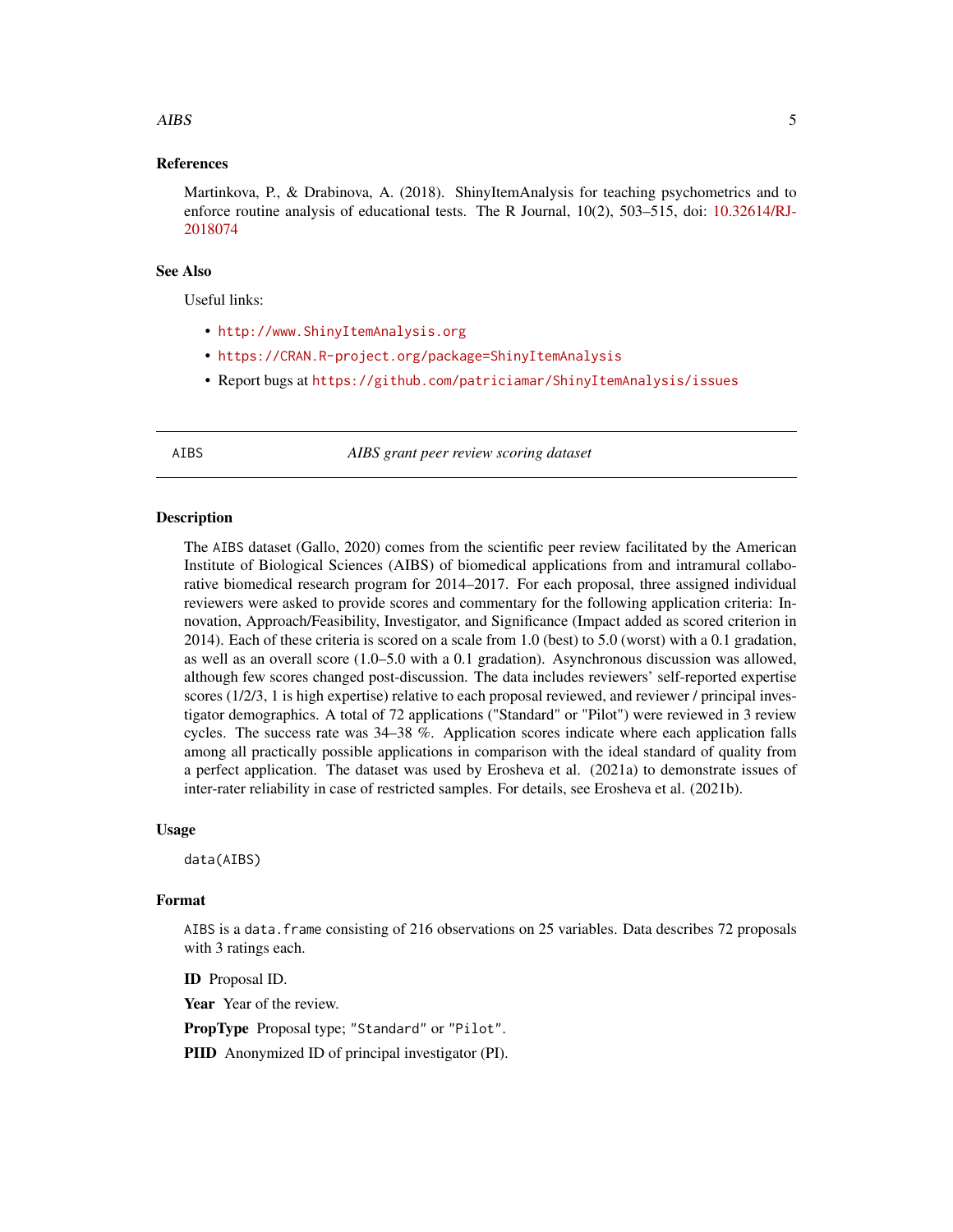#### <span id="page-4-0"></span>AIBS 5

# References

Martinkova, P., & Drabinova, A. (2018). ShinyItemAnalysis for teaching psychometrics and to enforce routine analysis of educational tests. The R Journal, 10(2), 503–515, doi: [10.32614/RJ-](https://doi.org/10.32614/RJ-2018-074)[2018074](https://doi.org/10.32614/RJ-2018-074)

# See Also

Useful links:

- <http://www.ShinyItemAnalysis.org>
- <https://CRAN.R-project.org/package=ShinyItemAnalysis>
- Report bugs at <https://github.com/patriciamar/ShinyItemAnalysis/issues>

<span id="page-4-1"></span>AIBS *AIBS grant peer review scoring dataset*

# **Description**

The AIBS dataset (Gallo, 2020) comes from the scientific peer review facilitated by the American Institute of Biological Sciences (AIBS) of biomedical applications from and intramural collaborative biomedical research program for 2014–2017. For each proposal, three assigned individual reviewers were asked to provide scores and commentary for the following application criteria: Innovation, Approach/Feasibility, Investigator, and Significance (Impact added as scored criterion in 2014). Each of these criteria is scored on a scale from 1.0 (best) to 5.0 (worst) with a 0.1 gradation, as well as an overall score (1.0–5.0 with a 0.1 gradation). Asynchronous discussion was allowed, although few scores changed post-discussion. The data includes reviewers' self-reported expertise scores (1/2/3, 1 is high expertise) relative to each proposal reviewed, and reviewer / principal investigator demographics. A total of 72 applications ("Standard" or "Pilot") were reviewed in 3 review cycles. The success rate was 34–38 %. Application scores indicate where each application falls among all practically possible applications in comparison with the ideal standard of quality from a perfect application. The dataset was used by Erosheva et al. (2021a) to demonstrate issues of inter-rater reliability in case of restricted samples. For details, see Erosheva et al. (2021b).

## Usage

data(AIBS)

# Format

AIBS is a data.frame consisting of 216 observations on 25 variables. Data describes 72 proposals with 3 ratings each.

ID Proposal ID.

Year Year of the review.

PropType Proposal type; "Standard" or "Pilot".

PIID Anonymized ID of principal investigator (PI).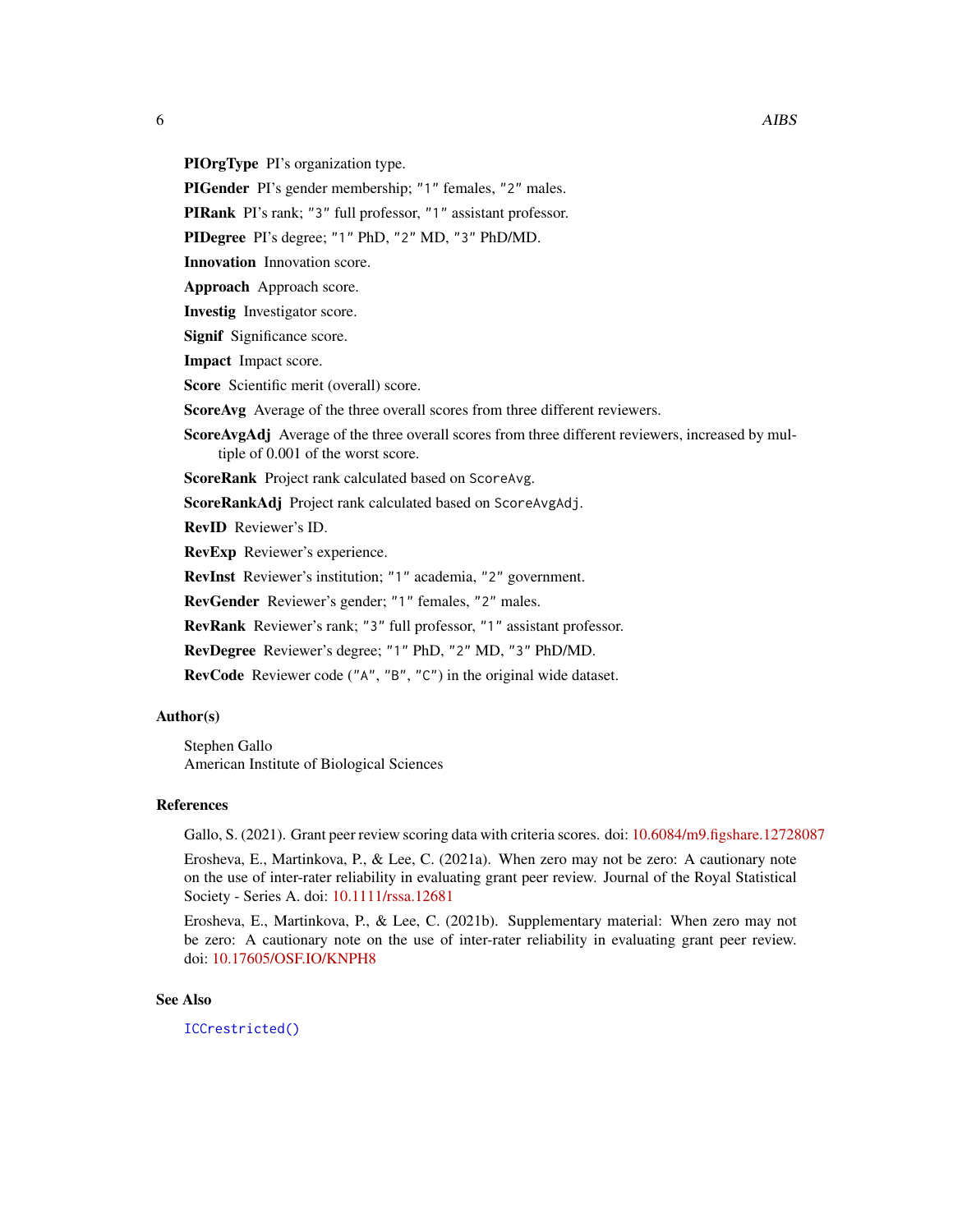PIOrgType PI's organization type.

PIGender PI's gender membership; "1" females, "2" males.

PIRank PI's rank; "3" full professor, "1" assistant professor.

PIDegree PI's degree; "1" PhD, "2" MD, "3" PhD/MD.

Innovation Innovation score.

Approach Approach score.

Investig Investigator score.

Signif Significance score.

Impact Impact score.

Score Scientific merit (overall) score.

ScoreAvg Average of the three overall scores from three different reviewers.

ScoreAvgAdj Average of the three overall scores from three different reviewers, increased by multiple of 0.001 of the worst score.

ScoreRank Project rank calculated based on ScoreAvg.

ScoreRankAdj Project rank calculated based on ScoreAvgAdj.

RevID Reviewer's ID.

RevExp Reviewer's experience.

RevInst Reviewer's institution; "1" academia, "2" government.

RevGender Reviewer's gender; "1" females, "2" males.

RevRank Reviewer's rank; "3" full professor, "1" assistant professor.

RevDegree Reviewer's degree; "1" PhD, "2" MD, "3" PhD/MD.

RevCode Reviewer code ("A", "B", "C") in the original wide dataset.

# Author(s)

Stephen Gallo American Institute of Biological Sciences

# References

Gallo, S. (2021). Grant peer review scoring data with criteria scores. doi: [10.6084/m9.figshare.12728087](https://doi.org/10.6084/m9.figshare.12728087)

Erosheva, E., Martinkova, P., & Lee, C. (2021a). When zero may not be zero: A cautionary note on the use of inter-rater reliability in evaluating grant peer review. Journal of the Royal Statistical Society - Series A. doi: [10.1111/rssa.12681](https://doi.org/10.1111/rssa.12681)

Erosheva, E., Martinkova, P., & Lee, C. (2021b). Supplementary material: When zero may not be zero: A cautionary note on the use of inter-rater reliability in evaluating grant peer review. doi: [10.17605/OSF.IO/KNPH8](https://doi.org/10.17605/OSF.IO/KNPH8)

# See Also

[ICCrestricted\(\)](#page-46-1)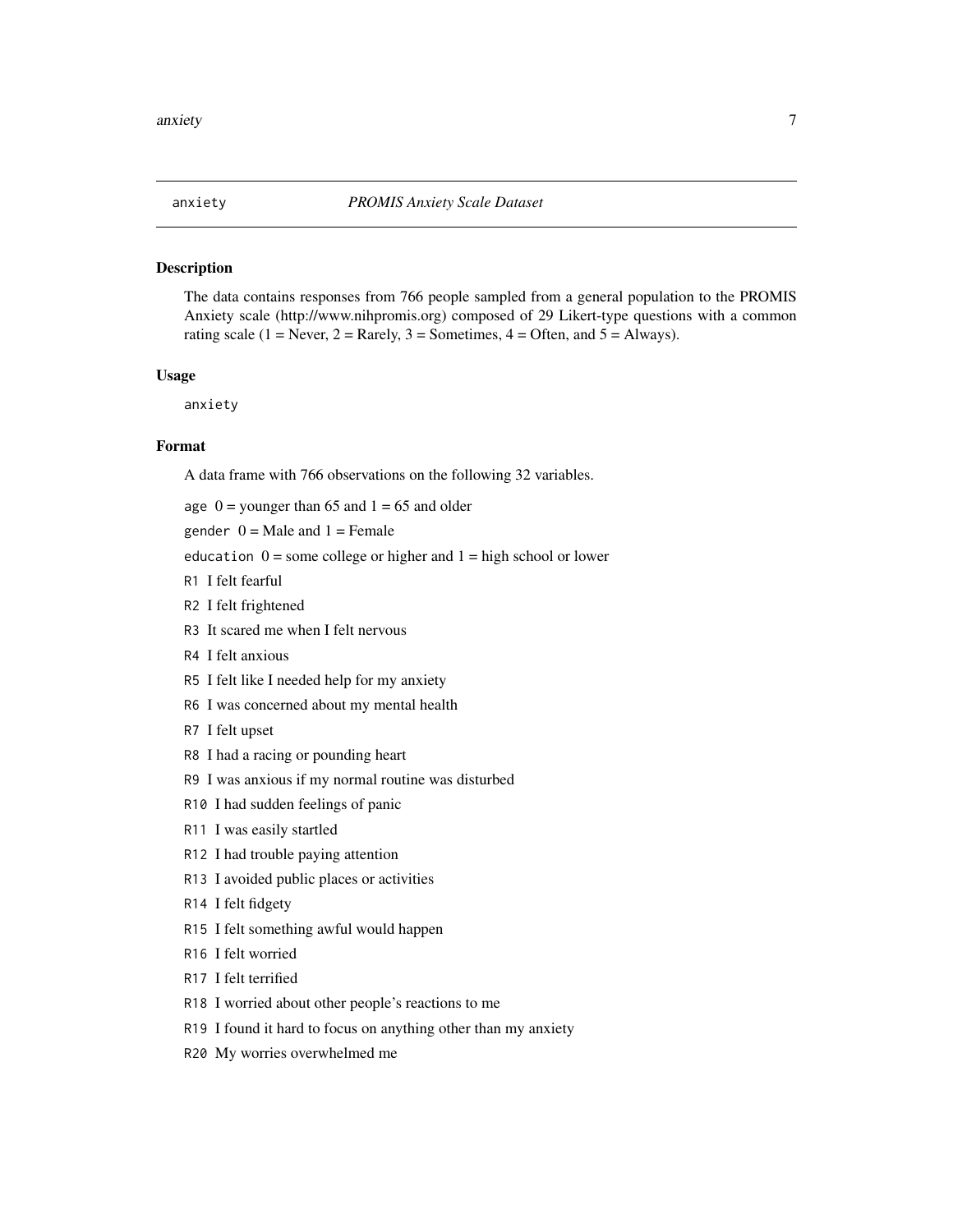<span id="page-6-0"></span>

The data contains responses from 766 people sampled from a general population to the PROMIS Anxiety scale (http://www.nihpromis.org) composed of 29 Likert-type questions with a common rating scale (1 = Never, 2 = Rarely, 3 = Sometimes, 4 = Often, and 5 = Always).

# Usage

anxiety

# Format

A data frame with 766 observations on the following 32 variables.

age  $0 =$ younger than 65 and  $1 = 65$  and older

gender  $0 =$  Male and  $1 =$  Female

education  $0 =$  some college or higher and  $1 =$  high school or lower

- R1 I felt fearful
- R2 I felt frightened
- R3 It scared me when I felt nervous
- R4 I felt anxious
- R5 I felt like I needed help for my anxiety
- R6 I was concerned about my mental health
- R7 I felt upset
- R8 I had a racing or pounding heart
- R9 I was anxious if my normal routine was disturbed
- R10 I had sudden feelings of panic
- R11 I was easily startled
- R12 I had trouble paying attention
- R13 I avoided public places or activities
- R14 I felt fidgety
- R15 I felt something awful would happen
- R16 I felt worried
- R17 I felt terrified
- R18 I worried about other people's reactions to me
- R19 I found it hard to focus on anything other than my anxiety
- R20 My worries overwhelmed me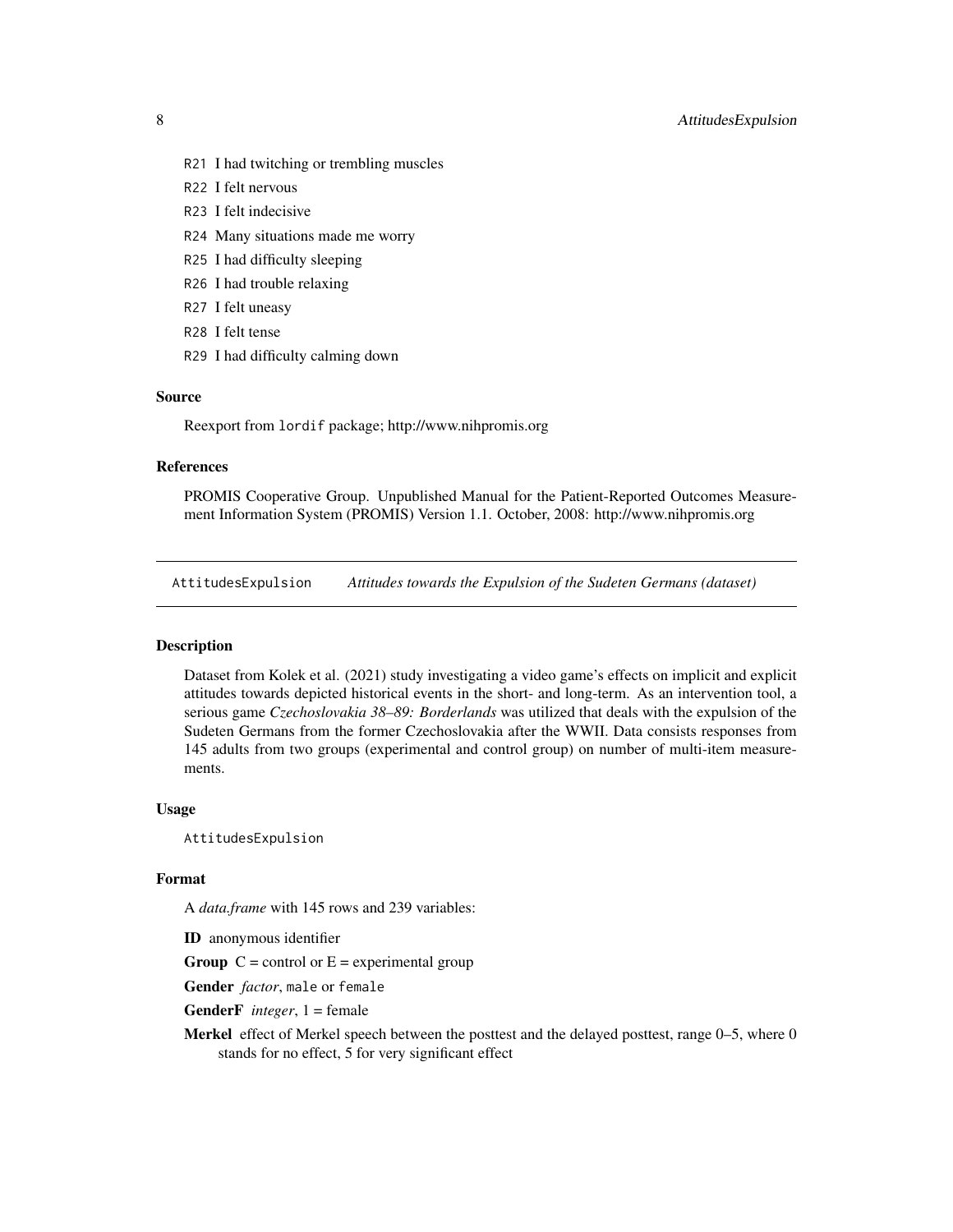- <span id="page-7-0"></span>R21 I had twitching or trembling muscles
- R22 I felt nervous
- R23 I felt indecisive
- R24 Many situations made me worry
- R25 I had difficulty sleeping
- R26 I had trouble relaxing
- R27 I felt uneasy
- R28 I felt tense
- R29 I had difficulty calming down

#### Source

Reexport from lordif package; http://www.nihpromis.org

#### References

PROMIS Cooperative Group. Unpublished Manual for the Patient-Reported Outcomes Measurement Information System (PROMIS) Version 1.1. October, 2008: http://www.nihpromis.org

<span id="page-7-1"></span>AttitudesExpulsion *Attitudes towards the Expulsion of the Sudeten Germans (dataset)*

# Description

Dataset from Kolek et al. (2021) study investigating a video game's effects on implicit and explicit attitudes towards depicted historical events in the short- and long-term. As an intervention tool, a serious game *Czechoslovakia 38–89: Borderlands* was utilized that deals with the expulsion of the Sudeten Germans from the former Czechoslovakia after the WWII. Data consists responses from 145 adults from two groups (experimental and control group) on number of multi-item measurements.

## Usage

AttitudesExpulsion

#### Format

A *data.frame* with 145 rows and 239 variables:

ID anonymous identifier

**Group**  $C =$  control or  $E =$  experimental group

Gender *factor*, male or female

GenderF *integer*, 1 = female

Merkel effect of Merkel speech between the posttest and the delayed posttest, range 0-5, where 0 stands for no effect, 5 for very significant effect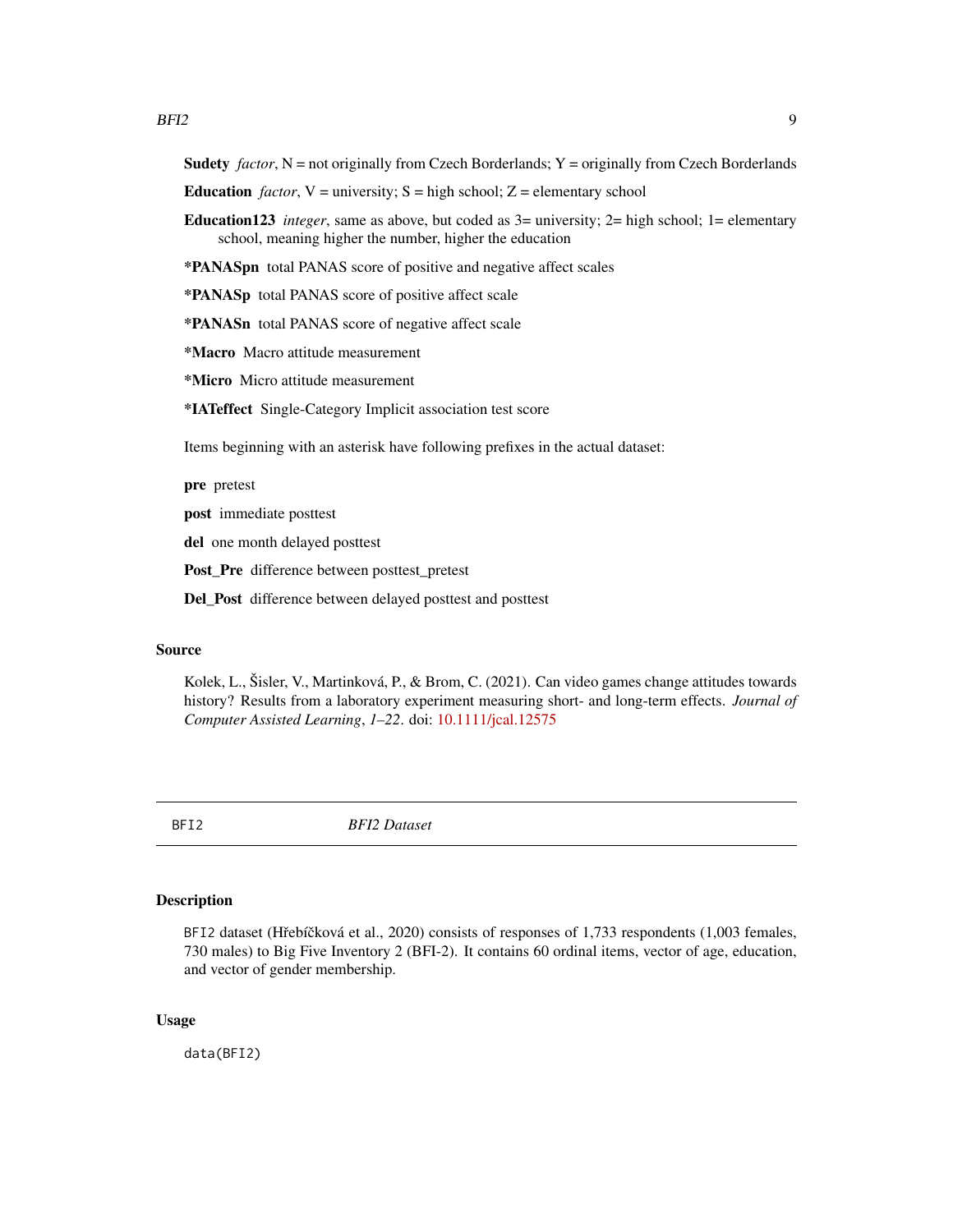<span id="page-8-0"></span>**Sudety** *factor*,  $N =$  not originally from Czech Borderlands;  $Y =$  originally from Czech Borderlands

- **Education** *factor*,  $V =$  university;  $S =$  high school;  $Z =$  elementary school
- **Education123** *integer*, same as above, but coded as  $3=$  university;  $2=$  high school; 1= elementary school, meaning higher the number, higher the education

\*PANASpn total PANAS score of positive and negative affect scales

\*PANASp total PANAS score of positive affect scale

\*PANASn total PANAS score of negative affect scale

\*Macro Macro attitude measurement

\*Micro Micro attitude measurement

\*IATeffect Single-Category Implicit association test score

Items beginning with an asterisk have following prefixes in the actual dataset:

pre pretest

post immediate posttest

del one month delayed posttest

Post\_Pre difference between posttest\_pretest

Del\_Post difference between delayed posttest and posttest

# Source

Kolek, L., Šisler, V., Martinková, P., & Brom, C. (2021). Can video games change attitudes towards history? Results from a laboratory experiment measuring short- and long-term effects. *Journal of Computer Assisted Learning*, *1–22*. doi: [10.1111/jcal.12575](https://doi.org/10.1111/jcal.12575)

<span id="page-8-1"></span>

BFI2 *BFI2 Dataset*

# **Description**

BFI2 dataset (Hřebíčková et al., 2020) consists of responses of 1,733 respondents (1,003 females, 730 males) to Big Five Inventory 2 (BFI-2). It contains 60 ordinal items, vector of age, education, and vector of gender membership.

#### Usage

data(BFI2)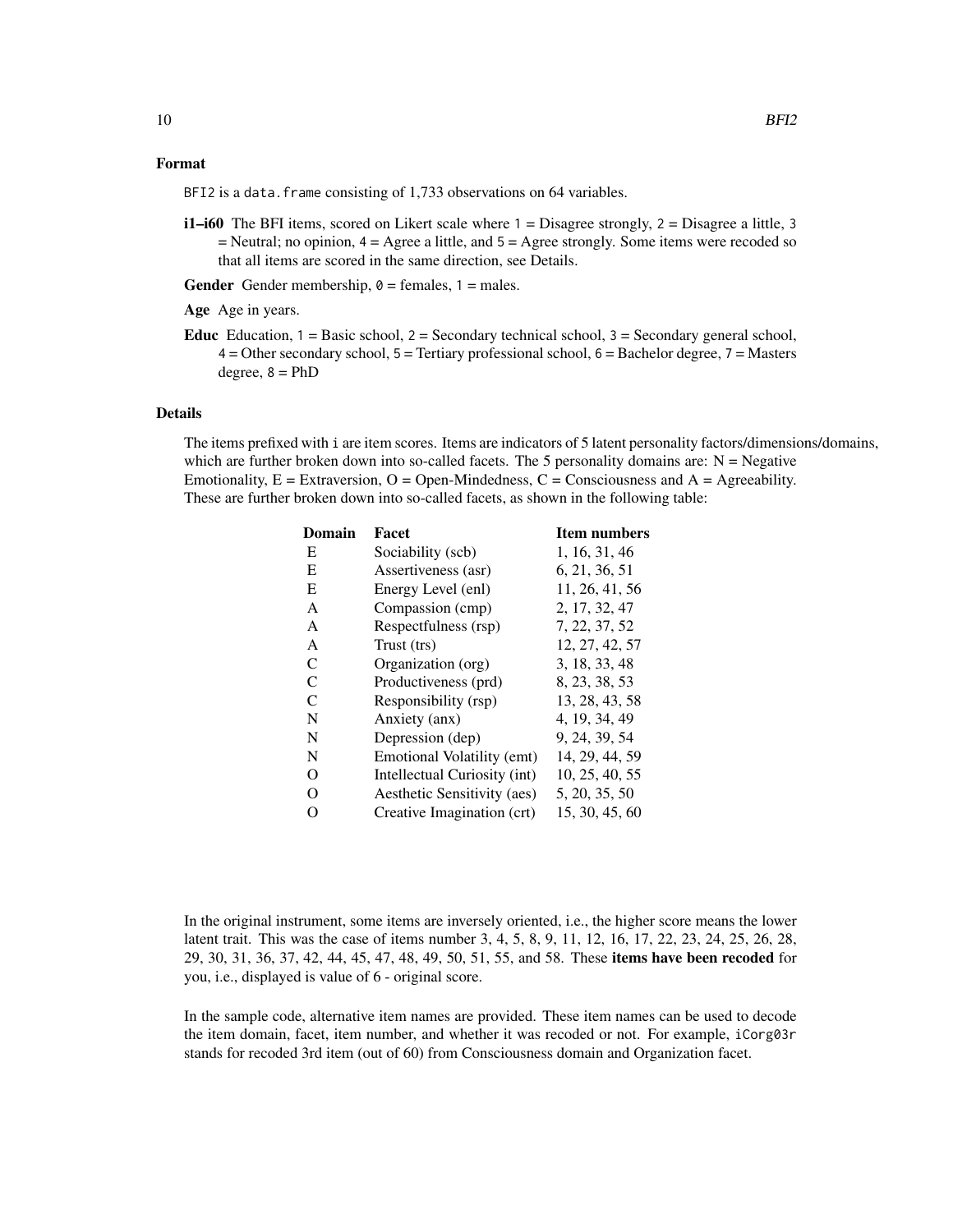## Format

BFI2 is a data. frame consisting of 1,733 observations on 64 variables.

 $i1$ –i60 The BFI items, scored on Likert scale where  $1 =$  Disagree strongly,  $2 =$  Disagree a little, 3  $=$  Neutral; no opinion,  $4 =$  Agree a little, and  $5 =$  Agree strongly. Some items were recoded so that all items are scored in the same direction, see Details.

**Gender** Gender membership,  $\theta$  = females, 1 = males.

Age Age in years.

**Educ** Education,  $1 =$  Basic school,  $2 =$  Secondary technical school,  $3 =$  Secondary general school,  $4 =$ Other secondary school,  $5 =$  Tertiary professional school,  $6 =$ Bachelor degree,  $7 =$ Masters degree,  $8 = PhD$ 

#### Details

The items prefixed with i are item scores. Items are indicators of 5 latent personality factors/dimensions/domains, which are further broken down into so-called facets. The 5 personality domains are:  $N = Negative$ Emotionality,  $E =$  Extraversion,  $O =$  Open-Mindedness,  $C =$  Consciousness and  $A =$  Agreeability. These are further broken down into so-called facets, as shown in the following table:

| Domain       | Facet                        | <b>Item numbers</b> |
|--------------|------------------------------|---------------------|
| E            | Sociability (scb)            | 1, 16, 31, 46       |
| E            | Assertiveness (asr)          | 6, 21, 36, 51       |
| E            | Energy Level (enl)           | 11, 26, 41, 56      |
| A            | Compassion (cmp)             | 2, 17, 32, 47       |
| $\mathsf{A}$ | Respectfulness (rsp)         | 7, 22, 37, 52       |
| A            | Trust (trs)                  | 12, 27, 42, 57      |
| C            | Organization (org)           | 3, 18, 33, 48       |
| C            | Productiveness (prd)         | 8, 23, 38, 53       |
| C            | Responsibility (rsp)         | 13, 28, 43, 58      |
| N            | Anxiety (anx)                | 4, 19, 34, 49       |
| N            | Depression (dep)             | 9, 24, 39, 54       |
| N            | Emotional Volatility (emt)   | 14, 29, 44, 59      |
| $\Omega$     | Intellectual Curiosity (int) | 10, 25, 40, 55      |
| O            | Aesthetic Sensitivity (aes)  | 5, 20, 35, 50       |
| O            | Creative Imagination (crt)   | 15, 30, 45, 60      |
|              |                              |                     |

In the original instrument, some items are inversely oriented, i.e., the higher score means the lower latent trait. This was the case of items number 3, 4, 5, 8, 9, 11, 12, 16, 17, 22, 23, 24, 25, 26, 28, 29, 30, 31, 36, 37, 42, 44, 45, 47, 48, 49, 50, 51, 55, and 58. These items have been recoded for you, i.e., displayed is value of 6 - original score.

In the sample code, alternative item names are provided. These item names can be used to decode the item domain, facet, item number, and whether it was recoded or not. For example, iCorg03r stands for recoded 3rd item (out of 60) from Consciousness domain and Organization facet.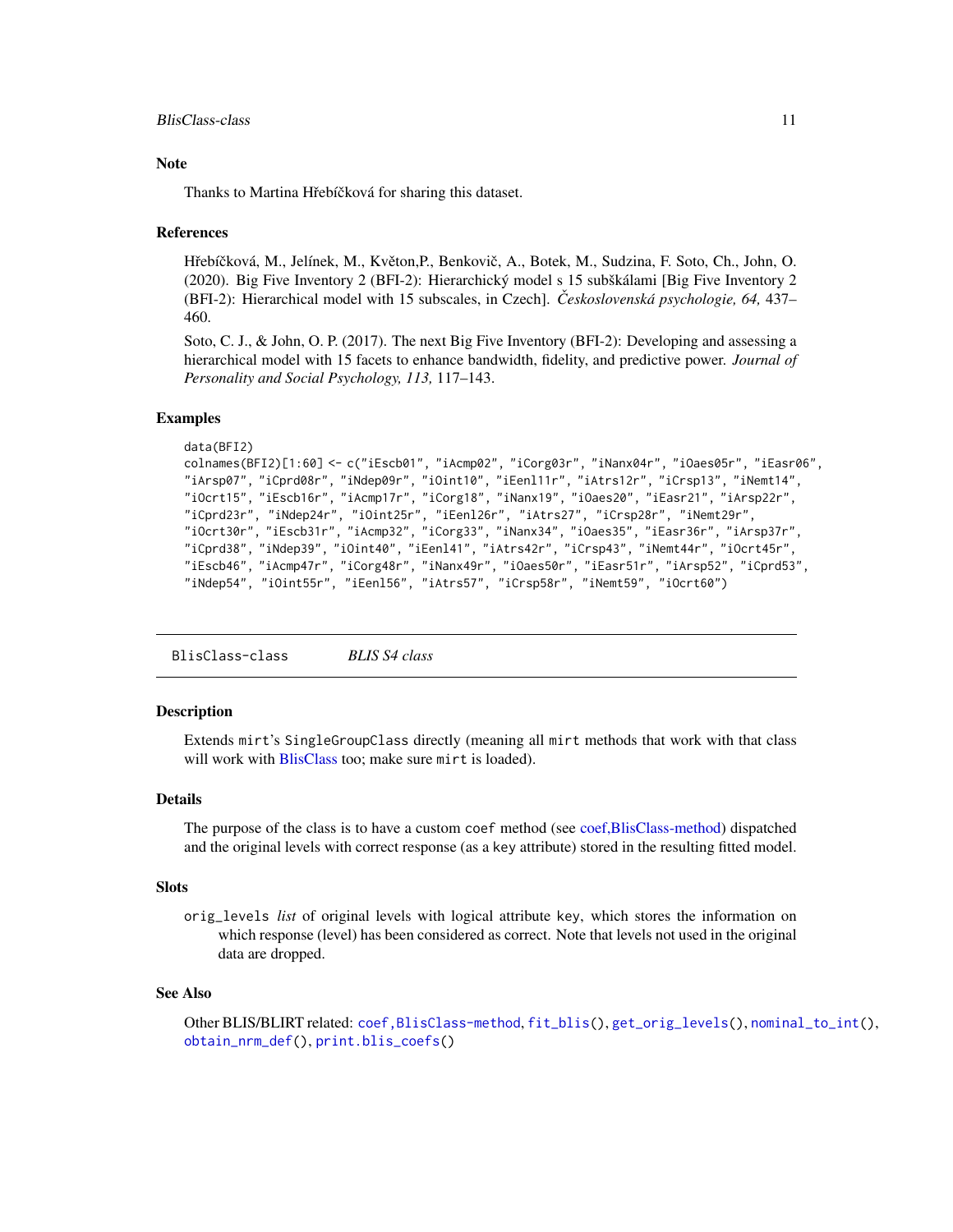#### <span id="page-10-0"></span>**Note**

Thanks to Martina Hřebíčková for sharing this dataset.

#### References

Hřebíčková, M., Jelínek, M., Květon,P., Benkovič, A., Botek, M., Sudzina, F. Soto, Ch., John, O. (2020). Big Five Inventory 2 (BFI-2): Hierarchický model s 15 subškálami [Big Five Inventory 2 (BFI-2): Hierarchical model with 15 subscales, in Czech]. *Ceskoslovenská psychologie, 64, ˇ* 437– 460.

Soto, C. J., & John, O. P. (2017). The next Big Five Inventory (BFI-2): Developing and assessing a hierarchical model with 15 facets to enhance bandwidth, fidelity, and predictive power. *Journal of Personality and Social Psychology, 113,* 117–143.

## Examples

```
data(BFI2)
colnames(BFI2)[1:60] <- c("iEscb01", "iAcmp02", "iCorg03r", "iNanx04r", "iOaes05r", "iEasr06",
"iArsp07", "iCprd08r", "iNdep09r", "iOint10", "iEenl11r", "iAtrs12r", "iCrsp13", "iNemt14",
"iOcrt15", "iEscb16r", "iAcmp17r", "iCorg18", "iNanx19", "iOaes20", "iEasr21", "iArsp22r",
"iCprd23r", "iNdep24r", "iOint25r", "iEenl26r", "iAtrs27", "iCrsp28r", "iNemt29r",
"iOcrt30r", "iEscb31r", "iAcmp32", "iCorg33", "iNanx34", "iOaes35", "iEasr36r", "iArsp37r",
"iCprd38", "iNdep39", "iOint40", "iEenl41", "iAtrs42r", "iCrsp43", "iNemt44r", "iOcrt45r",
"iEscb46", "iAcmp47r", "iCorg48r", "iNanx49r", "iOaes50r", "iEasr51r", "iArsp52", "iCprd53",
"iNdep54", "iOint55r", "iEenl56", "iAtrs57", "iCrsp58r", "iNemt59", "iOcrt60")
```
<span id="page-10-1"></span>BlisClass-class *BLIS S4 class*

# Description

Extends mirt's SingleGroupClass directly (meaning all mirt methods that work with that class will work with [BlisClass](#page-10-1) too; make sure mirt is loaded).

#### Details

The purpose of the class is to have a custom coef method (see [coef,BlisClass-method\)](#page-11-1) dispatched and the original levels with correct response (as a key attribute) stored in the resulting fitted model.

#### **Slots**

orig\_levels *list* of original levels with logical attribute key, which stores the information on which response (level) has been considered as correct. Note that levels not used in the original data are dropped.

#### See Also

Other BLIS/BLIRT related: [coef,BlisClass-method](#page-0-0), [fit\\_blis\(](#page-25-1)), [get\\_orig\\_levels\(](#page-35-1)), [nominal\\_to\\_int\(](#page-54-1)), [obtain\\_nrm\\_def\(](#page-55-1)), [print.blis\\_coefs\(](#page-69-1))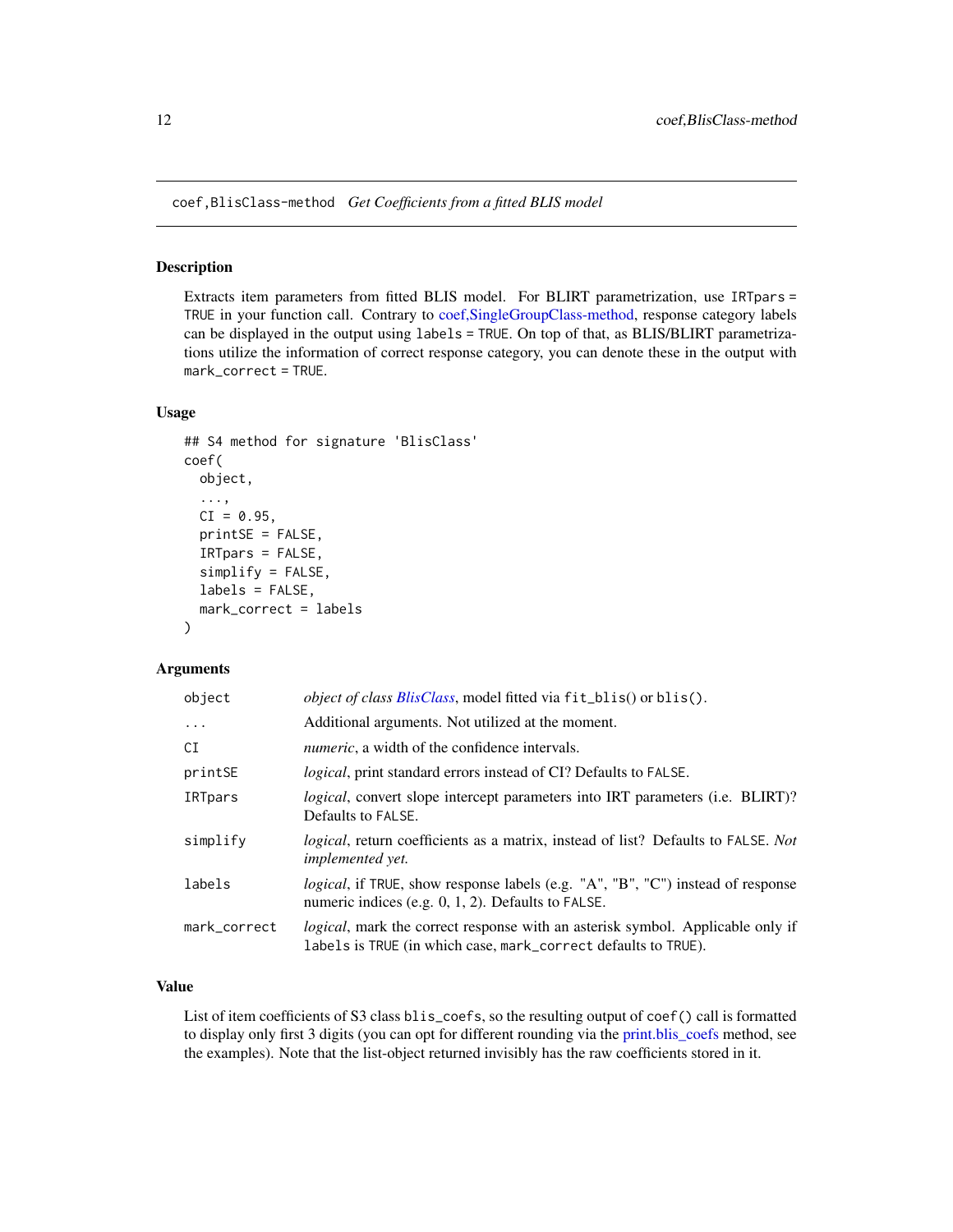<span id="page-11-1"></span><span id="page-11-0"></span>coef,BlisClass-method *Get Coefficients from a fitted BLIS model*

# Description

Extracts item parameters from fitted BLIS model. For BLIRT parametrization, use IRTpars = TRUE in your function call. Contrary to [coef,SingleGroupClass-method,](#page-0-0) response category labels can be displayed in the output using labels = TRUE. On top of that, as BLIS/BLIRT parametrizations utilize the information of correct response category, you can denote these in the output with mark\_correct = TRUE.

# Usage

```
## S4 method for signature 'BlisClass'
coef(
  object,
  ...,
  CI = 0.95,
  printsE = FALSE,
  IRTpars = FALSE,
  simplify = FALSE,
  labels = FALSE,
  mark_correct = labels
)
```
# Arguments

| object       | <i>object of class BlisClass</i> , model fitted via fit_blis() or blis().                                                                                |
|--------------|----------------------------------------------------------------------------------------------------------------------------------------------------------|
| $\cdots$     | Additional arguments. Not utilized at the moment.                                                                                                        |
| CI           | <i>numeric</i> , a width of the confidence intervals.                                                                                                    |
| printSE      | <i>logical</i> , print standard errors instead of CI? Defaults to FALSE.                                                                                 |
| IRTpars      | <i>logical</i> , convert slope intercept parameters into IRT parameters (i.e. BLIRT)?<br>Defaults to FALSE.                                              |
| simplify     | logical, return coefficients as a matrix, instead of list? Defaults to FALSE. Not<br><i>implemented vet.</i>                                             |
| labels       | <i>logical</i> , if TRUE, show response labels (e.g. "A", "B", "C") instead of response<br>numeric indices (e.g. $0, 1, 2$ ). Defaults to FALSE.         |
| mark_correct | <i>logical</i> , mark the correct response with an asterisk symbol. Applicable only if<br>labels is TRUE (in which case, mark_correct defaults to TRUE). |

# Value

List of item coefficients of S3 class blis\_coefs, so the resulting output of coef() call is formatted to display only first 3 digits (you can opt for different rounding via the [print.blis\\_coefs](#page-69-1) method, see the examples). Note that the list-object returned invisibly has the raw coefficients stored in it.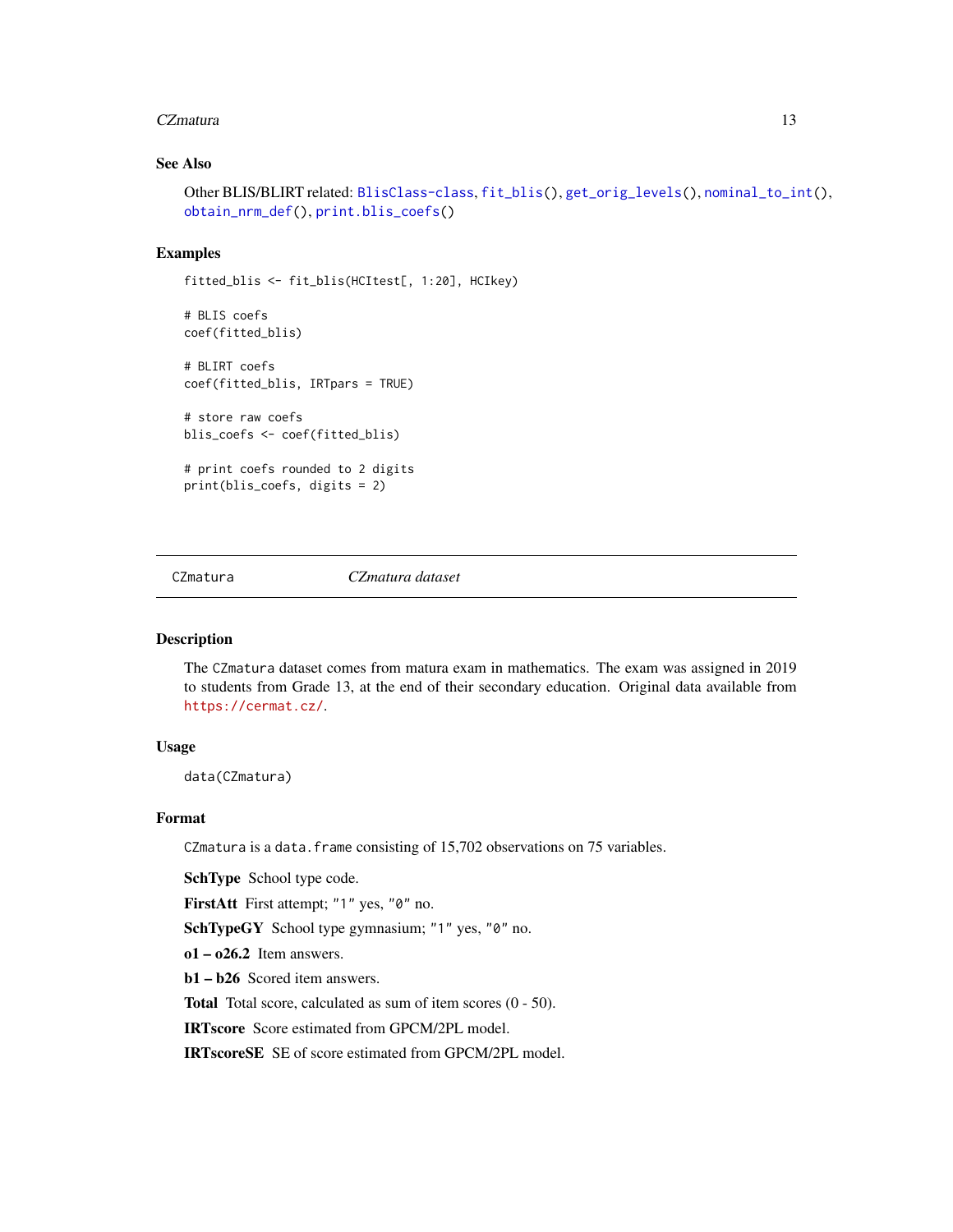#### <span id="page-12-0"></span>CZmatura 13

# See Also

```
Other BLIS/BLIRT related: BlisClass-class, fit_blis(), get_orig_levels(), nominal_to_int(),
obtain_nrm_def(), print.blis_coefs()
```
# Examples

```
fitted_blis <- fit_blis(HCItest[, 1:20], HCIkey)
# BLIS coefs
coef(fitted_blis)
# BLIRT coefs
coef(fitted_blis, IRTpars = TRUE)
# store raw coefs
blis_coefs <- coef(fitted_blis)
# print coefs rounded to 2 digits
print(blis_coefs, digits = 2)
```
<span id="page-12-1"></span>CZmatura *CZmatura dataset*

## Description

The CZmatura dataset comes from matura exam in mathematics. The exam was assigned in 2019 to students from Grade 13, at the end of their secondary education. Original data available from <https://cermat.cz/>.

# Usage

data(CZmatura)

# Format

CZmatura is a data.frame consisting of 15,702 observations on 75 variables.

SchType School type code.

FirstAtt First attempt; "1" yes, "0" no.

SchTypeGY School type gymnasium; "1" yes, "0" no.

 $o1 - o26.2$  Item answers.

b1 – b26 Scored item answers.

Total Total score, calculated as sum of item scores (0 - 50).

IRTscore Score estimated from GPCM/2PL model.

IRTscoreSE SE of score estimated from GPCM/2PL model.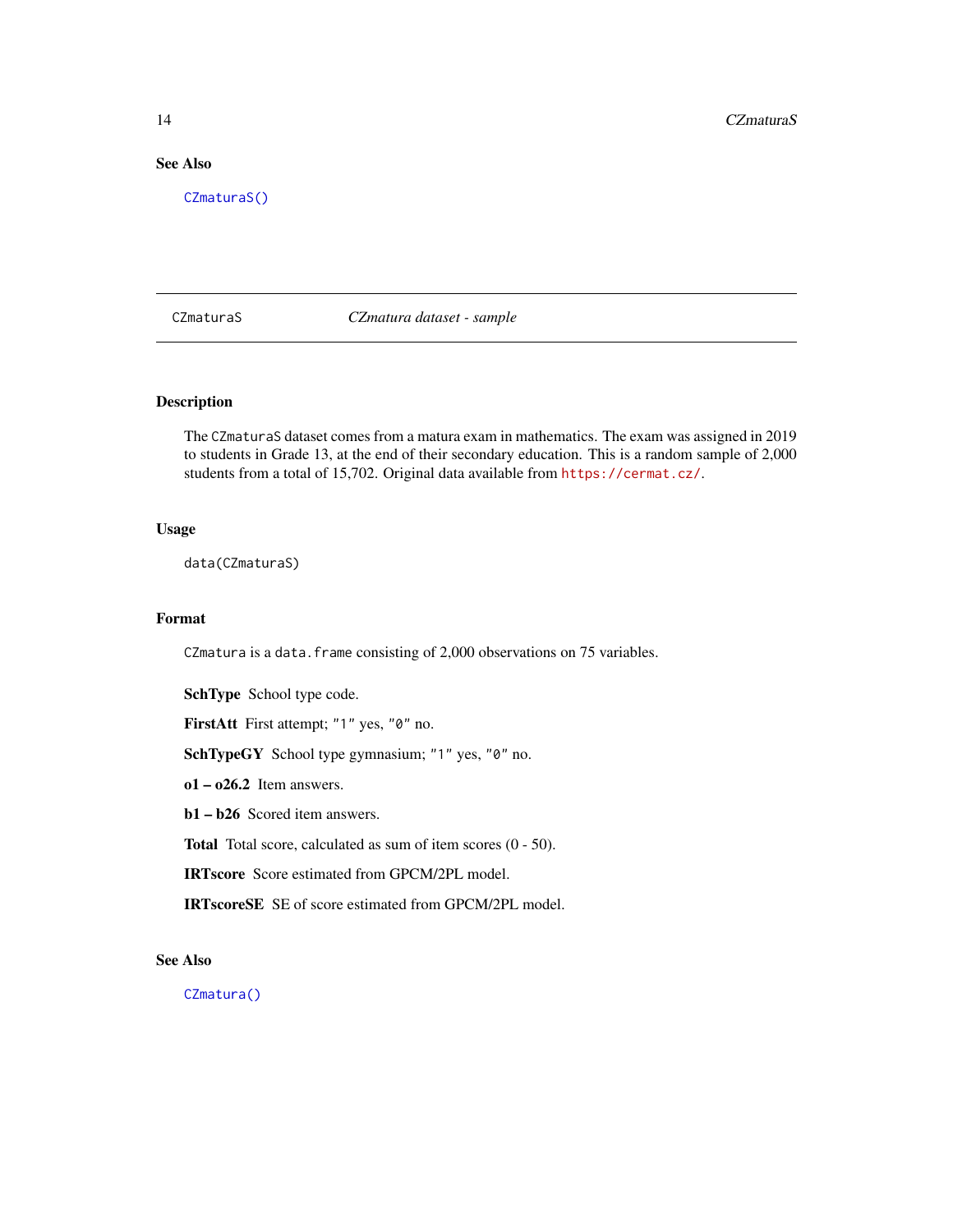# <span id="page-13-0"></span>See Also

[CZmaturaS\(\)](#page-13-1)

<span id="page-13-1"></span>CZmaturaS *CZmatura dataset - sample*

# Description

The CZmaturaS dataset comes from a matura exam in mathematics. The exam was assigned in 2019 to students in Grade 13, at the end of their secondary education. This is a random sample of 2,000 students from a total of 15,702. Original data available from <https://cermat.cz/>.

# Usage

data(CZmaturaS)

## Format

CZmatura is a data. frame consisting of 2,000 observations on 75 variables.

SchType School type code.

FirstAtt First attempt; "1" yes, "0" no.

SchTypeGY School type gymnasium; "1" yes, "0" no.

 $o1 - o26.2$  Item answers.

b1 – b26 Scored item answers.

Total Total score, calculated as sum of item scores (0 - 50).

IRTscore Score estimated from GPCM/2PL model.

IRTscoreSE SE of score estimated from GPCM/2PL model.

# See Also

[CZmatura\(\)](#page-12-1)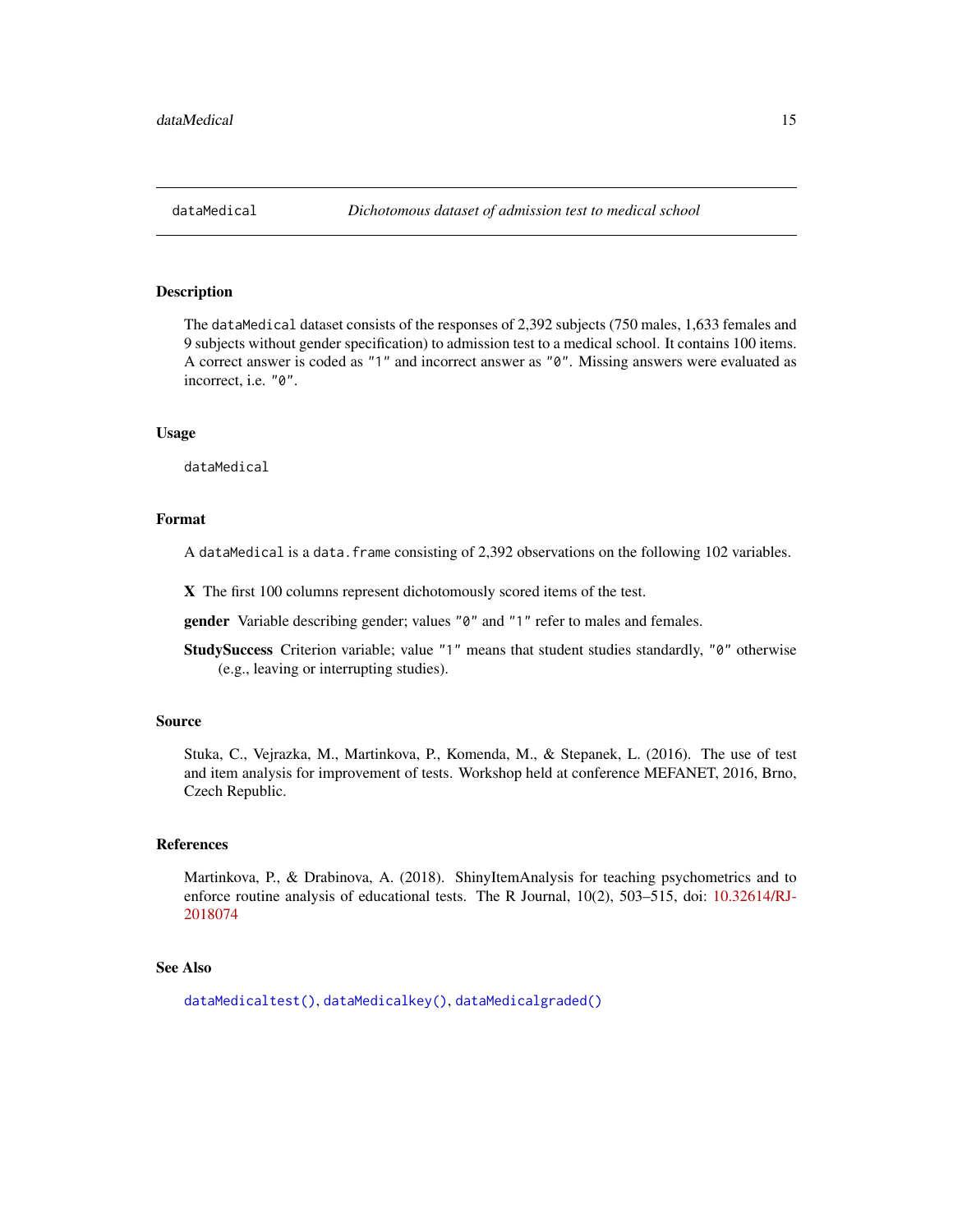<span id="page-14-1"></span><span id="page-14-0"></span>

The dataMedical dataset consists of the responses of 2,392 subjects (750 males, 1,633 females and 9 subjects without gender specification) to admission test to a medical school. It contains 100 items. A correct answer is coded as "1" and incorrect answer as "0". Missing answers were evaluated as incorrect, i.e. "0".

## Usage

dataMedical

# Format

A dataMedical is a data.frame consisting of 2,392 observations on the following 102 variables.

X The first 100 columns represent dichotomously scored items of the test.

gender Variable describing gender; values "0" and "1" refer to males and females.

StudySuccess Criterion variable; value "1" means that student studies standardly, "0" otherwise (e.g., leaving or interrupting studies).

#### Source

Stuka, C., Vejrazka, M., Martinkova, P., Komenda, M., & Stepanek, L. (2016). The use of test and item analysis for improvement of tests. Workshop held at conference MEFANET, 2016, Brno, Czech Republic.

#### References

Martinkova, P., & Drabinova, A. (2018). ShinyItemAnalysis for teaching psychometrics and to enforce routine analysis of educational tests. The R Journal, 10(2), 503–515, doi: [10.32614/RJ-](https://doi.org/10.32614/RJ-2018-074)[2018074](https://doi.org/10.32614/RJ-2018-074)

## See Also

[dataMedicaltest\(\)](#page-16-2), [dataMedicalkey\(\)](#page-16-1), [dataMedicalgraded\(\)](#page-15-1)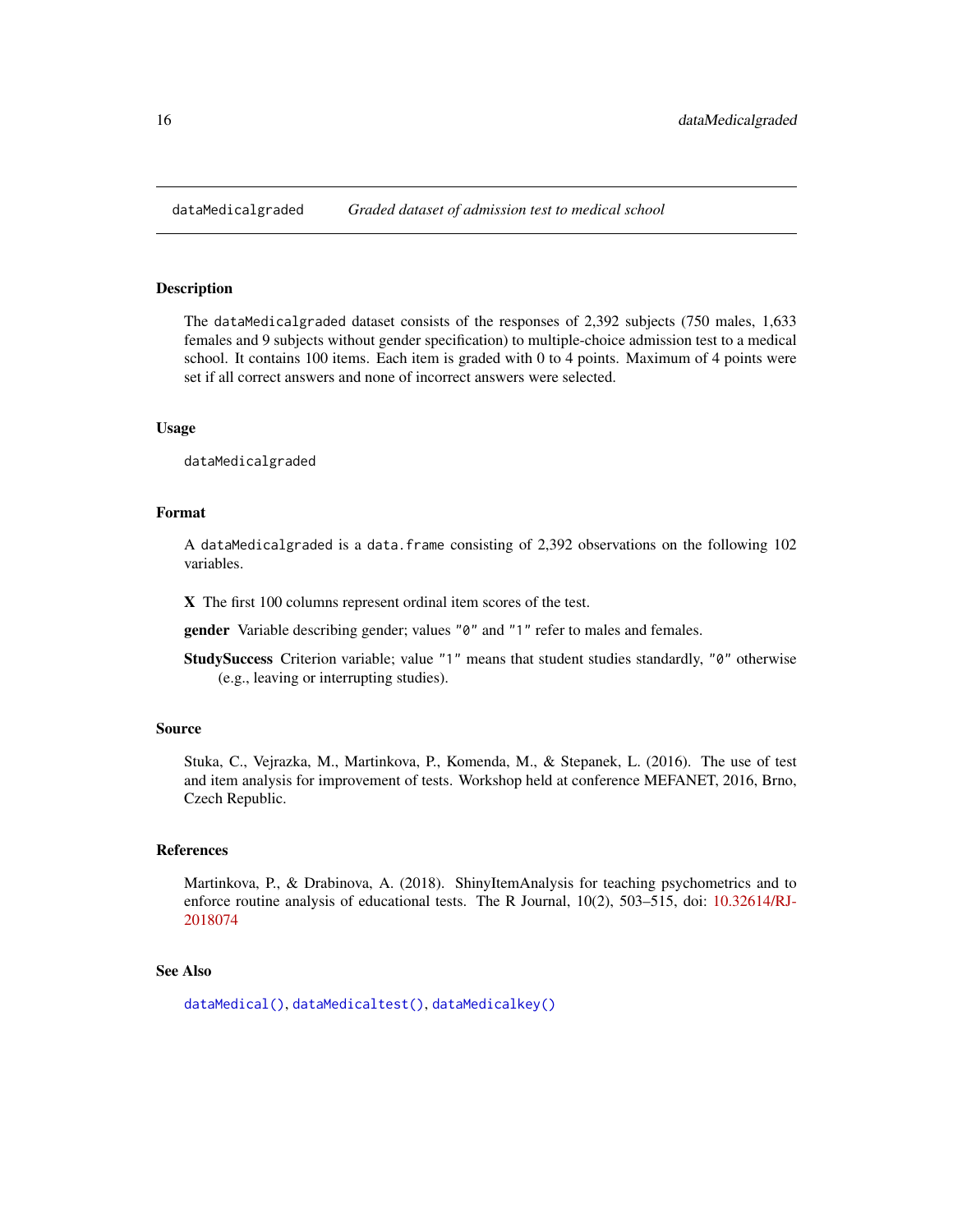<span id="page-15-1"></span><span id="page-15-0"></span>

The dataMedicalgraded dataset consists of the responses of 2,392 subjects (750 males, 1,633 females and 9 subjects without gender specification) to multiple-choice admission test to a medical school. It contains 100 items. Each item is graded with 0 to 4 points. Maximum of 4 points were set if all correct answers and none of incorrect answers were selected.

## Usage

dataMedicalgraded

## Format

A dataMedicalgraded is a data.frame consisting of 2,392 observations on the following 102 variables.

X The first 100 columns represent ordinal item scores of the test.

gender Variable describing gender; values "0" and "1" refer to males and females.

StudySuccess Criterion variable; value "1" means that student studies standardly, "0" otherwise (e.g., leaving or interrupting studies).

#### Source

Stuka, C., Vejrazka, M., Martinkova, P., Komenda, M., & Stepanek, L. (2016). The use of test and item analysis for improvement of tests. Workshop held at conference MEFANET, 2016, Brno, Czech Republic.

## References

Martinkova, P., & Drabinova, A. (2018). ShinyItemAnalysis for teaching psychometrics and to enforce routine analysis of educational tests. The R Journal, 10(2), 503–515, doi: [10.32614/RJ-](https://doi.org/10.32614/RJ-2018-074)[2018074](https://doi.org/10.32614/RJ-2018-074)

#### See Also

[dataMedical\(\)](#page-14-1), [dataMedicaltest\(\)](#page-16-2), [dataMedicalkey\(\)](#page-16-1)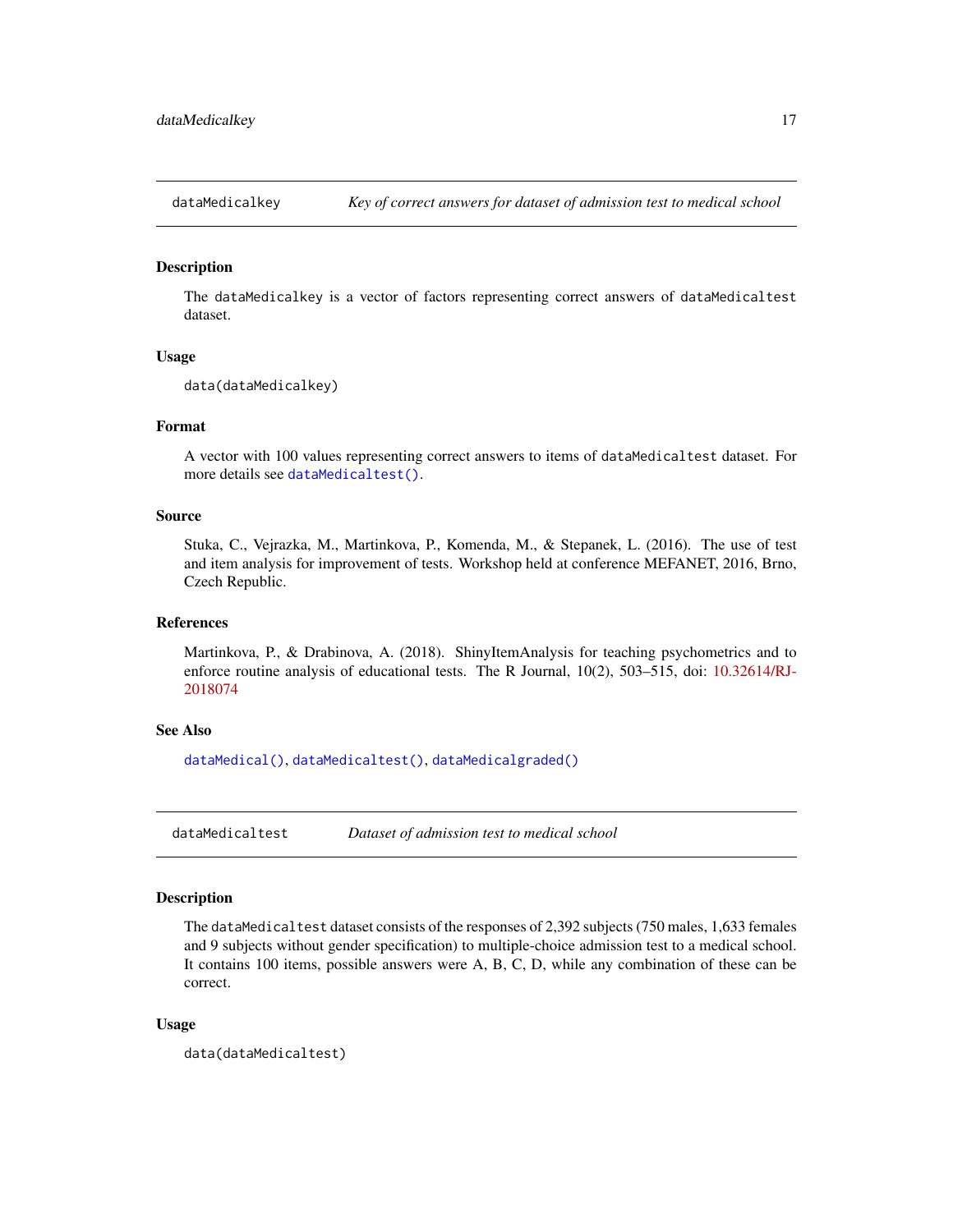<span id="page-16-1"></span><span id="page-16-0"></span>

The dataMedicalkey is a vector of factors representing correct answers of dataMedicaltest dataset.

## Usage

```
data(dataMedicalkey)
```
# Format

A vector with 100 values representing correct answers to items of dataMedicaltest dataset. For more details see [dataMedicaltest\(\)](#page-16-2).

## Source

Stuka, C., Vejrazka, M., Martinkova, P., Komenda, M., & Stepanek, L. (2016). The use of test and item analysis for improvement of tests. Workshop held at conference MEFANET, 2016, Brno, Czech Republic.

#### References

Martinkova, P., & Drabinova, A. (2018). ShinyItemAnalysis for teaching psychometrics and to enforce routine analysis of educational tests. The R Journal, 10(2), 503–515, doi: [10.32614/RJ-](https://doi.org/10.32614/RJ-2018-074)[2018074](https://doi.org/10.32614/RJ-2018-074)

#### See Also

[dataMedical\(\)](#page-14-1), [dataMedicaltest\(\)](#page-16-2), [dataMedicalgraded\(\)](#page-15-1)

<span id="page-16-2"></span>dataMedicaltest *Dataset of admission test to medical school*

# Description

The dataMedicaltest dataset consists of the responses of 2,392 subjects (750 males, 1,633 females and 9 subjects without gender specification) to multiple-choice admission test to a medical school. It contains 100 items, possible answers were A, B, C, D, while any combination of these can be correct.

#### Usage

```
data(dataMedicaltest)
```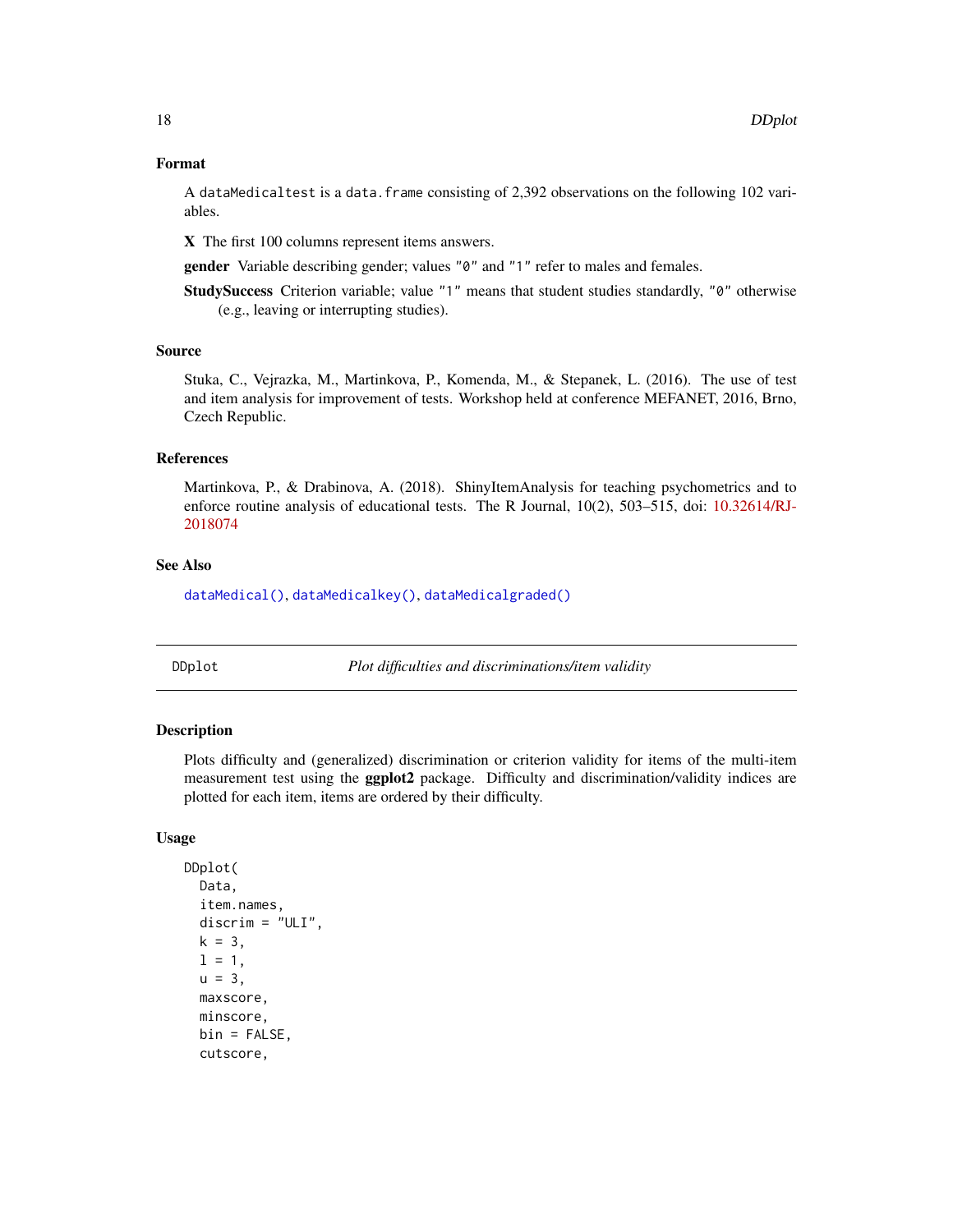#### <span id="page-17-0"></span>Format

A dataMedicaltest is a data.frame consisting of 2,392 observations on the following 102 variables.

X The first 100 columns represent items answers.

gender Variable describing gender; values "0" and "1" refer to males and females.

StudySuccess Criterion variable; value "1" means that student studies standardly, "0" otherwise (e.g., leaving or interrupting studies).

#### Source

Stuka, C., Vejrazka, M., Martinkova, P., Komenda, M., & Stepanek, L. (2016). The use of test and item analysis for improvement of tests. Workshop held at conference MEFANET, 2016, Brno, Czech Republic.

#### References

Martinkova, P., & Drabinova, A. (2018). ShinyItemAnalysis for teaching psychometrics and to enforce routine analysis of educational tests. The R Journal, 10(2), 503–515, doi: [10.32614/RJ-](https://doi.org/10.32614/RJ-2018-074)[2018074](https://doi.org/10.32614/RJ-2018-074)

#### See Also

[dataMedical\(\)](#page-14-1), [dataMedicalkey\(\)](#page-16-1), [dataMedicalgraded\(\)](#page-15-1)

<span id="page-17-1"></span>DDplot *Plot difficulties and discriminations/item validity*

# Description

Plots difficulty and (generalized) discrimination or criterion validity for items of the multi-item measurement test using the ggplot2 package. Difficulty and discrimination/validity indices are plotted for each item, items are ordered by their difficulty.

#### Usage

```
DDplot(
  Data,
  item.names,
  discrim = "ULI",k = 3,
  1 = 1,
  u = 3,
  maxscore,
  minscore,
  bin = FALSE,cutscore,
```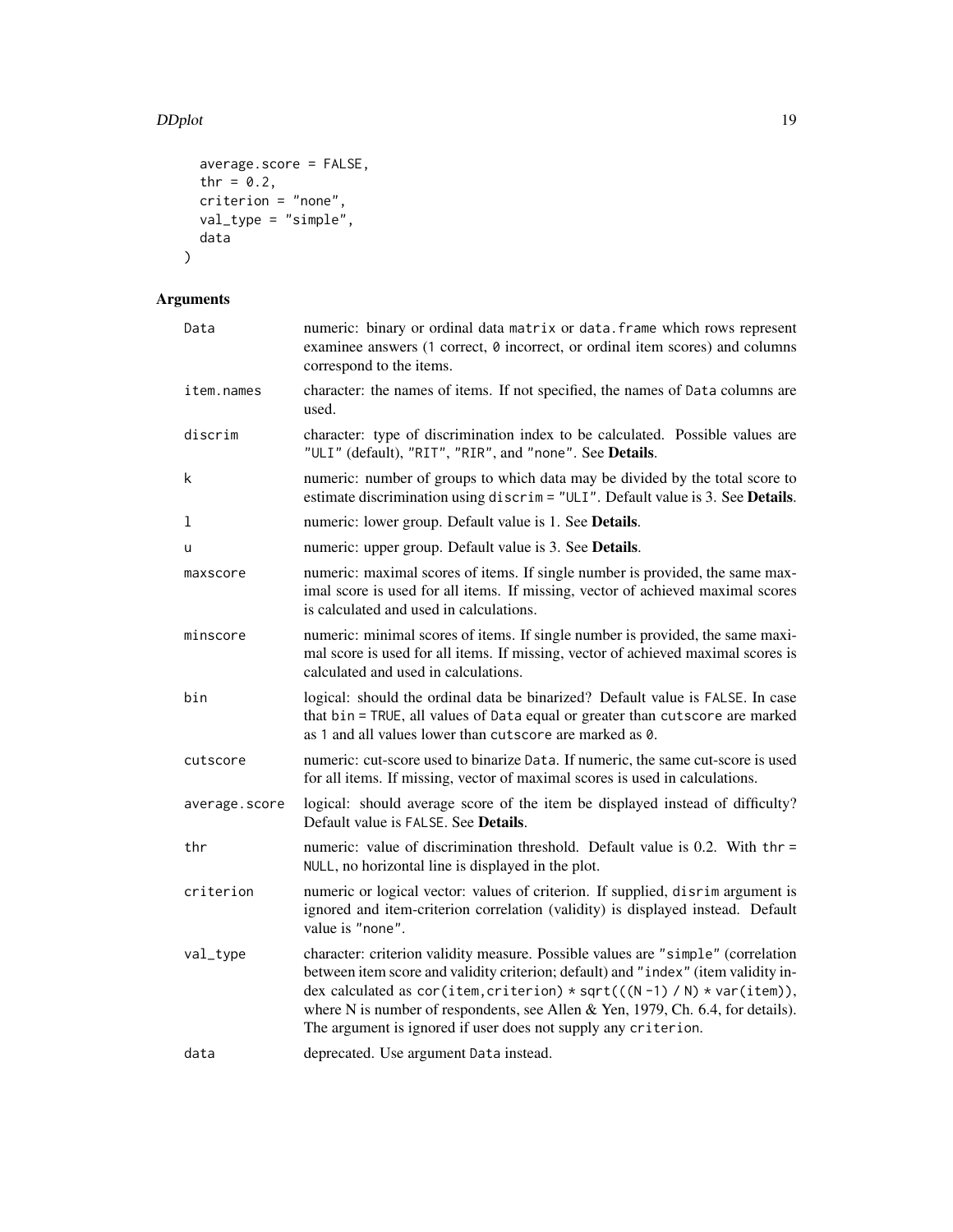# DDplot the contract of the contract of the contract of the contract of the contract of the contract of the contract of the contract of the contract of the contract of the contract of the contract of the contract of the con

```
average.score = FALSE,
  thr = 0.2,
  criterion = "none",
  val_type = "simple",
  data
\mathcal{L}
```
# Arguments

| Data          | numeric: binary or ordinal data matrix or data. frame which rows represent<br>examinee answers (1 correct, $\theta$ incorrect, or ordinal item scores) and columns<br>correspond to the items.                                                                                                                                                                                                         |
|---------------|--------------------------------------------------------------------------------------------------------------------------------------------------------------------------------------------------------------------------------------------------------------------------------------------------------------------------------------------------------------------------------------------------------|
| item.names    | character: the names of items. If not specified, the names of Data columns are<br>used.                                                                                                                                                                                                                                                                                                                |
| discrim       | character: type of discrimination index to be calculated. Possible values are<br>"ULI" (default), "RIT", "RIR", and "none". See Details.                                                                                                                                                                                                                                                               |
| k             | numeric: number of groups to which data may be divided by the total score to<br>estimate discrimination using discrim = "ULI". Default value is 3. See Details.                                                                                                                                                                                                                                        |
| 1             | numeric: lower group. Default value is 1. See Details.                                                                                                                                                                                                                                                                                                                                                 |
| u             | numeric: upper group. Default value is 3. See Details.                                                                                                                                                                                                                                                                                                                                                 |
| maxscore      | numeric: maximal scores of items. If single number is provided, the same max-<br>imal score is used for all items. If missing, vector of achieved maximal scores<br>is calculated and used in calculations.                                                                                                                                                                                            |
| minscore      | numeric: minimal scores of items. If single number is provided, the same maxi-<br>mal score is used for all items. If missing, vector of achieved maximal scores is<br>calculated and used in calculations.                                                                                                                                                                                            |
| bin           | logical: should the ordinal data be binarized? Default value is FALSE. In case<br>that bin = TRUE, all values of Data equal or greater than cutscore are marked<br>as 1 and all values lower than cutscore are marked as 0.                                                                                                                                                                            |
| cutscore      | numeric: cut-score used to binarize Data. If numeric, the same cut-score is used<br>for all items. If missing, vector of maximal scores is used in calculations.                                                                                                                                                                                                                                       |
| average.score | logical: should average score of the item be displayed instead of difficulty?<br>Default value is FALSE. See Details.                                                                                                                                                                                                                                                                                  |
| thr           | numeric: value of discrimination threshold. Default value is 0.2. With thr =<br>NULL, no horizontal line is displayed in the plot.                                                                                                                                                                                                                                                                     |
| criterion     | numeric or logical vector: values of criterion. If supplied, disrim argument is<br>ignored and item-criterion correlation (validity) is displayed instead. Default<br>value is "none".                                                                                                                                                                                                                 |
| val_type      | character: criterion validity measure. Possible values are "simple" (correlation<br>between item score and validity criterion; default) and "index" (item validity in-<br>dex calculated as cor(item, criterion) * sqrt(((N-1) / N) * var(item)),<br>where N is number of respondents, see Allen & Yen, 1979, Ch. 6.4, for details).<br>The argument is ignored if user does not supply any criterion. |
| data          | deprecated. Use argument Data instead.                                                                                                                                                                                                                                                                                                                                                                 |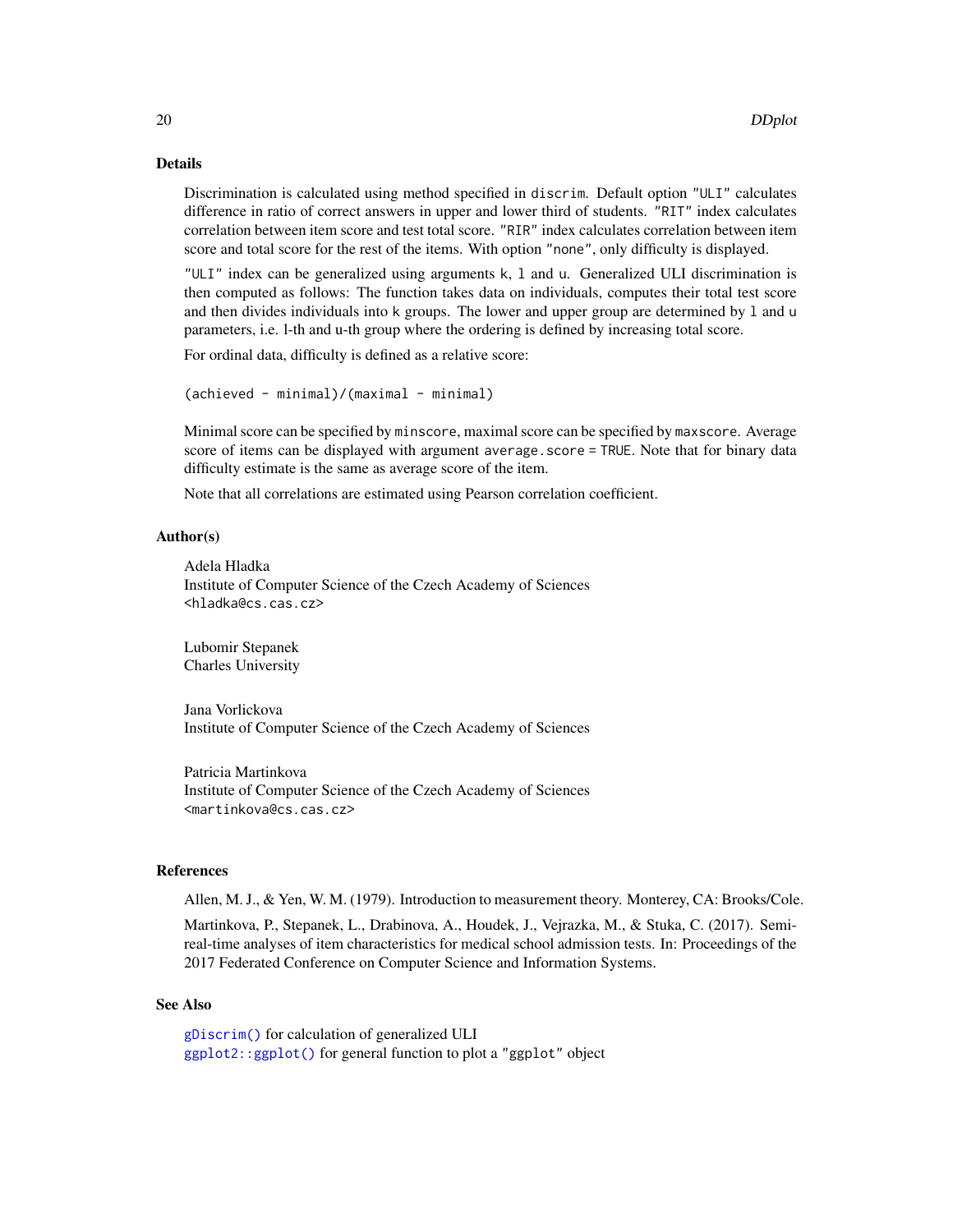# Details

Discrimination is calculated using method specified in discrim. Default option "ULI" calculates difference in ratio of correct answers in upper and lower third of students. "RIT" index calculates correlation between item score and test total score. "RIR" index calculates correlation between item score and total score for the rest of the items. With option "none", only difficulty is displayed.

"ULI" index can be generalized using arguments k, l and u. Generalized ULI discrimination is then computed as follows: The function takes data on individuals, computes their total test score and then divides individuals into k groups. The lower and upper group are determined by l and u parameters, i.e. l-th and u-th group where the ordering is defined by increasing total score.

For ordinal data, difficulty is defined as a relative score:

```
(achieved - minimal)/(maximal - minimal)
```
Minimal score can be specified by minscore, maximal score can be specified by maxscore. Average score of items can be displayed with argument average.score = TRUE. Note that for binary data difficulty estimate is the same as average score of the item.

Note that all correlations are estimated using Pearson correlation coefficient.

## Author(s)

```
Adela Hladka
Institute of Computer Science of the Czech Academy of Sciences
<hladka@cs.cas.cz>
```
Lubomir Stepanek Charles University

Jana Vorlickova Institute of Computer Science of the Czech Academy of Sciences

Patricia Martinkova Institute of Computer Science of the Czech Academy of Sciences <martinkova@cs.cas.cz>

#### References

Allen, M. J., & Yen, W. M. (1979). Introduction to measurement theory. Monterey, CA: Brooks/Cole.

Martinkova, P., Stepanek, L., Drabinova, A., Houdek, J., Vejrazka, M., & Stuka, C. (2017). Semireal-time analyses of item characteristics for medical school admission tests. In: Proceedings of the 2017 Federated Conference on Computer Science and Information Systems.

#### See Also

[gDiscrim\(\)](#page-33-1) for calculation of generalized ULI [ggplot2::ggplot\(\)](#page-0-0) for general function to plot a "ggplot" object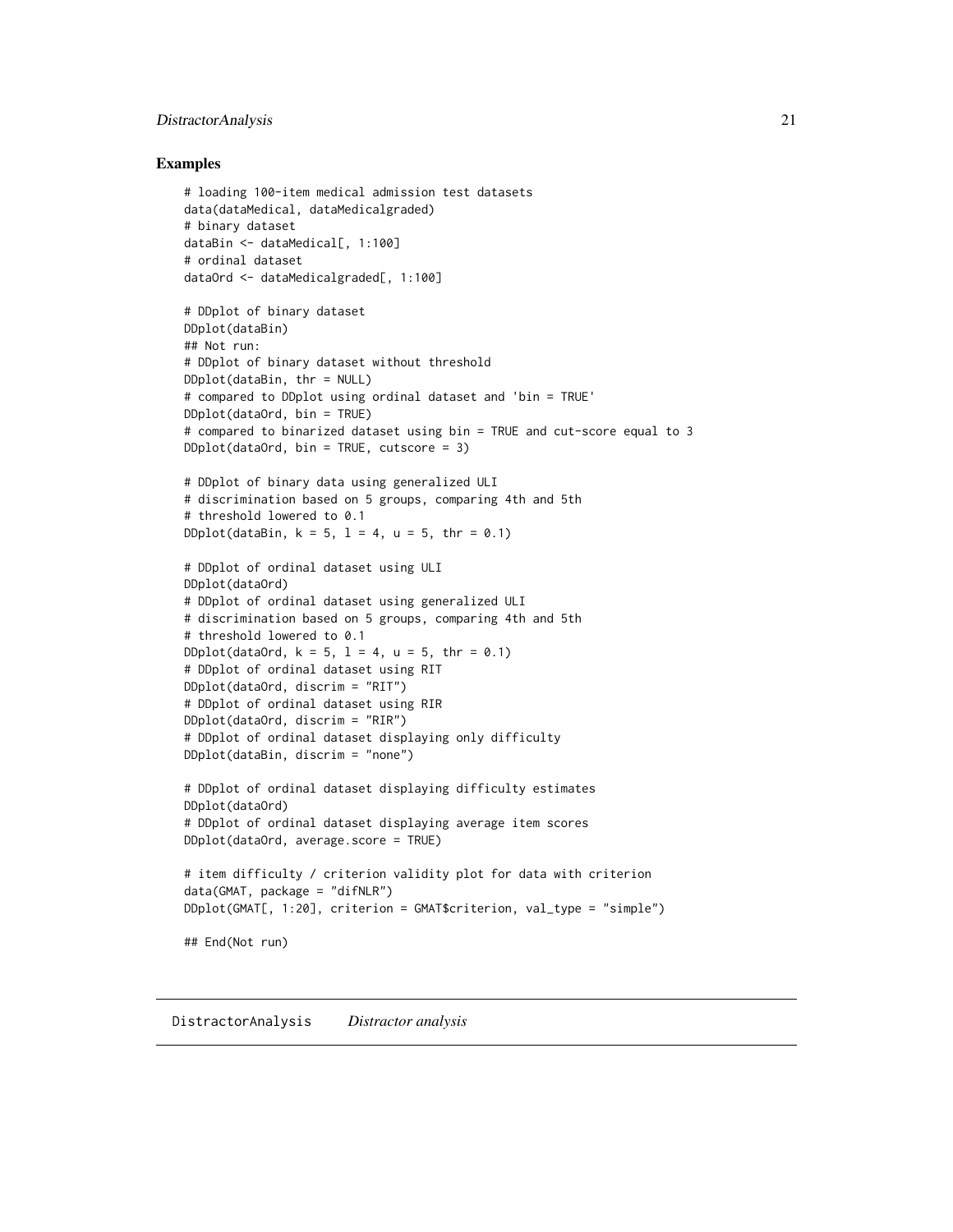# <span id="page-20-0"></span>DistractorAnalysis 21

## Examples

```
# loading 100-item medical admission test datasets
data(dataMedical, dataMedicalgraded)
# binary dataset
dataBin <- dataMedical[, 1:100]
# ordinal dataset
dataOrd <- dataMedicalgraded[, 1:100]
# DDplot of binary dataset
DDplot(dataBin)
## Not run:
# DDplot of binary dataset without threshold
DDplot(dataBin, thr = NULL)
# compared to DDplot using ordinal dataset and 'bin = TRUE'
DDplot(dataOrd, bin = TRUE)
# compared to binarized dataset using bin = TRUE and cut-score equal to 3
DDplot(dataOrd, bin = TRUE, cutscore = 3)# DDplot of binary data using generalized ULI
# discrimination based on 5 groups, comparing 4th and 5th
# threshold lowered to 0.1
DDplot(dataBin, k = 5, l = 4, u = 5, thr = 0.1)
# DDplot of ordinal dataset using ULI
DDplot(dataOrd)
# DDplot of ordinal dataset using generalized ULI
# discrimination based on 5 groups, comparing 4th and 5th
# threshold lowered to 0.1
DDplot(dataOrd, k = 5, l = 4, u = 5, thr = 0.1)
# DDplot of ordinal dataset using RIT
DDplot(dataOrd, discrim = "RIT")
# DDplot of ordinal dataset using RIR
DDplot(dataOrd, discrim = "RIR")
# DDplot of ordinal dataset displaying only difficulty
DDplot(dataBin, discrim = "none")
# DDplot of ordinal dataset displaying difficulty estimates
DDplot(dataOrd)
# DDplot of ordinal dataset displaying average item scores
DDplot(dataOrd, average.score = TRUE)
# item difficulty / criterion validity plot for data with criterion
data(GMAT, package = "difNLR")
DDplot(GMAT[, 1:20], criterion = GMAT$criterion, val_type = "simple")
## End(Not run)
```
<span id="page-20-1"></span>DistractorAnalysis *Distractor analysis*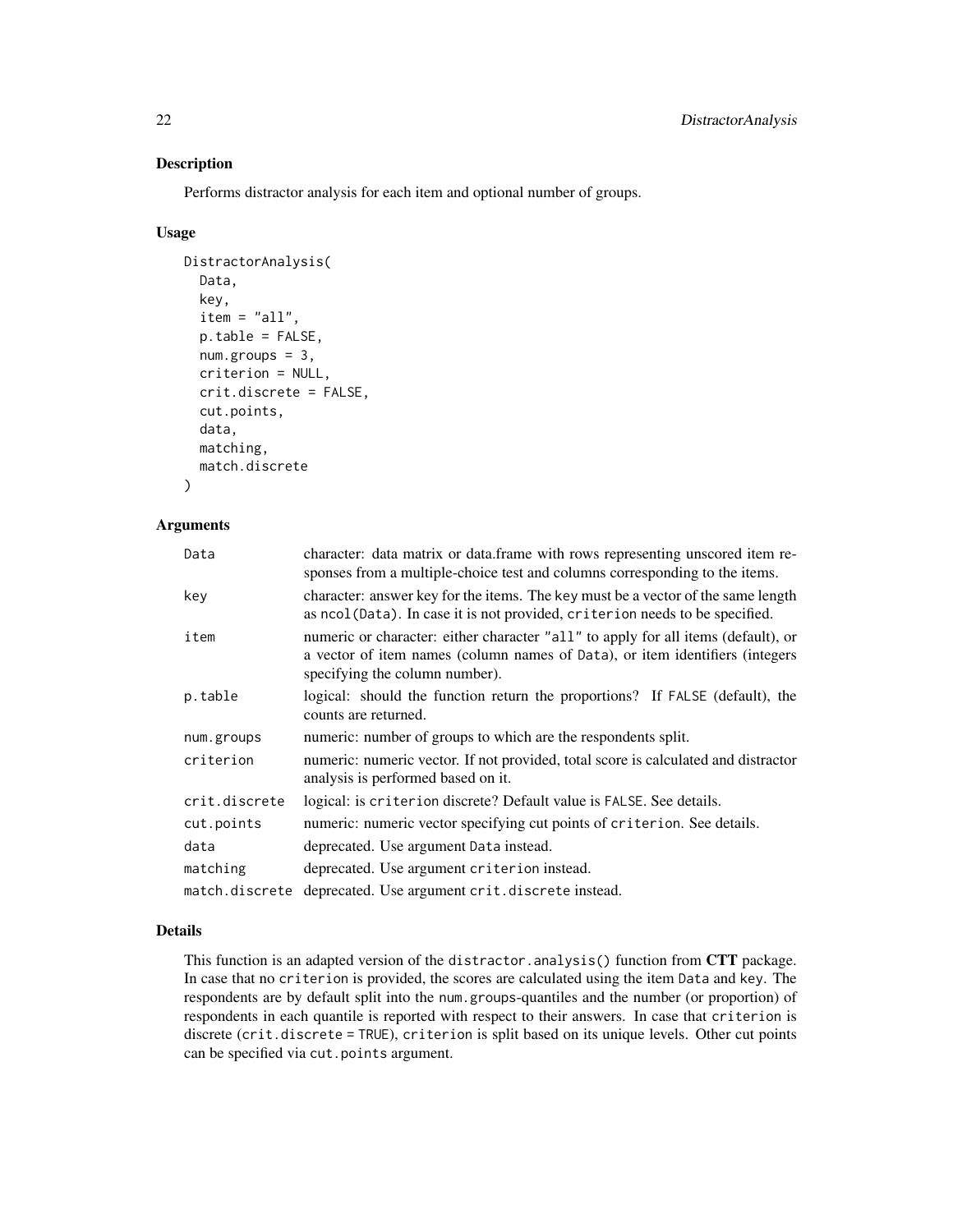Performs distractor analysis for each item and optional number of groups.

# Usage

```
DistractorAnalysis(
  Data,
  key,
  item = "all",
  p.table = FALSE,num.groups = 3,
  criterion = NULL,
  crit.discrete = FALSE,
  cut.points,
  data,
  matching,
  match.discrete
```
)

## Arguments

| Data           | character: data matrix or data.frame with rows representing unscored item re-<br>sponses from a multiple-choice test and columns corresponding to the items.                                        |
|----------------|-----------------------------------------------------------------------------------------------------------------------------------------------------------------------------------------------------|
| key            | character: answer key for the items. The key must be a vector of the same length<br>as ncol(Data). In case it is not provided, criterion needs to be specified.                                     |
| item           | numeric or character: either character "all" to apply for all items (default), or<br>a vector of item names (column names of Data), or item identifiers (integers<br>specifying the column number). |
| p.table        | logical: should the function return the proportions? If FALSE (default), the<br>counts are returned.                                                                                                |
| num.groups     | numeric: number of groups to which are the respondents split.                                                                                                                                       |
| criterion      | numeric: numeric vector. If not provided, total score is calculated and distractor<br>analysis is performed based on it.                                                                            |
| crit.discrete  | logical: is criterion discrete? Default value is FALSE. See details.                                                                                                                                |
| cut.points     | numeric: numeric vector specifying cut points of criterion. See details.                                                                                                                            |
| data           | deprecated. Use argument Data instead.                                                                                                                                                              |
| matching       | deprecated. Use argument criterion instead.                                                                                                                                                         |
| match.discrete | deprecated. Use argument crit.discrete instead.                                                                                                                                                     |

# Details

This function is an adapted version of the distractor.analysis() function from CTT package. In case that no criterion is provided, the scores are calculated using the item Data and key. The respondents are by default split into the num.groups-quantiles and the number (or proportion) of respondents in each quantile is reported with respect to their answers. In case that criterion is discrete (crit.discrete = TRUE), criterion is split based on its unique levels. Other cut points can be specified via cut.points argument.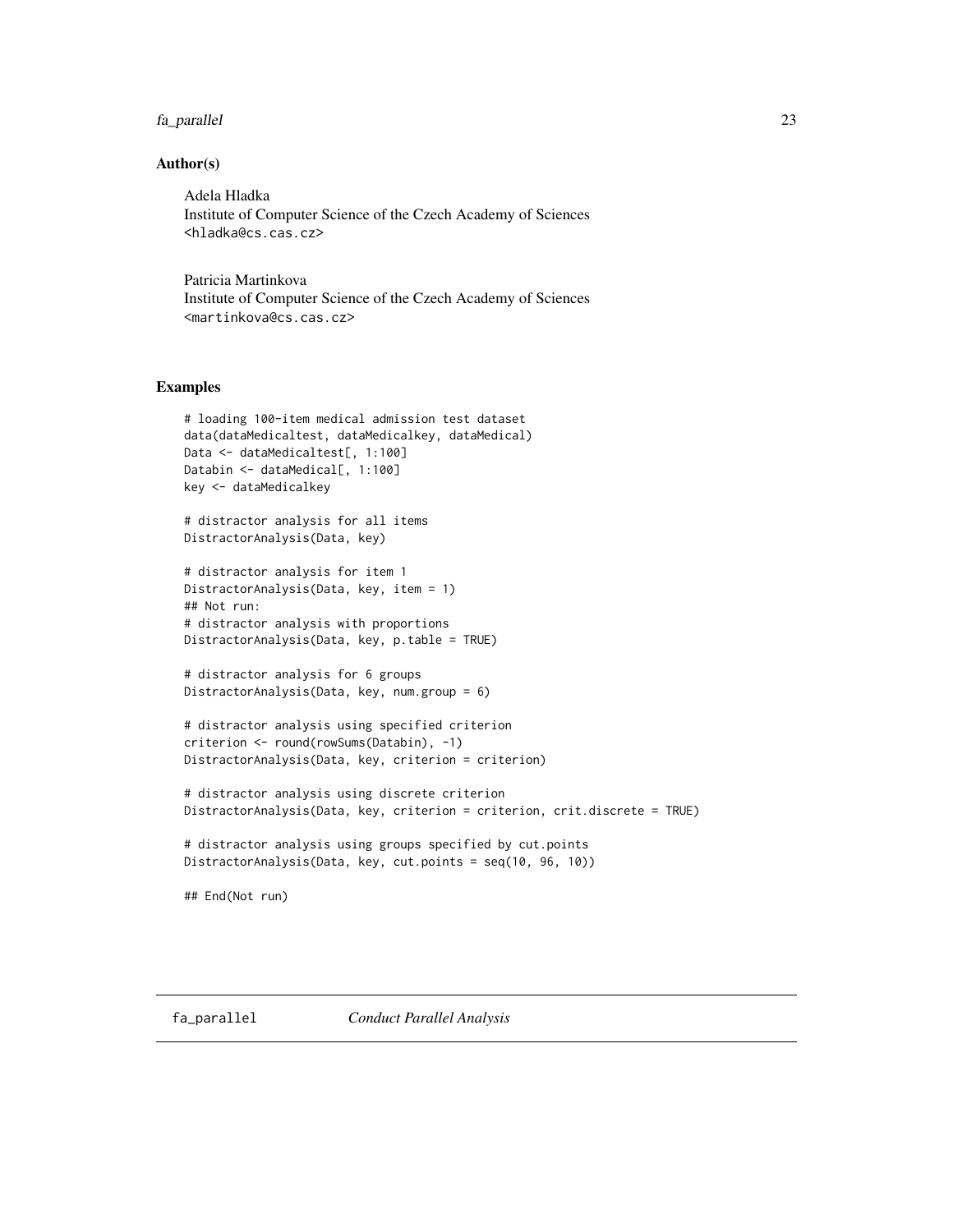# <span id="page-22-0"></span>fa\_parallel 23

# Author(s)

Adela Hladka Institute of Computer Science of the Czech Academy of Sciences <hladka@cs.cas.cz>

Patricia Martinkova Institute of Computer Science of the Czech Academy of Sciences <martinkova@cs.cas.cz>

# Examples

```
# loading 100-item medical admission test dataset
data(dataMedicaltest, dataMedicalkey, dataMedical)
Data <- dataMedicaltest[, 1:100]
Databin <- dataMedical[, 1:100]
key <- dataMedicalkey
# distractor analysis for all items
DistractorAnalysis(Data, key)
# distractor analysis for item 1
DistractorAnalysis(Data, key, item = 1)
## Not run:
# distractor analysis with proportions
DistractorAnalysis(Data, key, p.table = TRUE)
# distractor analysis for 6 groups
DistractorAnalysis(Data, key, num.group = 6)
# distractor analysis using specified criterion
criterion <- round(rowSums(Databin), -1)
DistractorAnalysis(Data, key, criterion = criterion)
# distractor analysis using discrete criterion
DistractorAnalysis(Data, key, criterion = criterion, crit.discrete = TRUE)
# distractor analysis using groups specified by cut.points
DistractorAnalysis(Data, key, cut.points = seq(10, 96, 10))
## End(Not run)
```
<span id="page-22-1"></span>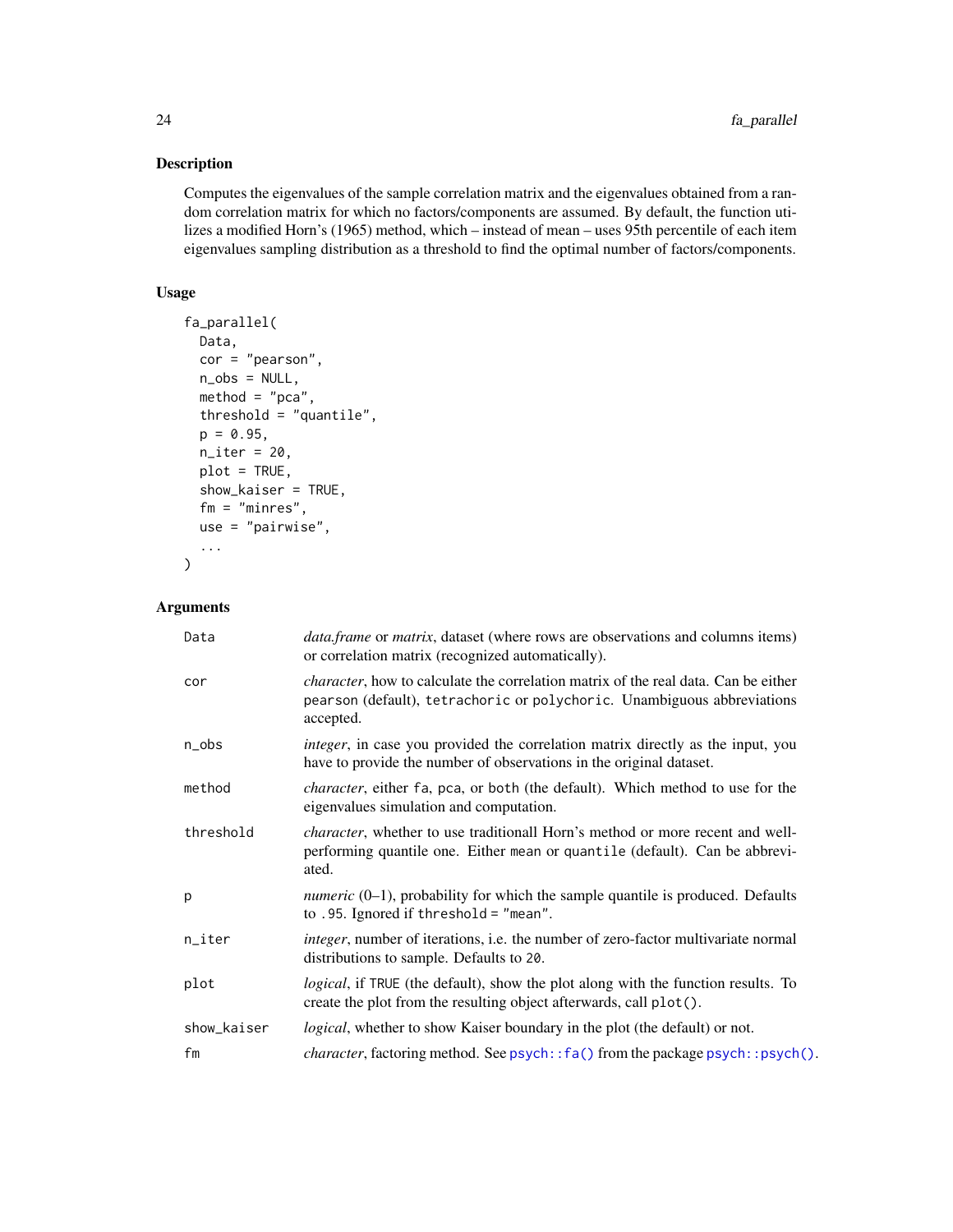Computes the eigenvalues of the sample correlation matrix and the eigenvalues obtained from a random correlation matrix for which no factors/components are assumed. By default, the function utilizes a modified Horn's (1965) method, which – instead of mean – uses 95th percentile of each item eigenvalues sampling distribution as a threshold to find the optimal number of factors/components.

# Usage

```
fa_parallel(
 Data,
 cor = "pearson",
 n_obs = NULL,
 method = "pca",threshold = "quantile",
 p = 0.95,
 n<sub>_iter</sub> = 20,
 plot = TRUE,
 show_kaiser = TRUE,
  fm = "minres",
 use = "pairwise",
  ...
)
```
# Arguments

| Data        | <i>data.frame</i> or <i>matrix</i> , dataset (where rows are observations and columns items)<br>or correlation matrix (recognized automatically).                                  |
|-------------|------------------------------------------------------------------------------------------------------------------------------------------------------------------------------------|
| cor         | <i>character</i> , how to calculate the correlation matrix of the real data. Can be either<br>pearson (default), tetrachoric or polychoric. Unambiguous abbreviations<br>accepted. |
| n_obs       | <i>integer</i> , in case you provided the correlation matrix directly as the input, you<br>have to provide the number of observations in the original dataset.                     |
| method      | <i>character</i> , either fa, pca, or both (the default). Which method to use for the<br>eigenvalues simulation and computation.                                                   |
| threshold   | <i>character</i> , whether to use traditionall Horn's method or more recent and well-<br>performing quantile one. Either mean or quantile (default). Can be abbrevi-<br>ated.      |
| p           | <i>numeric</i> $(0-1)$ , probability for which the sample quantile is produced. Defaults<br>to .95. Ignored if threshold = "mean".                                                 |
| n_iter      | <i>integer</i> , number of iterations, i.e. the number of zero-factor multivariate normal<br>distributions to sample. Defaults to 20.                                              |
| plot        | <i>logical</i> , if TRUE (the default), show the plot along with the function results. To<br>create the plot from the resulting object afterwards, call plot().                    |
| show_kaiser | <i>logical</i> , whether to show Kaiser boundary in the plot (the default) or not.                                                                                                 |
| fm          | <i>character</i> , factoring method. See psych:: fa() from the package psych:: psych().                                                                                            |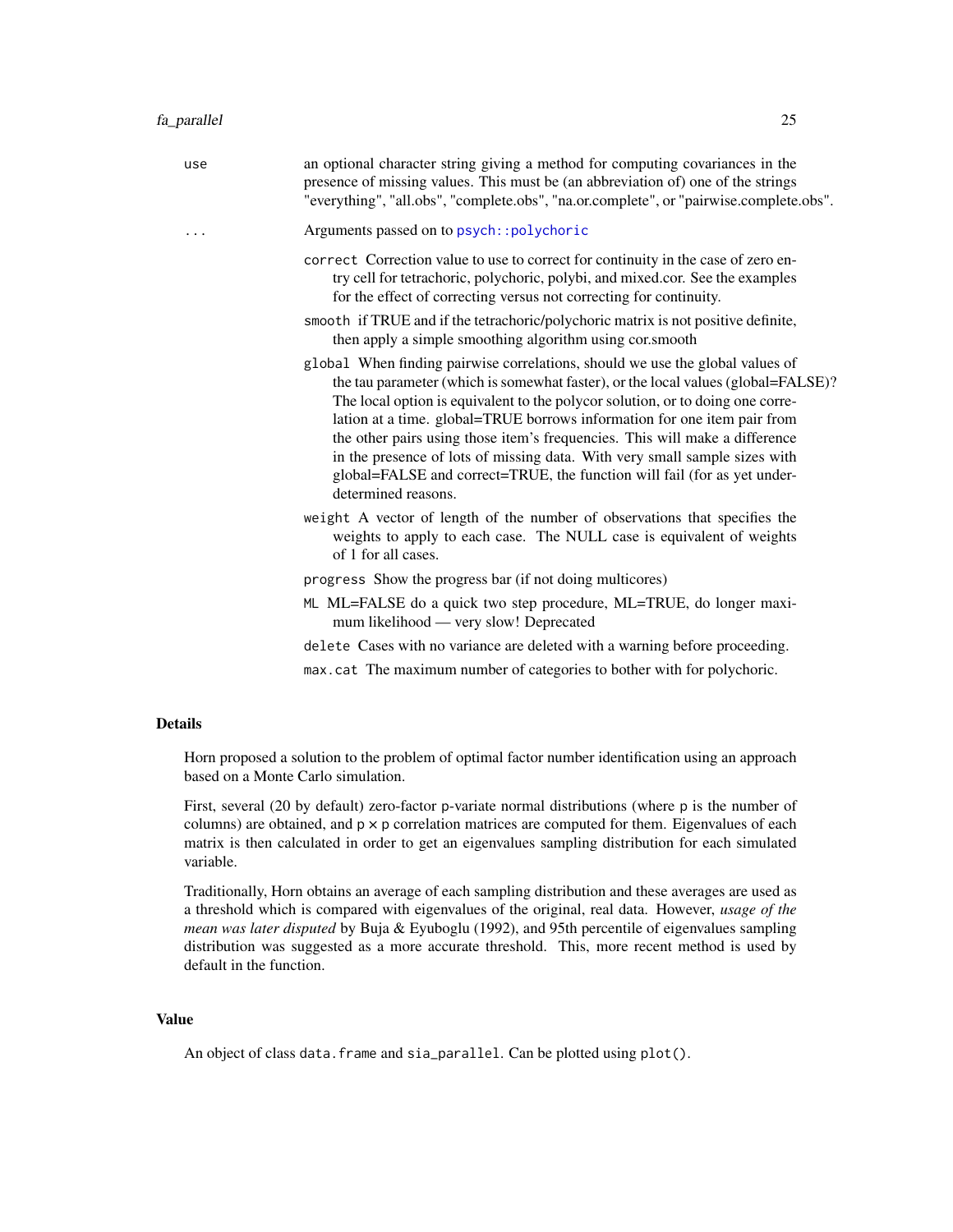| use | an optional character string giving a method for computing covariances in the<br>presence of missing values. This must be (an abbreviation of) one of the strings<br>"everything", "all.obs", "complete.obs", "na.or.complete", or "pairwise.complete.obs".                                                                                                                                                                                                                                                                                                                                      |
|-----|--------------------------------------------------------------------------------------------------------------------------------------------------------------------------------------------------------------------------------------------------------------------------------------------------------------------------------------------------------------------------------------------------------------------------------------------------------------------------------------------------------------------------------------------------------------------------------------------------|
| .   | Arguments passed on to psych:: polychoric                                                                                                                                                                                                                                                                                                                                                                                                                                                                                                                                                        |
|     | correct Correction value to use to correct for continuity in the case of zero en-<br>try cell for tetrachoric, polychoric, polybi, and mixed.cor. See the examples<br>for the effect of correcting versus not correcting for continuity.                                                                                                                                                                                                                                                                                                                                                         |
|     | smooth if TRUE and if the tetrachoric/polychoric matrix is not positive definite,<br>then apply a simple smoothing algorithm using cor.smooth                                                                                                                                                                                                                                                                                                                                                                                                                                                    |
|     | global When finding pairwise correlations, should we use the global values of<br>the tau parameter (which is somewhat faster), or the local values (global=FALSE)?<br>The local option is equivalent to the polycor solution, or to doing one corre-<br>lation at a time. global=TRUE borrows information for one item pair from<br>the other pairs using those item's frequencies. This will make a difference<br>in the presence of lots of missing data. With very small sample sizes with<br>global=FALSE and correct=TRUE, the function will fail (for as yet under-<br>determined reasons. |
|     | weight A vector of length of the number of observations that specifies the<br>weights to apply to each case. The NULL case is equivalent of weights<br>of 1 for all cases.                                                                                                                                                                                                                                                                                                                                                                                                                       |
|     | progress Show the progress bar (if not doing multicores)                                                                                                                                                                                                                                                                                                                                                                                                                                                                                                                                         |
|     | ML ML=FALSE do a quick two step procedure, ML=TRUE, do longer maxi-<br>mum likelihood — very slow! Deprecated                                                                                                                                                                                                                                                                                                                                                                                                                                                                                    |
|     | delete Cases with no variance are deleted with a warning before proceeding.                                                                                                                                                                                                                                                                                                                                                                                                                                                                                                                      |
|     |                                                                                                                                                                                                                                                                                                                                                                                                                                                                                                                                                                                                  |

max.cat The maximum number of categories to bother with for polychoric.

# Details

Horn proposed a solution to the problem of optimal factor number identification using an approach based on a Monte Carlo simulation.

First, several (20 by default) zero-factor p-variate normal distributions (where p is the number of columns) are obtained, and  $p \times p$  correlation matrices are computed for them. Eigenvalues of each matrix is then calculated in order to get an eigenvalues sampling distribution for each simulated variable.

Traditionally, Horn obtains an average of each sampling distribution and these averages are used as a threshold which is compared with eigenvalues of the original, real data. However, *usage of the mean was later disputed* by Buja & Eyuboglu (1992), and 95th percentile of eigenvalues sampling distribution was suggested as a more accurate threshold. This, more recent method is used by default in the function.

# Value

An object of class data.frame and sia\_parallel. Can be plotted using plot().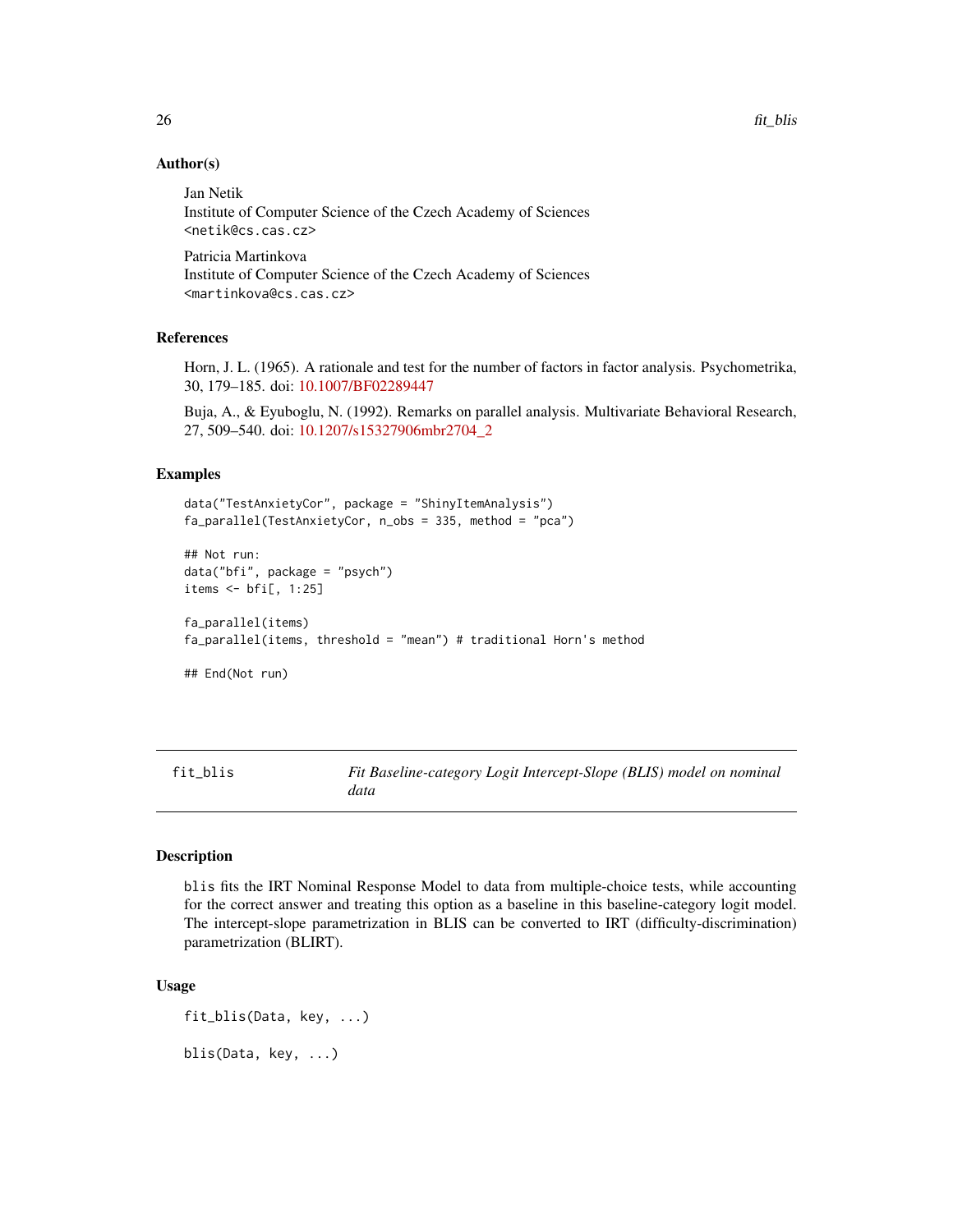# Author(s)

Jan Netik Institute of Computer Science of the Czech Academy of Sciences <netik@cs.cas.cz>

Patricia Martinkova Institute of Computer Science of the Czech Academy of Sciences <martinkova@cs.cas.cz>

# References

Horn, J. L. (1965). A rationale and test for the number of factors in factor analysis. Psychometrika, 30, 179–185. doi: [10.1007/BF02289447](https://doi.org/10.1007/BF02289447)

Buja, A., & Eyuboglu, N. (1992). Remarks on parallel analysis. Multivariate Behavioral Research, 27, 509–540. doi: [10.1207/s15327906mbr2704\\_2](https://doi.org/10.1207/s15327906mbr2704_2)

## Examples

```
data("TestAnxietyCor", package = "ShinyItemAnalysis")
fa_parallel(TestAnxietyCor, n_obs = 335, method = "pca")
## Not run:
data("bfi", package = "psych")
items <- bfi[, 1:25]
fa_parallel(items)
fa_parallel(items, threshold = "mean") # traditional Horn's method
## End(Not run)
```
<span id="page-25-1"></span>fit\_blis *Fit Baseline-category Logit Intercept-Slope (BLIS) model on nominal data*

# Description

blis fits the IRT Nominal Response Model to data from multiple-choice tests, while accounting for the correct answer and treating this option as a baseline in this baseline-category logit model. The intercept-slope parametrization in BLIS can be converted to IRT (difficulty-discrimination) parametrization (BLIRT).

#### Usage

fit\_blis(Data, key, ...) blis(Data, key, ...)

<span id="page-25-0"></span>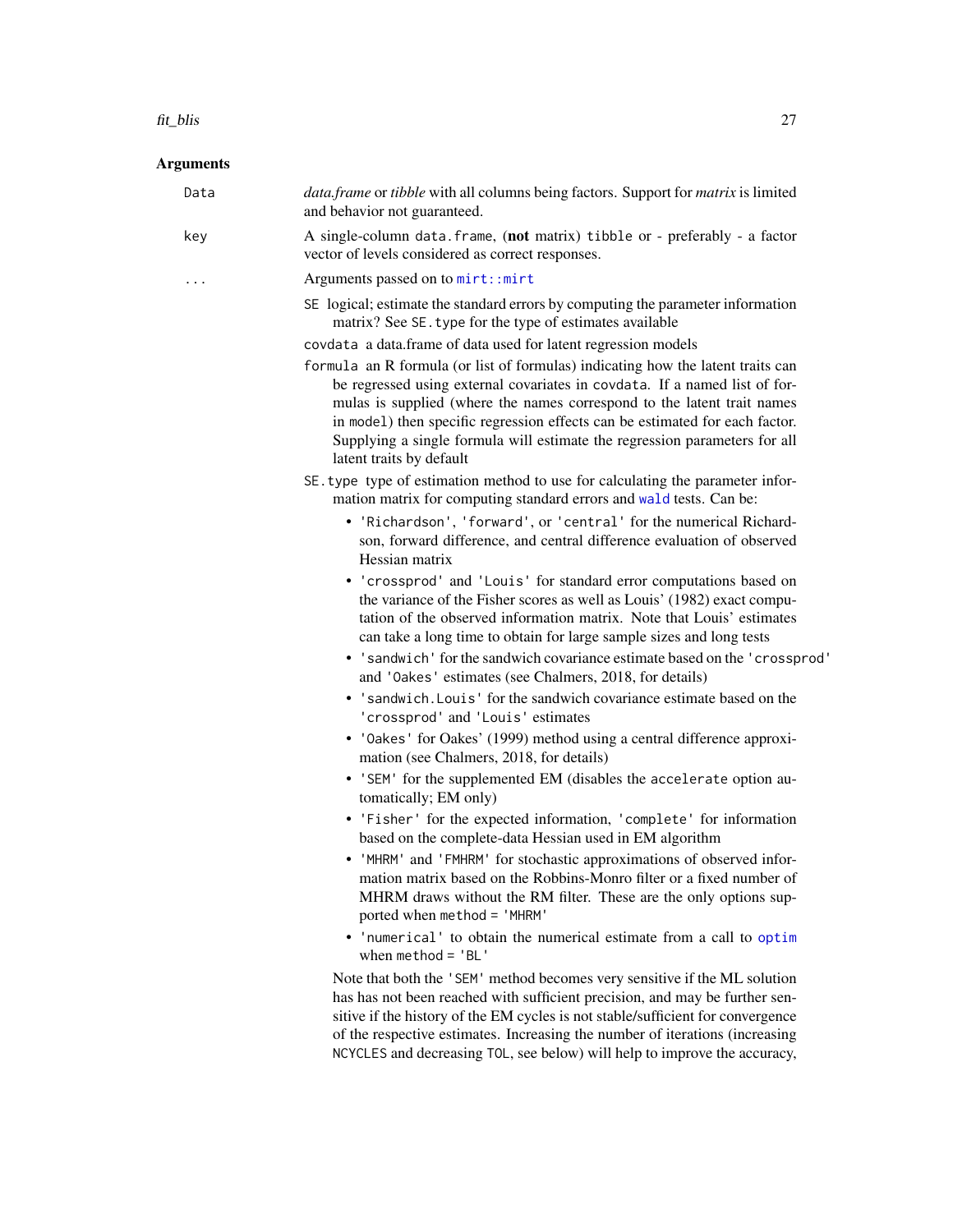#### fit\_blis 27

#### Arguments

Data *data.frame* or *tibble* with all columns being factors. Support for *matrix* is limited and behavior not guaranteed. key A single-column data.frame, (not matrix) tibble or - preferably - a factor vector of levels considered as correct responses. ... Arguments passed on to [mirt::mirt](#page-0-0) SE logical; estimate the standard errors by computing the parameter information matrix? See SE.type for the type of estimates available covdata a data.frame of data used for latent regression models formula an R formula (or list of formulas) indicating how the latent traits can be regressed using external covariates in covdata. If a named list of formulas is supplied (where the names correspond to the latent trait names in model) then specific regression effects can be estimated for each factor. Supplying a single formula will estimate the regression parameters for all latent traits by default SE.type type of estimation method to use for calculating the parameter information matrix for computing standard errors and [wald](#page-0-0) tests. Can be: • 'Richardson', 'forward', or 'central' for the numerical Richardson, forward difference, and central difference evaluation of observed Hessian matrix • 'crossprod' and 'Louis' for standard error computations based on the variance of the Fisher scores as well as Louis' (1982) exact computation of the observed information matrix. Note that Louis' estimates can take a long time to obtain for large sample sizes and long tests • 'sandwich' for the sandwich covariance estimate based on the 'crossprod' and 'Oakes' estimates (see Chalmers, 2018, for details) • 'sandwich.Louis' for the sandwich covariance estimate based on the 'crossprod' and 'Louis' estimates • 'Oakes' for Oakes' (1999) method using a central difference approximation (see Chalmers, 2018, for details) • 'SEM' for the supplemented EM (disables the accelerate option automatically; EM only) • 'Fisher' for the expected information, 'complete' for information based on the complete-data Hessian used in EM algorithm • 'MHRM' and 'FMHRM' for stochastic approximations of observed information matrix based on the Robbins-Monro filter or a fixed number of MHRM draws without the RM filter. These are the only options supported when method = 'MHRM' • 'numerical' to obtain the numerical estimate from a call to [optim](#page-0-0) when  $method = 'BL'$ Note that both the 'SEM' method becomes very sensitive if the ML solution has has not been reached with sufficient precision, and may be further sensitive if the history of the EM cycles is not stable/sufficient for convergence of the respective estimates. Increasing the number of iterations (increasing

NCYCLES and decreasing TOL, see below) will help to improve the accuracy,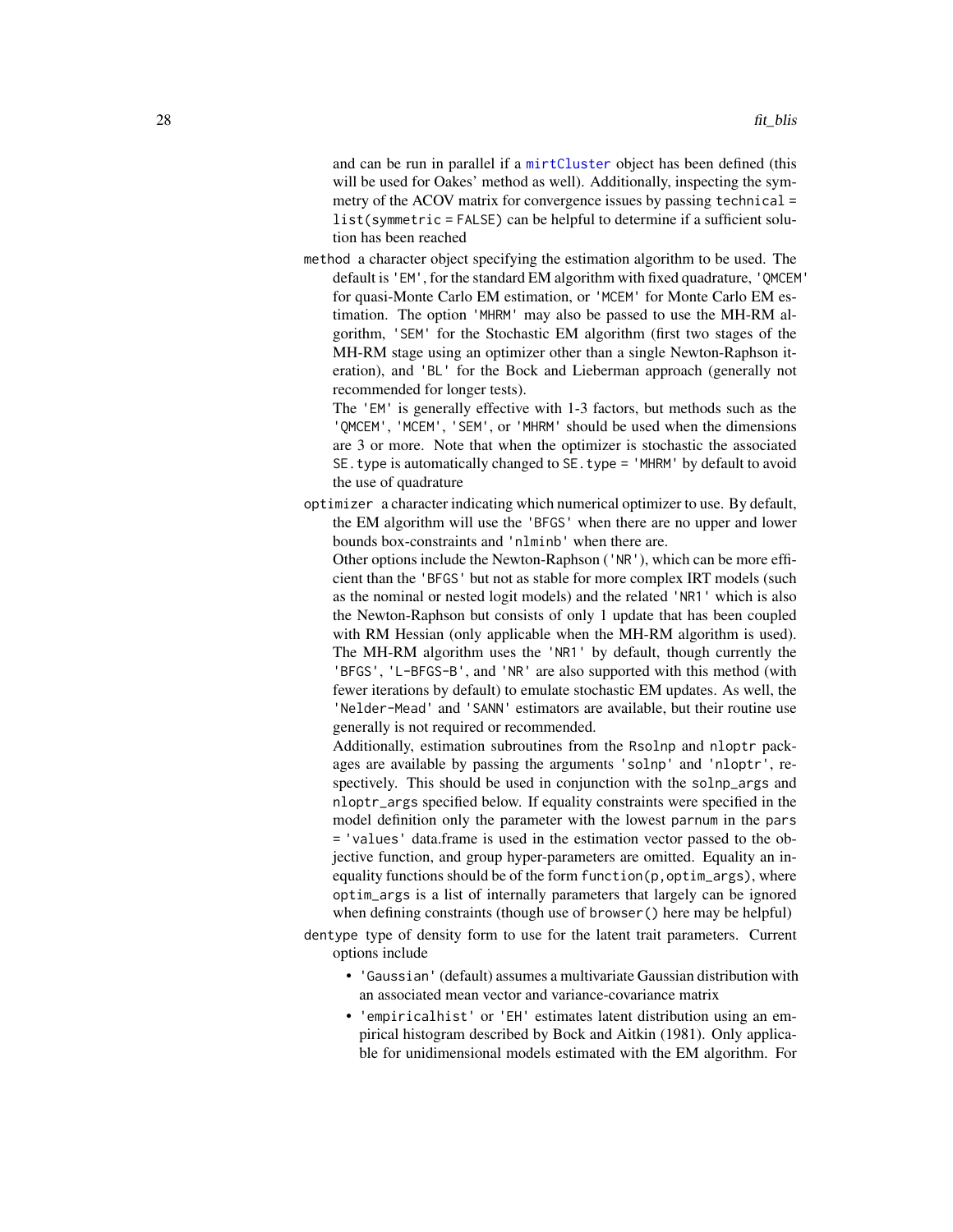and can be run in parallel if a [mirtCluster](#page-0-0) object has been defined (this will be used for Oakes' method as well). Additionally, inspecting the symmetry of the ACOV matrix for convergence issues by passing technical = list(symmetric = FALSE) can be helpful to determine if a sufficient solution has been reached

method a character object specifying the estimation algorithm to be used. The default is 'EM', for the standard EM algorithm with fixed quadrature, 'QMCEM' for quasi-Monte Carlo EM estimation, or 'MCEM' for Monte Carlo EM estimation. The option 'MHRM' may also be passed to use the MH-RM algorithm, 'SEM' for the Stochastic EM algorithm (first two stages of the MH-RM stage using an optimizer other than a single Newton-Raphson iteration), and 'BL' for the Bock and Lieberman approach (generally not recommended for longer tests).

The 'EM' is generally effective with 1-3 factors, but methods such as the 'QMCEM', 'MCEM', 'SEM', or 'MHRM' should be used when the dimensions are 3 or more. Note that when the optimizer is stochastic the associated SE.type is automatically changed to SE.type = 'MHRM' by default to avoid the use of quadrature

optimizer a character indicating which numerical optimizer to use. By default, the EM algorithm will use the 'BFGS' when there are no upper and lower bounds box-constraints and 'nlminb' when there are.

Other options include the Newton-Raphson ('NR'), which can be more efficient than the 'BFGS' but not as stable for more complex IRT models (such as the nominal or nested logit models) and the related 'NR1' which is also the Newton-Raphson but consists of only 1 update that has been coupled with RM Hessian (only applicable when the MH-RM algorithm is used). The MH-RM algorithm uses the 'NR1' by default, though currently the 'BFGS', 'L-BFGS-B', and 'NR' are also supported with this method (with fewer iterations by default) to emulate stochastic EM updates. As well, the 'Nelder-Mead' and 'SANN' estimators are available, but their routine use generally is not required or recommended.

Additionally, estimation subroutines from the Rsolnp and nloptr packages are available by passing the arguments 'solnp' and 'nloptr', respectively. This should be used in conjunction with the solnp\_args and nloptr\_args specified below. If equality constraints were specified in the model definition only the parameter with the lowest parnum in the pars = 'values' data.frame is used in the estimation vector passed to the objective function, and group hyper-parameters are omitted. Equality an inequality functions should be of the form function(p, optim\_args), where optim\_args is a list of internally parameters that largely can be ignored when defining constraints (though use of browser() here may be helpful)

- dentype type of density form to use for the latent trait parameters. Current options include
	- 'Gaussian' (default) assumes a multivariate Gaussian distribution with an associated mean vector and variance-covariance matrix
	- 'empiricalhist' or 'EH' estimates latent distribution using an empirical histogram described by Bock and Aitkin (1981). Only applicable for unidimensional models estimated with the EM algorithm. For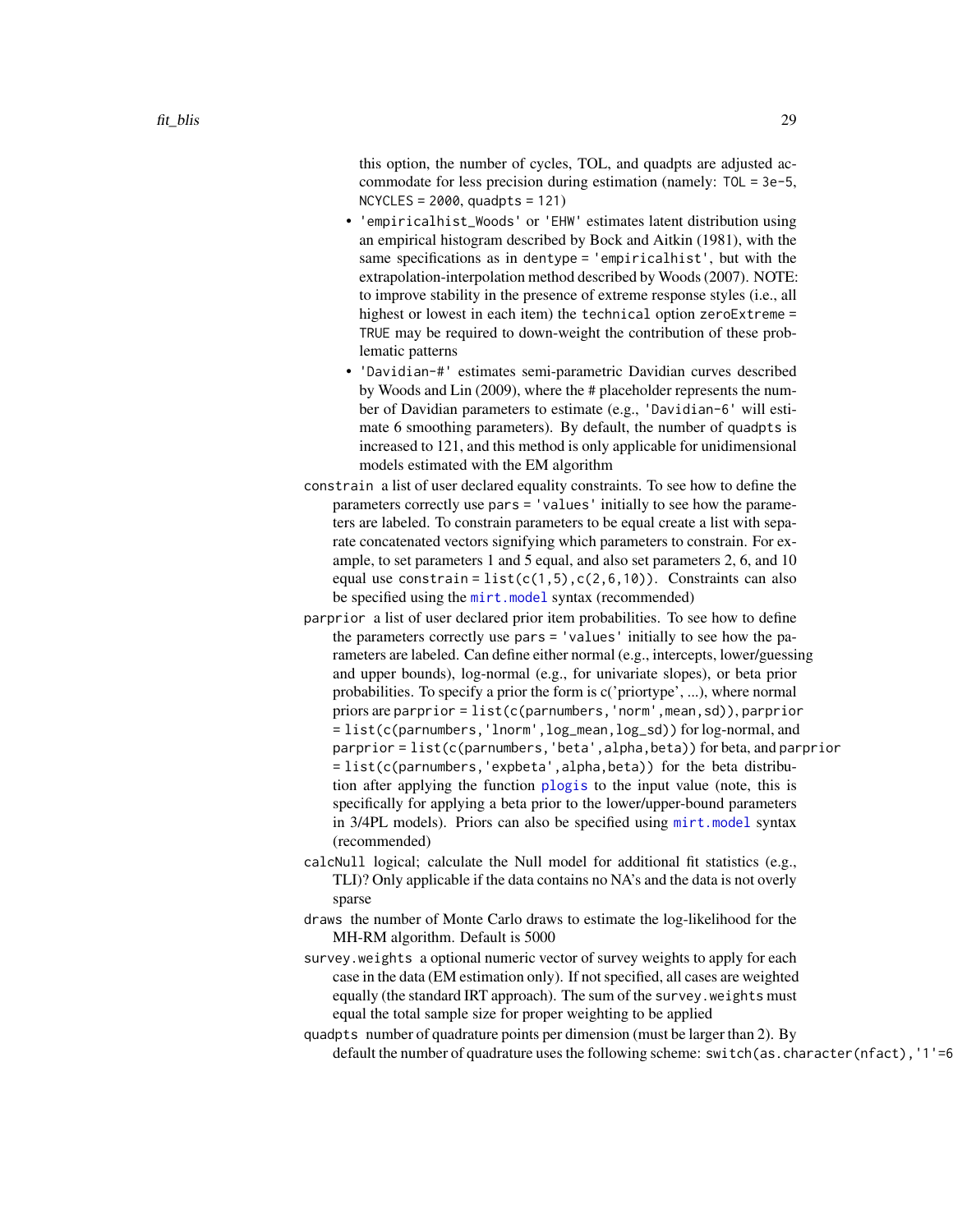this option, the number of cycles, TOL, and quadpts are adjusted accommodate for less precision during estimation (namely: TOL = 3e-5,  $NCYCLES = 2000$ , quadpts = 121)

- 'empiricalhist\_Woods' or 'EHW' estimates latent distribution using an empirical histogram described by Bock and Aitkin (1981), with the same specifications as in dentype = 'empiricalhist', but with the extrapolation-interpolation method described by Woods (2007). NOTE: to improve stability in the presence of extreme response styles (i.e., all highest or lowest in each item) the technical option zeroExtreme = TRUE may be required to down-weight the contribution of these problematic patterns
- 'Davidian-#' estimates semi-parametric Davidian curves described by Woods and Lin (2009), where the # placeholder represents the number of Davidian parameters to estimate (e.g., 'Davidian-6' will estimate 6 smoothing parameters). By default, the number of quadpts is increased to 121, and this method is only applicable for unidimensional models estimated with the EM algorithm
- constrain a list of user declared equality constraints. To see how to define the parameters correctly use pars = 'values' initially to see how the parameters are labeled. To constrain parameters to be equal create a list with separate concatenated vectors signifying which parameters to constrain. For example, to set parameters 1 and 5 equal, and also set parameters 2, 6, and 10 equal use constrain =  $list(c(1,5),c(2,6,10))$ . Constraints can also be specified using the [mirt.model](#page-0-0) syntax (recommended)
- parprior a list of user declared prior item probabilities. To see how to define the parameters correctly use pars = 'values' initially to see how the parameters are labeled. Can define either normal (e.g., intercepts, lower/guessing and upper bounds), log-normal (e.g., for univariate slopes), or beta prior probabilities. To specify a prior the form is c('priortype', ...), where normal priors are parprior = list(c(parnumbers,'norm',mean,sd)), parprior = list(c(parnumbers,'lnorm',log\_mean,log\_sd)) for log-normal, and parprior = list(c(parnumbers,'beta',alpha,beta)) for beta, and parprior = list(c(parnumbers,'expbeta',alpha,beta)) for the beta distribution after applying the function [plogis](#page-0-0) to the input value (note, this is specifically for applying a beta prior to the lower/upper-bound parameters in 3/4PL models). Priors can also be specified using [mirt.model](#page-0-0) syntax (recommended)
- calcNull logical; calculate the Null model for additional fit statistics (e.g., TLI)? Only applicable if the data contains no NA's and the data is not overly sparse
- draws the number of Monte Carlo draws to estimate the log-likelihood for the MH-RM algorithm. Default is 5000
- survey.weights a optional numeric vector of survey weights to apply for each case in the data (EM estimation only). If not specified, all cases are weighted equally (the standard IRT approach). The sum of the survey.weights must equal the total sample size for proper weighting to be applied
- quadpts number of quadrature points per dimension (must be larger than 2). By default the number of quadrature uses the following scheme: switch(as.character(nfact), '1'=6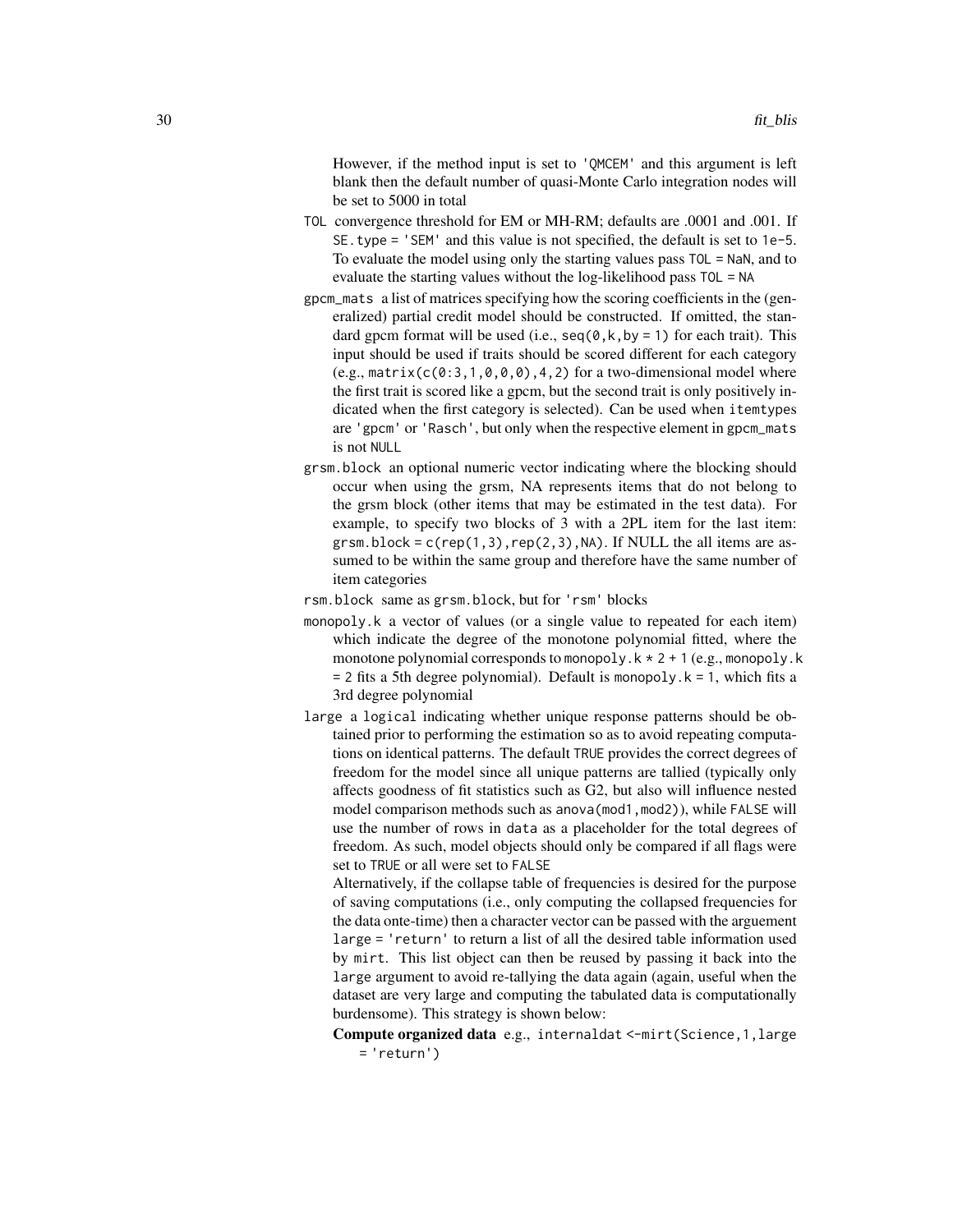However, if the method input is set to 'QMCEM' and this argument is left blank then the default number of quasi-Monte Carlo integration nodes will be set to 5000 in total

- TOL convergence threshold for EM or MH-RM; defaults are .0001 and .001. If SE.type = 'SEM' and this value is not specified, the default is set to 1e-5. To evaluate the model using only the starting values pass TOL = NaN, and to evaluate the starting values without the log-likelihood pass TOL = NA
- gpcm\_mats a list of matrices specifying how the scoring coefficients in the (generalized) partial credit model should be constructed. If omitted, the standard gpcm format will be used (i.e.,  $seq(0, k, by = 1)$  for each trait). This input should be used if traits should be scored different for each category  $(e.g., matrix(c(0:3,1,0,0,0),4,2)$  for a two-dimensional model where the first trait is scored like a gpcm, but the second trait is only positively indicated when the first category is selected). Can be used when itemtypes are 'gpcm' or 'Rasch', but only when the respective element in gpcm\_mats is not NULL
- grsm.block an optional numeric vector indicating where the blocking should occur when using the grsm, NA represents items that do not belong to the grsm block (other items that may be estimated in the test data). For example, to specify two blocks of 3 with a 2PL item for the last item: grsm.block =  $c$ (rep(1,3),rep(2,3),NA). If NULL the all items are assumed to be within the same group and therefore have the same number of item categories
- rsm.block same as grsm.block, but for 'rsm' blocks
- monopoly.k a vector of values (or a single value to repeated for each item) which indicate the degree of the monotone polynomial fitted, where the monotone polynomial corresponds to monopoly. $k \times 2 + 1$  (e.g., monopoly.k  $= 2$  fits a 5th degree polynomial). Default is monopoly.  $k = 1$ , which fits a 3rd degree polynomial
- large a logical indicating whether unique response patterns should be obtained prior to performing the estimation so as to avoid repeating computations on identical patterns. The default TRUE provides the correct degrees of freedom for the model since all unique patterns are tallied (typically only affects goodness of fit statistics such as G2, but also will influence nested model comparison methods such as anova(mod1,mod2)), while FALSE will use the number of rows in data as a placeholder for the total degrees of freedom. As such, model objects should only be compared if all flags were set to TRUE or all were set to FALSE

Alternatively, if the collapse table of frequencies is desired for the purpose of saving computations (i.e., only computing the collapsed frequencies for the data onte-time) then a character vector can be passed with the arguement large = 'return' to return a list of all the desired table information used by mirt. This list object can then be reused by passing it back into the large argument to avoid re-tallying the data again (again, useful when the dataset are very large and computing the tabulated data is computationally burdensome). This strategy is shown below:

Compute organized data e.g., internaldat <-mirt(Science,1,large = 'return')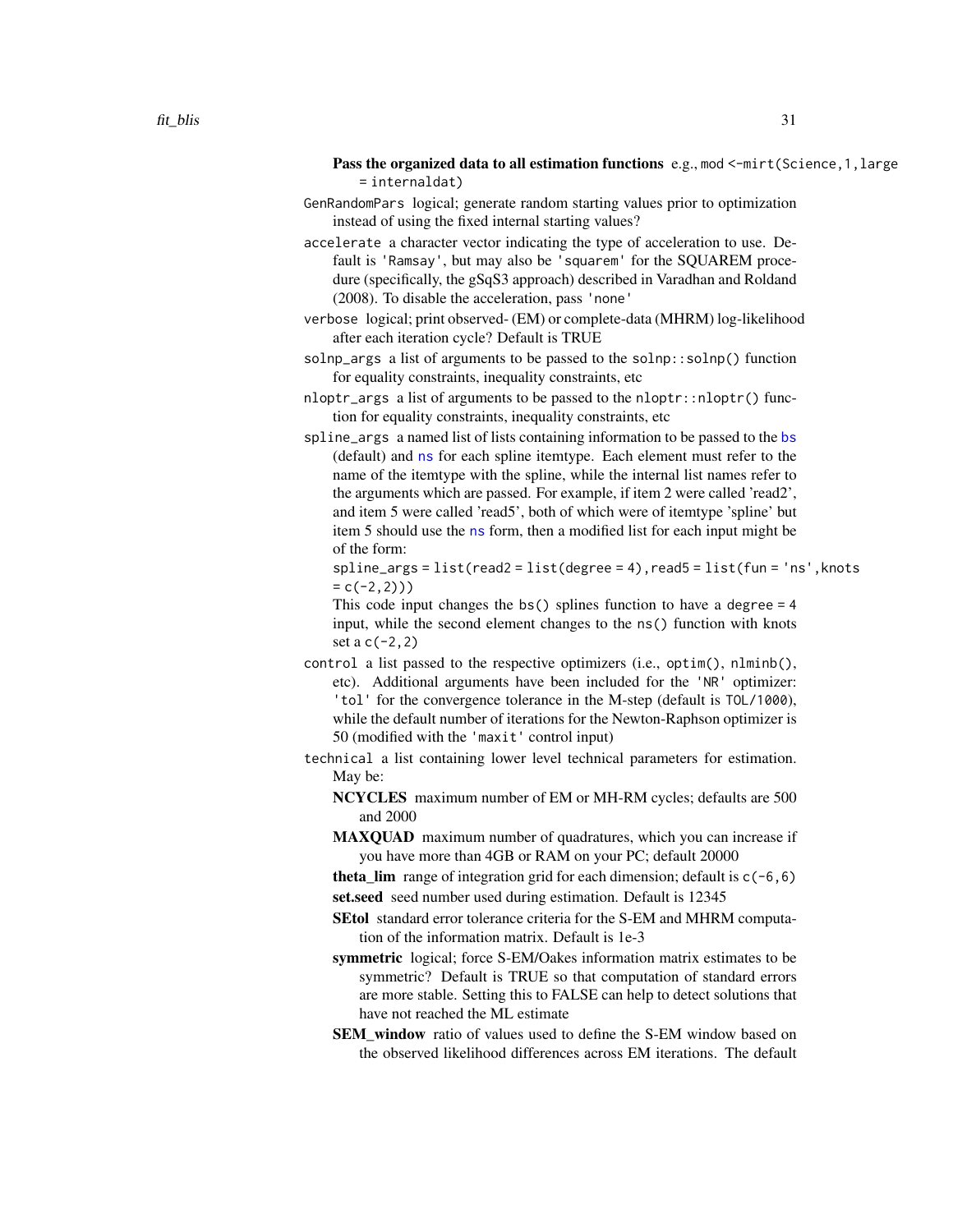- Pass the organized data to all estimation functions  $e.g., \text{mod} < -\text{mirt}$  (Science, 1, large = internaldat)
- GenRandomPars logical; generate random starting values prior to optimization instead of using the fixed internal starting values?
- accelerate a character vector indicating the type of acceleration to use. Default is 'Ramsay', but may also be 'squarem' for the SQUAREM procedure (specifically, the gSqS3 approach) described in Varadhan and Roldand (2008). To disable the acceleration, pass 'none'
- verbose logical; print observed- (EM) or complete-data (MHRM) log-likelihood after each iteration cycle? Default is TRUE
- solnp\_args a list of arguments to be passed to the solnp::solnp() function for equality constraints, inequality constraints, etc
- nloptr\_args a list of arguments to be passed to the nloptr::nloptr() function for equality constraints, inequality constraints, etc
- spline\_args a named list of lists containing information to be passed to the [bs](#page-0-0) (default) and [ns](#page-0-0) for each spline itemtype. Each element must refer to the name of the itemtype with the spline, while the internal list names refer to the arguments which are passed. For example, if item 2 were called 'read2', and item 5 were called 'read5', both of which were of itemtype 'spline' but item 5 should use the [ns](#page-0-0) form, then a modified list for each input might be of the form:

spline\_args = list(read2 = list(degree = 4),read5 = list(fun = 'ns',knots  $= c(-2, 2))$ 

This code input changes the bs() splines function to have a degree = 4 input, while the second element changes to the ns() function with knots set a  $c(-2, 2)$ 

- control a list passed to the respective optimizers (i.e., optim(), nlminb(), etc). Additional arguments have been included for the 'NR' optimizer: 'tol' for the convergence tolerance in the M-step (default is TOL/1000), while the default number of iterations for the Newton-Raphson optimizer is 50 (modified with the 'maxit' control input)
- technical a list containing lower level technical parameters for estimation. May be:
	- NCYCLES maximum number of EM or MH-RM cycles; defaults are 500 and 2000
	- MAXQUAD maximum number of quadratures, which you can increase if you have more than 4GB or RAM on your PC; default 20000
	- **theta\_lim** range of integration grid for each dimension; default is  $c(-6, 6)$ set.seed seed number used during estimation. Default is 12345
	- SEtol standard error tolerance criteria for the S-EM and MHRM computation of the information matrix. Default is 1e-3
	- symmetric logical; force S-EM/Oakes information matrix estimates to be symmetric? Default is TRUE so that computation of standard errors are more stable. Setting this to FALSE can help to detect solutions that have not reached the ML estimate
	- SEM window ratio of values used to define the S-EM window based on the observed likelihood differences across EM iterations. The default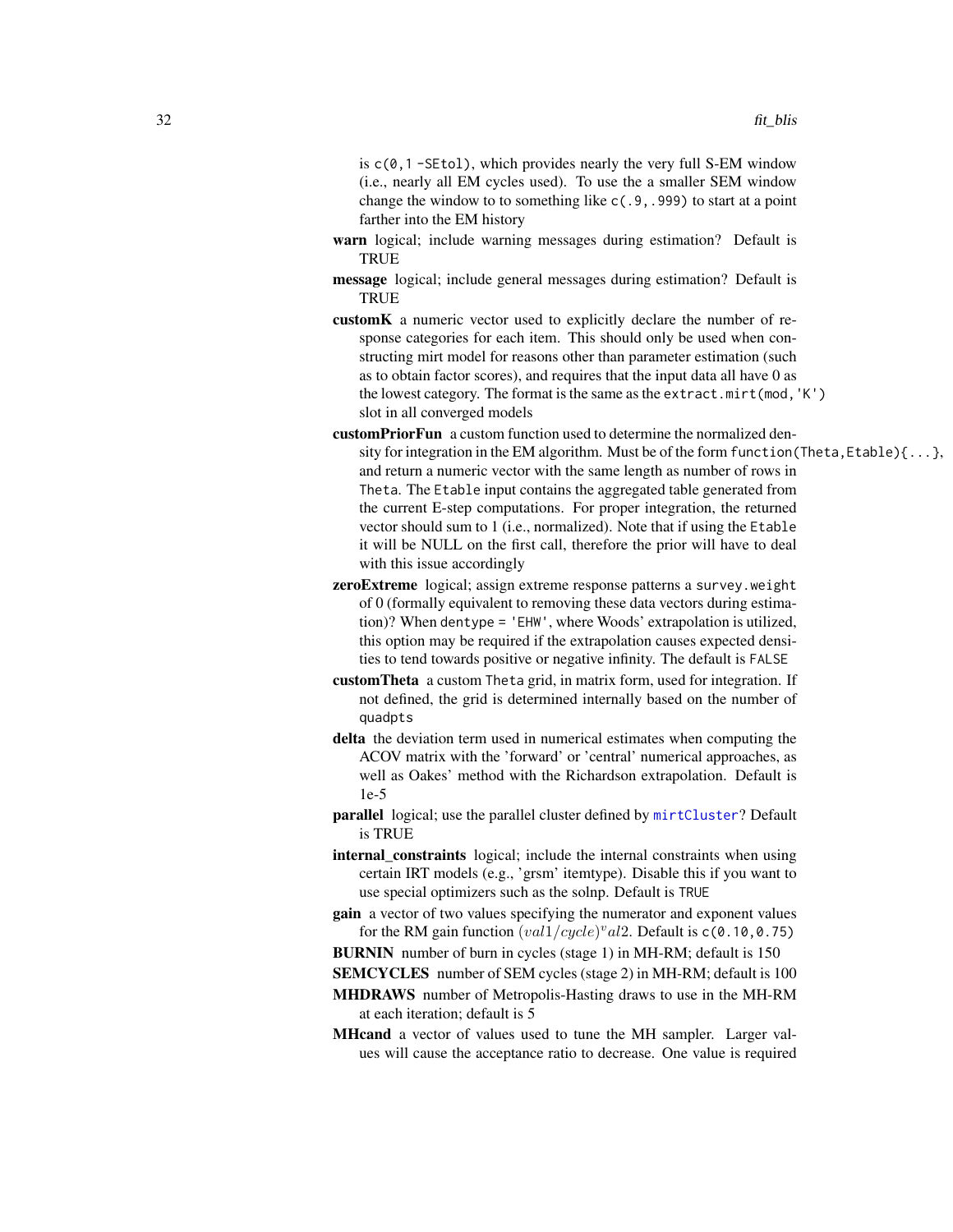is  $c(0, 1 - SEtol)$ , which provides nearly the very full S-EM window (i.e., nearly all EM cycles used). To use the a smaller SEM window change the window to to something like c(.9,.999) to start at a point farther into the EM history

- warn logical; include warning messages during estimation? Default is **TRUE**
- message logical; include general messages during estimation? Default is **TRUE**
- customK a numeric vector used to explicitly declare the number of response categories for each item. This should only be used when constructing mirt model for reasons other than parameter estimation (such as to obtain factor scores), and requires that the input data all have 0 as the lowest category. The format is the same as the extract.mirt(mod,'K') slot in all converged models
- customPriorFun a custom function used to determine the normalized density for integration in the EM algorithm. Must be of the form function (Theta, Etable) $\{ \ldots \}$ , and return a numeric vector with the same length as number of rows in Theta. The Etable input contains the aggregated table generated from the current E-step computations. For proper integration, the returned vector should sum to 1 (i.e., normalized). Note that if using the Etable it will be NULL on the first call, therefore the prior will have to deal with this issue accordingly
- zeroExtreme logical; assign extreme response patterns a survey.weight of 0 (formally equivalent to removing these data vectors during estimation)? When dentype = 'EHW', where Woods' extrapolation is utilized, this option may be required if the extrapolation causes expected densities to tend towards positive or negative infinity. The default is FALSE
- customTheta a custom Theta grid, in matrix form, used for integration. If not defined, the grid is determined internally based on the number of quadpts
- delta the deviation term used in numerical estimates when computing the ACOV matrix with the 'forward' or 'central' numerical approaches, as well as Oakes' method with the Richardson extrapolation. Default is 1e-5
- parallel logical; use the parallel cluster defined by [mirtCluster](#page-0-0)? Default is TRUE
- internal\_constraints logical; include the internal constraints when using certain IRT models (e.g., 'grsm' itemtype). Disable this if you want to use special optimizers such as the solnp. Default is TRUE
- gain a vector of two values specifying the numerator and exponent values for the RM gain function  $\left(\frac{val1}{cycle}\right)^{v}al2$ . Default is c(0.10,0.75)
- BURNIN number of burn in cycles (stage 1) in MH-RM; default is 150
- SEMCYCLES number of SEM cycles (stage 2) in MH-RM; default is 100
- MHDRAWS number of Metropolis-Hasting draws to use in the MH-RM at each iteration; default is 5
- MHcand a vector of values used to tune the MH sampler. Larger values will cause the acceptance ratio to decrease. One value is required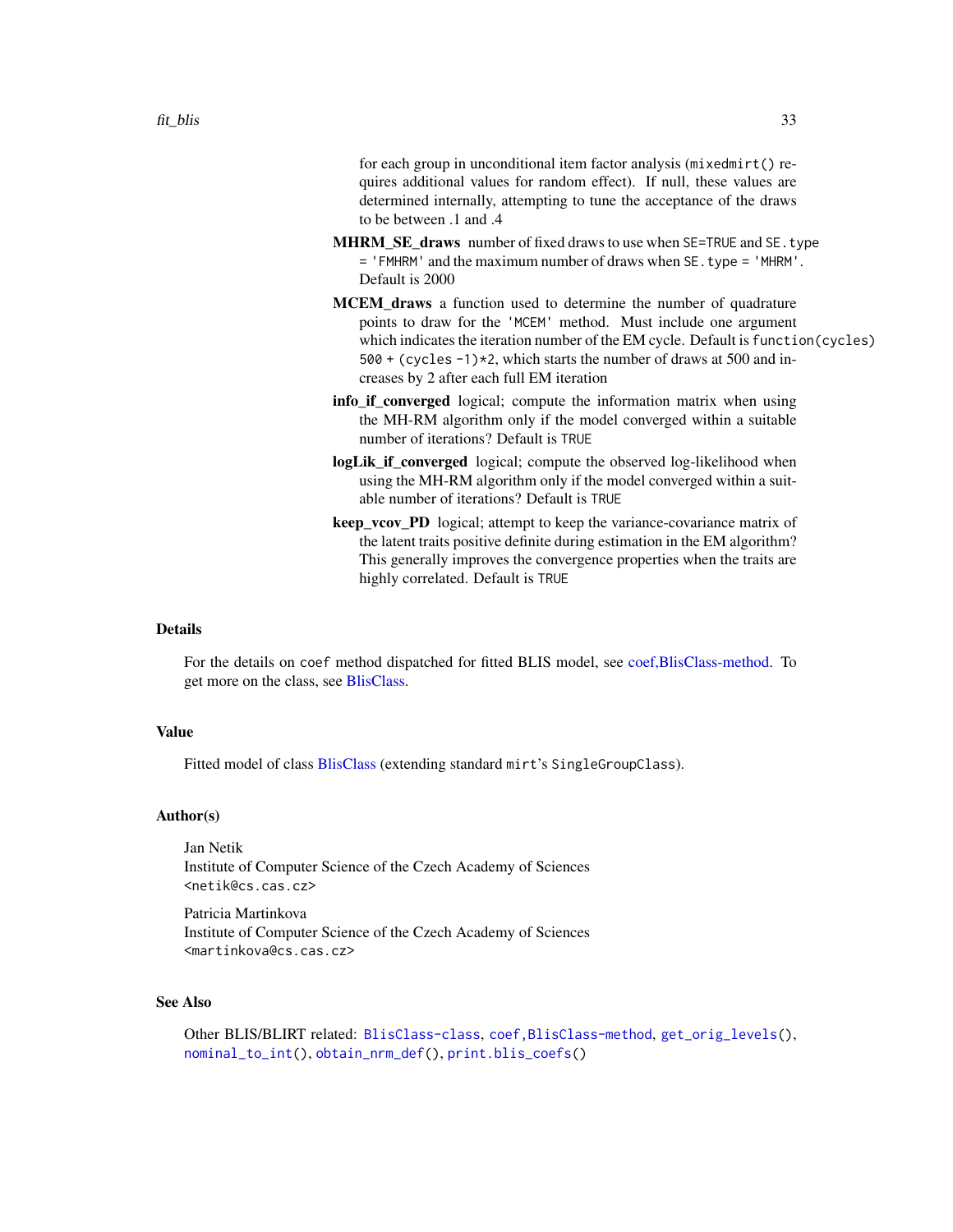for each group in unconditional item factor analysis (mixedmirt() requires additional values for random effect). If null, these values are determined internally, attempting to tune the acceptance of the draws to be between .1 and .4

- **MHRM SE draws** number of fixed draws to use when SE=TRUE and SE.type = 'FMHRM' and the maximum number of draws when SE.type = 'MHRM'. Default is 2000
- **MCEM** draws a function used to determine the number of quadrature points to draw for the 'MCEM' method. Must include one argument which indicates the iteration number of the EM cycle. Default is function(cycles) 500 + (cycles -1)\*2, which starts the number of draws at 500 and increases by 2 after each full EM iteration
- info\_if\_converged logical; compute the information matrix when using the MH-RM algorithm only if the model converged within a suitable number of iterations? Default is TRUE
- logLik\_if\_converged logical; compute the observed log-likelihood when using the MH-RM algorithm only if the model converged within a suitable number of iterations? Default is TRUE
- keep\_vcov\_PD logical; attempt to keep the variance-covariance matrix of the latent traits positive definite during estimation in the EM algorithm? This generally improves the convergence properties when the traits are highly correlated. Default is TRUE

#### Details

For the details on coef method dispatched for fitted BLIS model, see [coef,BlisClass-method.](#page-11-1) To get more on the class, see [BlisClass.](#page-10-1)

# Value

Fitted model of class [BlisClass](#page-10-1) (extending standard mirt's SingleGroupClass).

#### Author(s)

Jan Netik Institute of Computer Science of the Czech Academy of Sciences <netik@cs.cas.cz>

Patricia Martinkova Institute of Computer Science of the Czech Academy of Sciences <martinkova@cs.cas.cz>

## See Also

Other BLIS/BLIRT related: [BlisClass-class](#page-10-1), [coef,BlisClass-method](#page-0-0), [get\\_orig\\_levels\(](#page-35-1)), [nominal\\_to\\_int\(](#page-54-1)), [obtain\\_nrm\\_def\(](#page-55-1)), [print.blis\\_coefs\(](#page-69-1))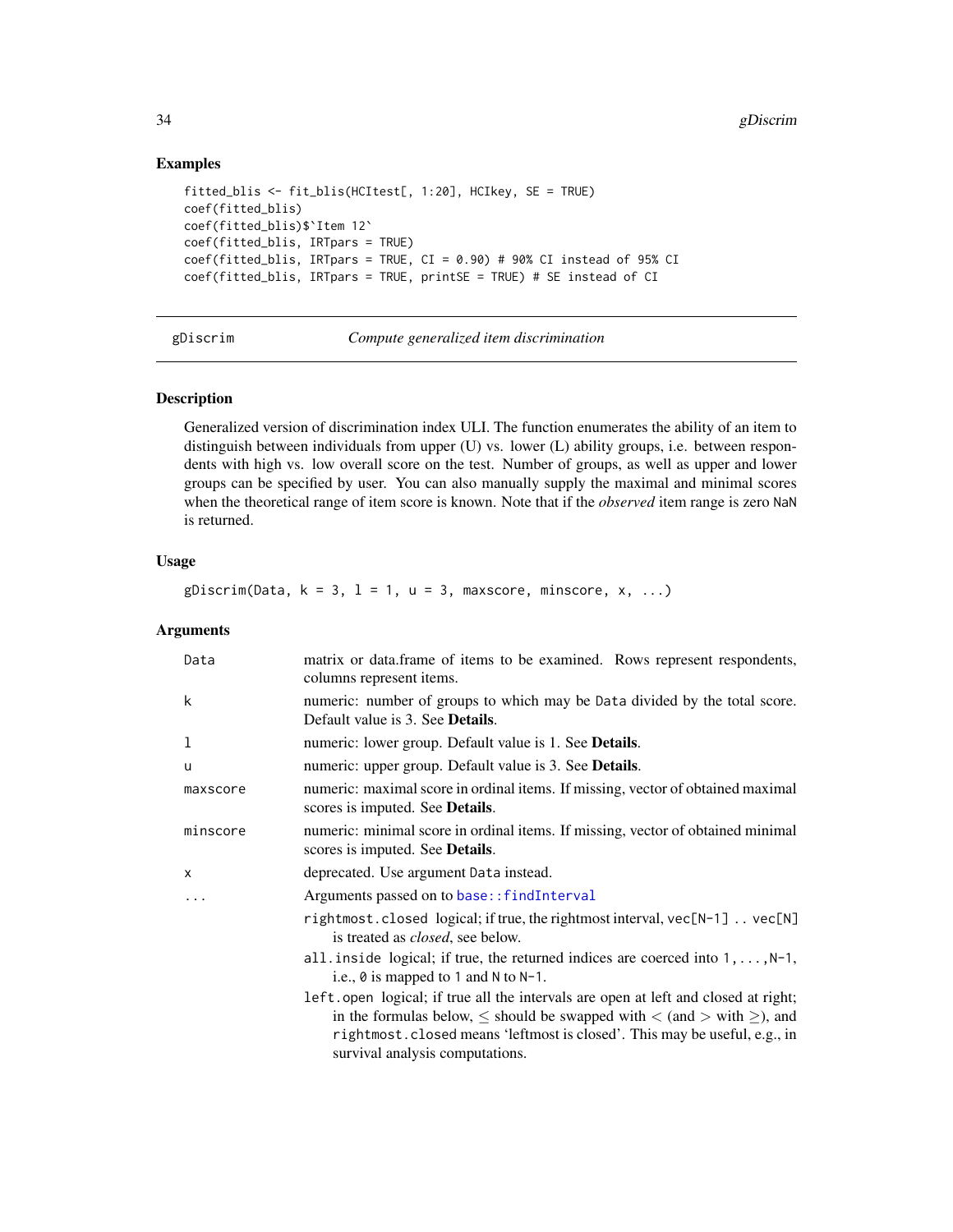# Examples

```
fitted_blis <- fit_blis(HCItest[, 1:20], HCIkey, SE = TRUE)
coef(fitted_blis)
coef(fitted_blis)$`Item 12`
coef(fitted_blis, IRTpars = TRUE)
coef(fitted\_blis, IRTpars = TRUE, CI = 0.90) # 90% CI instead of 95% CIcoef(fitted_blis, IRTpars = TRUE, printSE = TRUE) # SE instead of CI
```
<span id="page-33-1"></span>gDiscrim *Compute generalized item discrimination*

# Description

Generalized version of discrimination index ULI. The function enumerates the ability of an item to distinguish between individuals from upper (U) vs. lower (L) ability groups, i.e. between respondents with high vs. low overall score on the test. Number of groups, as well as upper and lower groups can be specified by user. You can also manually supply the maximal and minimal scores when the theoretical range of item score is known. Note that if the *observed* item range is zero NaN is returned.

## Usage

gDiscrim(Data,  $k = 3$ ,  $l = 1$ ,  $u = 3$ , maxscore, minscore,  $x$ , ...)

# Arguments

| Data     | matrix or data.frame of items to be examined. Rows represent respondents,<br>columns represent items.                                                                                                                                                                                        |
|----------|----------------------------------------------------------------------------------------------------------------------------------------------------------------------------------------------------------------------------------------------------------------------------------------------|
| k        | numeric: number of groups to which may be Data divided by the total score.<br>Default value is 3. See <b>Details</b> .                                                                                                                                                                       |
| 1        | numeric: lower group. Default value is 1. See <b>Details</b> .                                                                                                                                                                                                                               |
| u        | numeric: upper group. Default value is 3. See Details.                                                                                                                                                                                                                                       |
| maxscore | numeric: maximal score in ordinal items. If missing, vector of obtained maximal<br>scores is imputed. See <b>Details</b> .                                                                                                                                                                   |
| minscore | numeric: minimal score in ordinal items. If missing, vector of obtained minimal<br>scores is imputed. See <b>Details</b> .                                                                                                                                                                   |
| X        | deprecated. Use argument Data instead.                                                                                                                                                                                                                                                       |
| .        | Arguments passed on to base:: findInterval                                                                                                                                                                                                                                                   |
|          | rightmost.closed logical; if true, the rightmost interval, vec[N-1]  vec[N]<br>is treated as <i>closed</i> , see below.                                                                                                                                                                      |
|          | all inside logical; if true, the returned indices are coerced into $1, \ldots, N-1$ ,<br>i.e., $\theta$ is mapped to 1 and N to N-1.                                                                                                                                                         |
|          | left.open logical; if true all the intervals are open at left and closed at right;<br>in the formulas below, $\leq$ should be swapped with $\lt$ (and $>$ with $\geq$ ), and<br>rightmost.closed means 'leftmost is closed'. This may be useful, e.g., in<br>survival analysis computations. |

<span id="page-33-0"></span>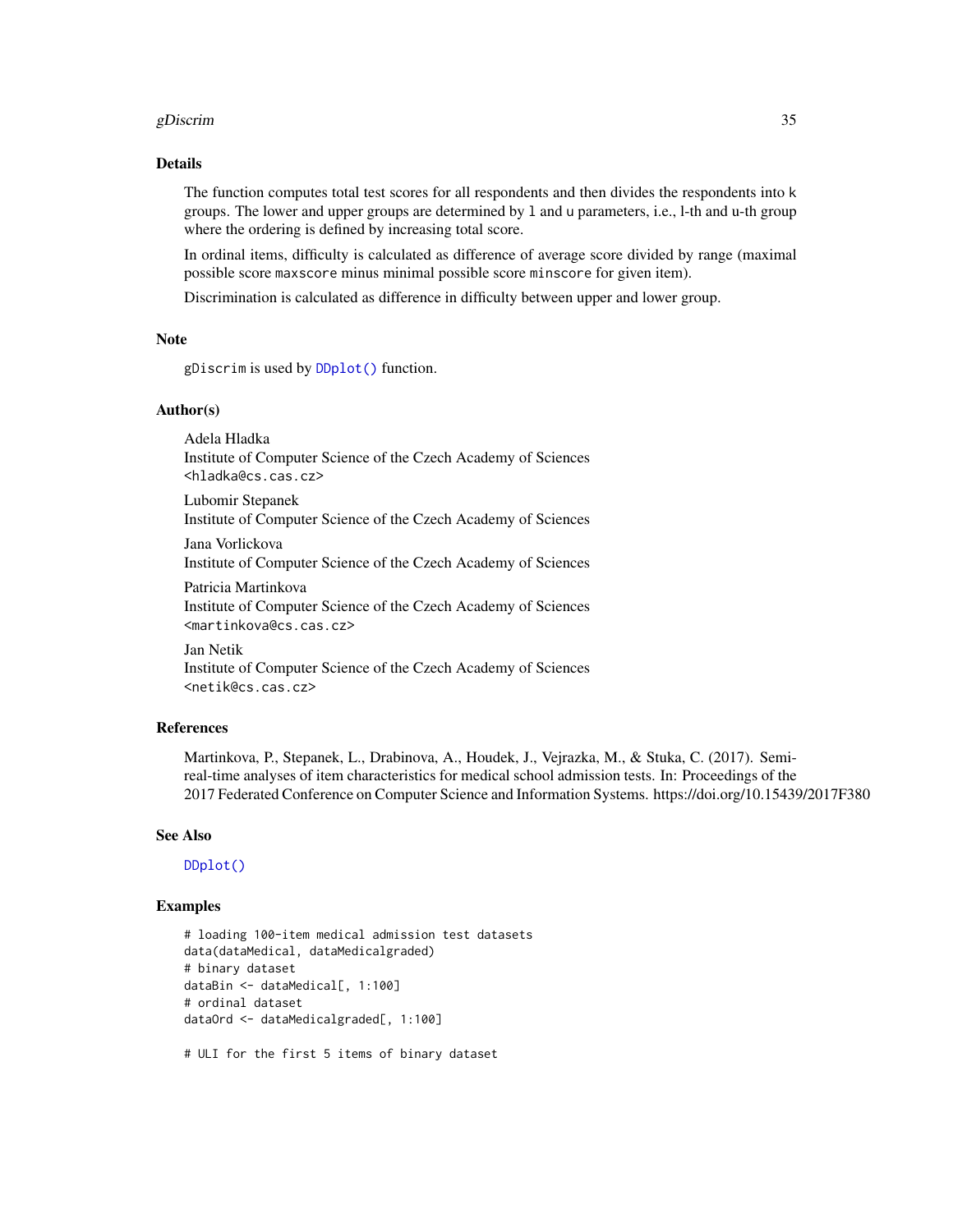#### gDiscrim  $35$

# Details

The function computes total test scores for all respondents and then divides the respondents into k groups. The lower and upper groups are determined by l and u parameters, i.e., l-th and u-th group where the ordering is defined by increasing total score.

In ordinal items, difficulty is calculated as difference of average score divided by range (maximal possible score maxscore minus minimal possible score minscore for given item).

Discrimination is calculated as difference in difficulty between upper and lower group.

# Note

gDiscrim is used by [DDplot\(\)](#page-17-1) function.

# Author(s)

Adela Hladka Institute of Computer Science of the Czech Academy of Sciences <hladka@cs.cas.cz>

Lubomir Stepanek Institute of Computer Science of the Czech Academy of Sciences

Jana Vorlickova Institute of Computer Science of the Czech Academy of Sciences

Patricia Martinkova Institute of Computer Science of the Czech Academy of Sciences <martinkova@cs.cas.cz>

Jan Netik Institute of Computer Science of the Czech Academy of Sciences <netik@cs.cas.cz>

# References

Martinkova, P., Stepanek, L., Drabinova, A., Houdek, J., Vejrazka, M., & Stuka, C. (2017). Semireal-time analyses of item characteristics for medical school admission tests. In: Proceedings of the 2017 Federated Conference on Computer Science and Information Systems. https://doi.org/10.15439/2017F380

#### See Also

[DDplot\(\)](#page-17-1)

# Examples

```
# loading 100-item medical admission test datasets
data(dataMedical, dataMedicalgraded)
# binary dataset
dataBin <- dataMedical[, 1:100]
# ordinal dataset
dataOrd <- dataMedicalgraded[, 1:100]
# ULI for the first 5 items of binary dataset
```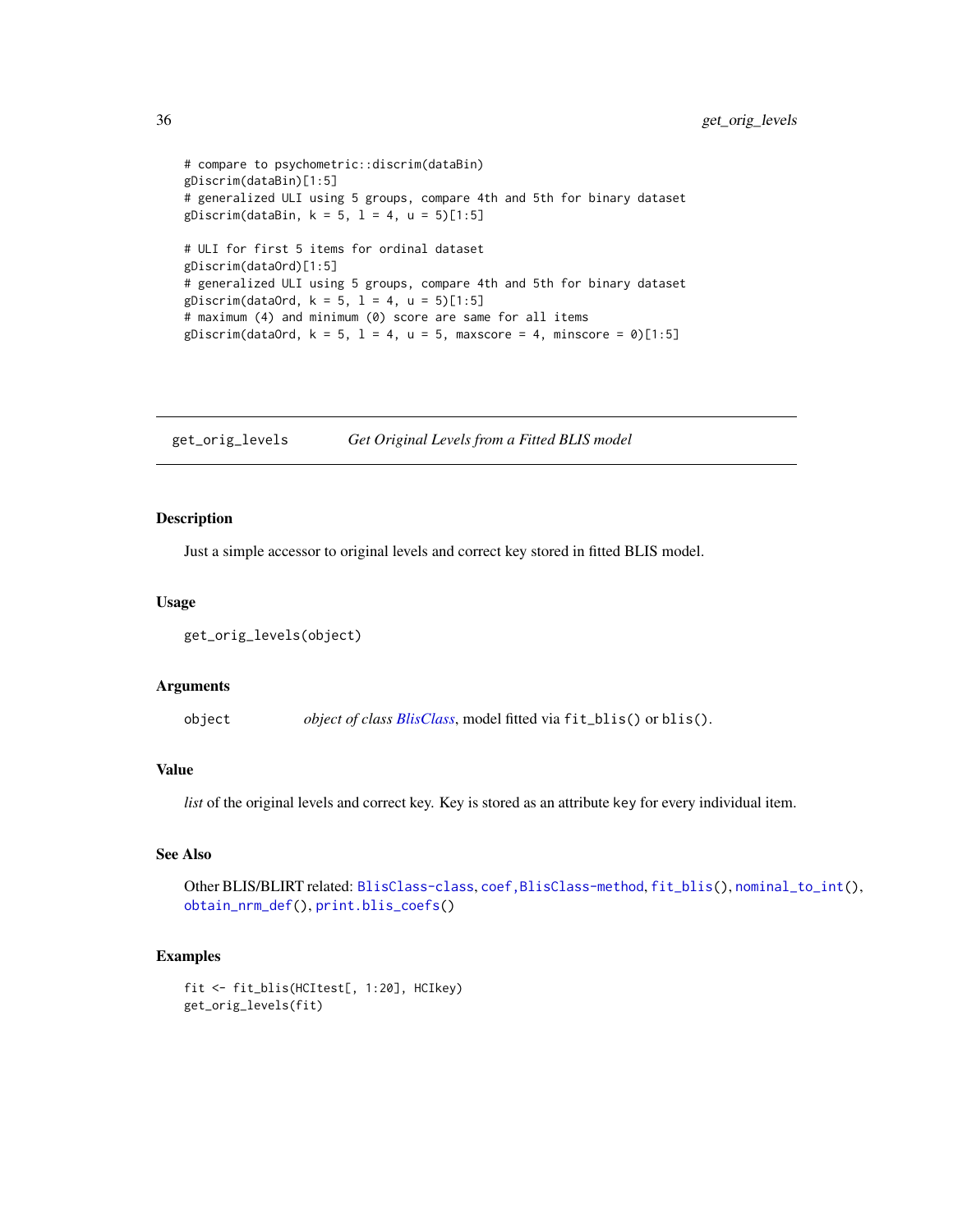```
# compare to psychometric::discrim(dataBin)
gDiscrim(dataBin)[1:5]
# generalized ULI using 5 groups, compare 4th and 5th for binary dataset
gDiscrim(dataBin, k = 5, l = 4, u = 5) [1:5]# ULI for first 5 items for ordinal dataset
gDiscrim(dataOrd)[1:5]
# generalized ULI using 5 groups, compare 4th and 5th for binary dataset
gDiscrim(dataOrd, k = 5, l = 4, u = 5)[1:5]# maximum (4) and minimum (0) score are same for all items
gDiscrim(dataOrd, k = 5, l = 4, u = 5, maxscore = 4, minscore = 0)[1:5]
```
<span id="page-35-1"></span>get\_orig\_levels *Get Original Levels from a Fitted BLIS model*

## Description

Just a simple accessor to original levels and correct key stored in fitted BLIS model.

#### Usage

```
get_orig_levels(object)
```
#### Arguments

object *object of class [BlisClass](#page-10-1)*, model fitted via fit\_blis() or blis().

# Value

*list* of the original levels and correct key. Key is stored as an attribute key for every individual item.

## See Also

Other BLIS/BLIRT related: [BlisClass-class](#page-10-1), [coef,BlisClass-method](#page-0-0), [fit\\_blis\(](#page-25-1)), [nominal\\_to\\_int\(](#page-54-1)), [obtain\\_nrm\\_def\(](#page-55-1)), [print.blis\\_coefs\(](#page-69-1))

# Examples

```
fit <- fit_blis(HCItest[, 1:20], HCIkey)
get_orig_levels(fit)
```
<span id="page-35-0"></span>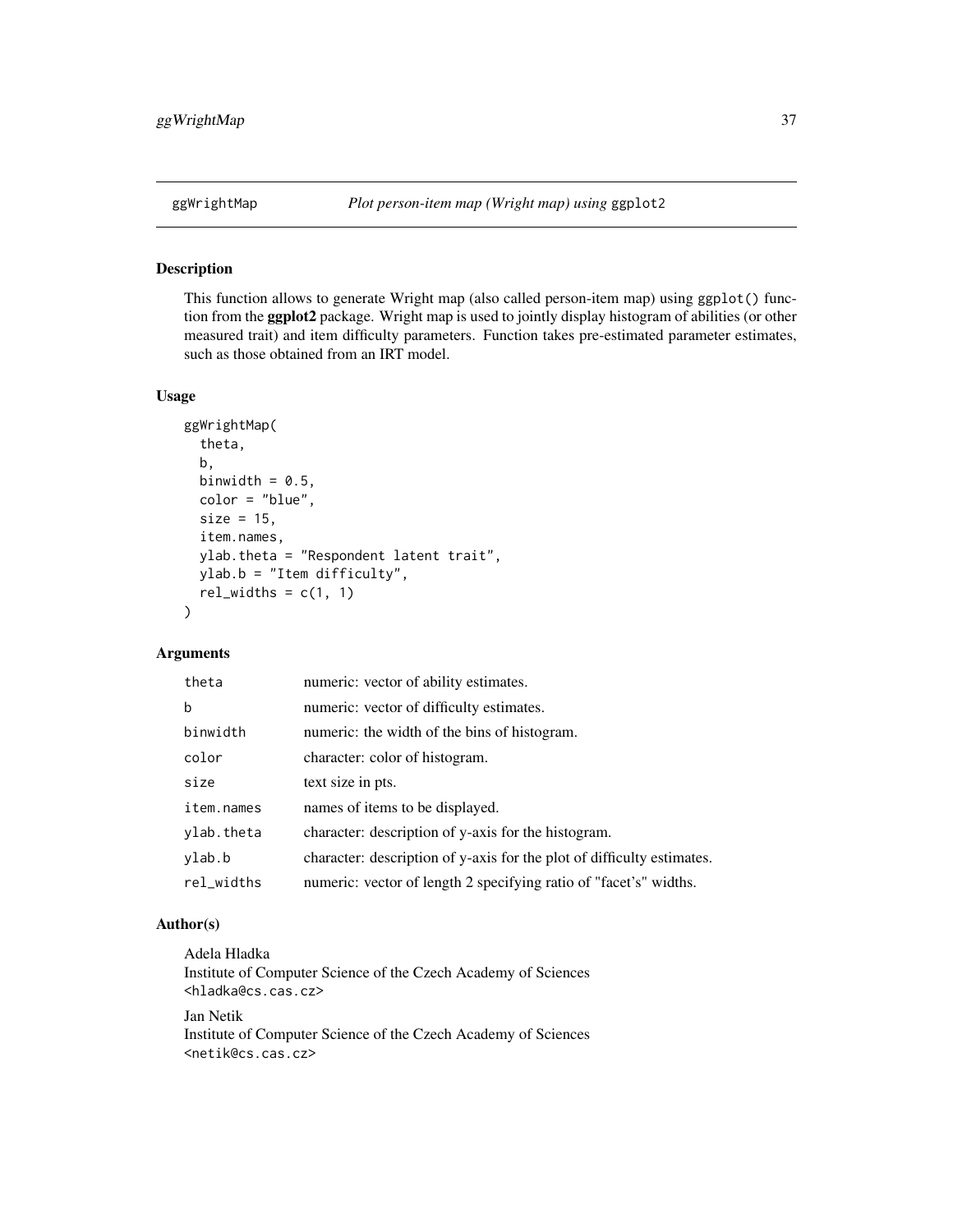# Description

This function allows to generate Wright map (also called person-item map) using ggplot() function from the **ggplot2** package. Wright map is used to jointly display histogram of abilities (or other measured trait) and item difficulty parameters. Function takes pre-estimated parameter estimates, such as those obtained from an IRT model.

## Usage

```
ggWrightMap(
  theta,
 b,
 binwidth = 0.5,
 color = "blue",
  size = 15,
  item.names,
 ylab.theta = "Respondent latent trait",
 ylab.b = "Item difficulty",
  rel\_widths = c(1, 1)\lambda
```
## Arguments

| theta      | numeric: vector of ability estimates.                                  |
|------------|------------------------------------------------------------------------|
| b          | numeric: vector of difficulty estimates.                               |
| binwidth   | numeric: the width of the bins of histogram.                           |
| color      | character: color of histogram.                                         |
| size       | text size in pts.                                                      |
| item.names | names of items to be displayed.                                        |
| ylab.theta | character: description of y-axis for the histogram.                    |
| ylab.b     | character: description of y-axis for the plot of difficulty estimates. |
| rel_widths | numeric: vector of length 2 specifying ratio of "facet's" widths.      |

# Author(s)

Adela Hladka Institute of Computer Science of the Czech Academy of Sciences <hladka@cs.cas.cz> Jan Netik Institute of Computer Science of the Czech Academy of Sciences <netik@cs.cas.cz>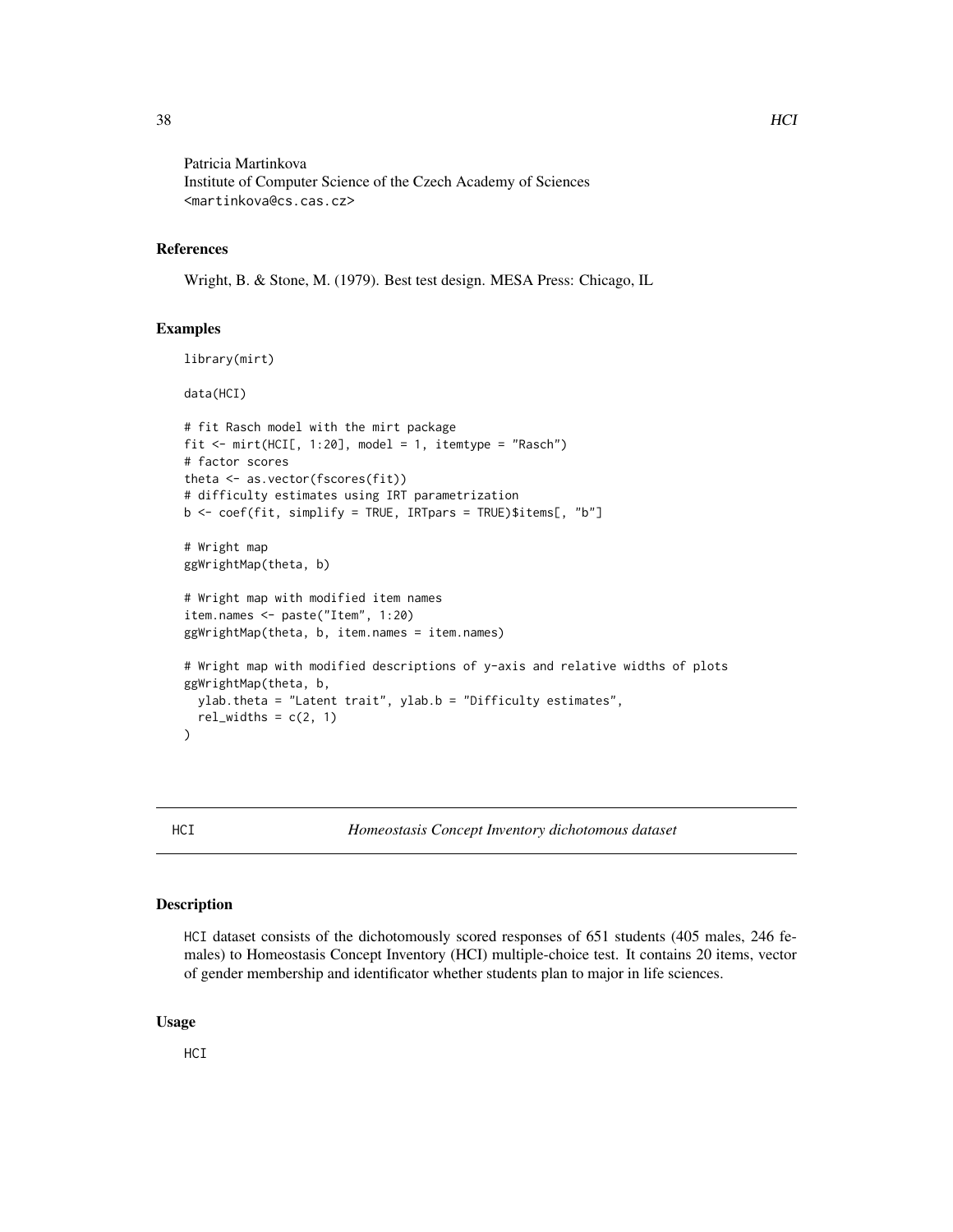Patricia Martinkova Institute of Computer Science of the Czech Academy of Sciences <martinkova@cs.cas.cz>

## References

Wright, B. & Stone, M. (1979). Best test design. MESA Press: Chicago, IL

## Examples

```
library(mirt)
data(HCI)
# fit Rasch model with the mirt package
fit <- mirt(HCI[, 1:20], model = 1, itemtype = "Rasch")
# factor scores
theta <- as.vector(fscores(fit))
# difficulty estimates using IRT parametrization
b \leq coef(fit, simplify = TRUE, IRTpars = TRUE)$items[, "b"]
# Wright map
ggWrightMap(theta, b)
# Wright map with modified item names
item.names <- paste("Item", 1:20)
ggWrightMap(theta, b, item.names = item.names)
# Wright map with modified descriptions of y-axis and relative widths of plots
ggWrightMap(theta, b,
  ylab.theta = "Latent trait", ylab.b = "Difficulty estimates",
  rel\_widths = c(2, 1))
```
<span id="page-37-0"></span>HCI *Homeostasis Concept Inventory dichotomous dataset*

#### Description

HCI dataset consists of the dichotomously scored responses of 651 students (405 males, 246 females) to Homeostasis Concept Inventory (HCI) multiple-choice test. It contains 20 items, vector of gender membership and identificator whether students plan to major in life sciences.

#### Usage

**HCI**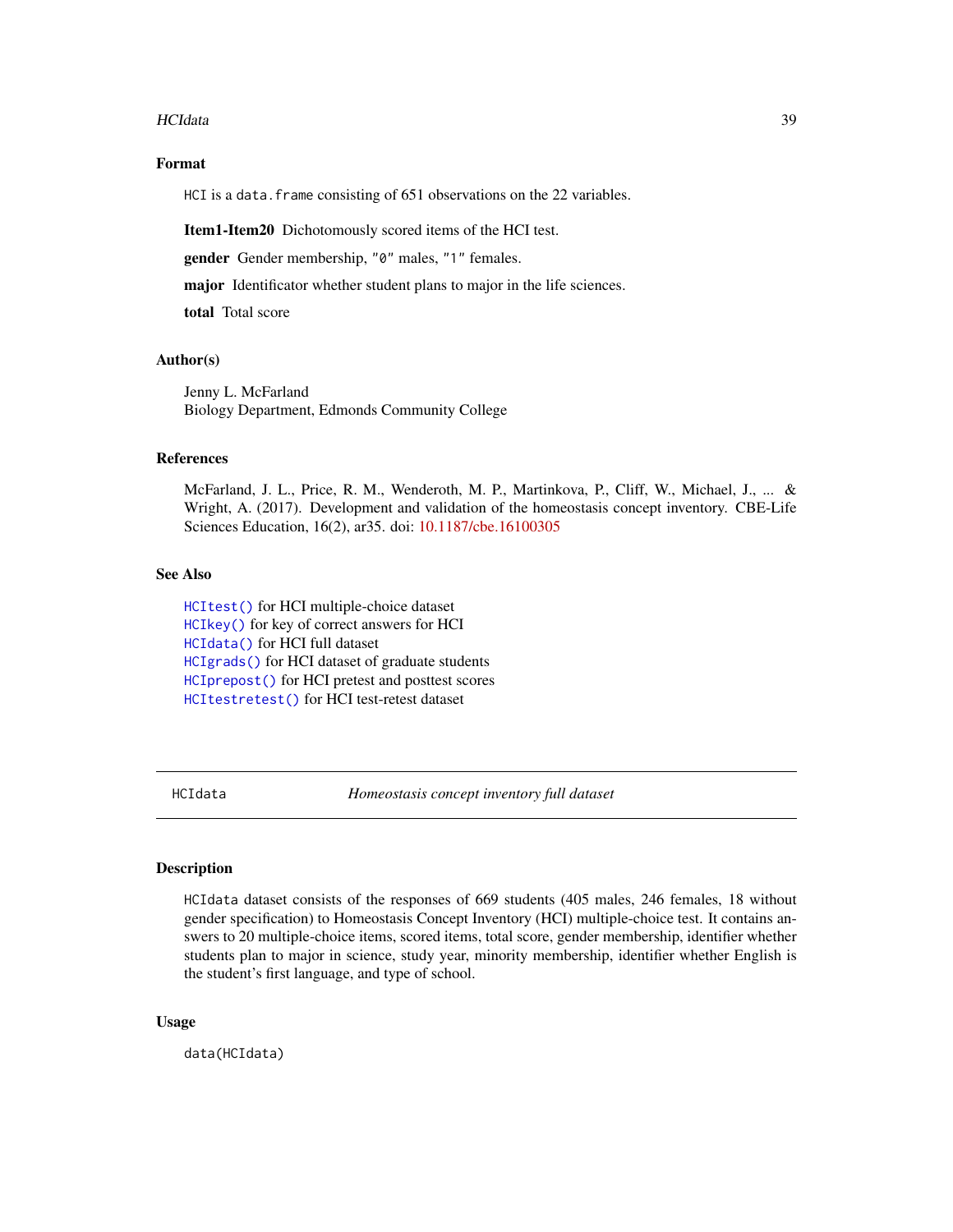#### HCIdata 39

# Format

HCI is a data. frame consisting of 651 observations on the 22 variables.

Item1-Item20 Dichotomously scored items of the HCI test.

gender Gender membership, "0" males, "1" females.

major Identificator whether student plans to major in the life sciences.

total Total score

## Author(s)

Jenny L. McFarland Biology Department, Edmonds Community College

## References

McFarland, J. L., Price, R. M., Wenderoth, M. P., Martinkova, P., Cliff, W., Michael, J., ... & Wright, A. (2017). Development and validation of the homeostasis concept inventory. CBE-Life Sciences Education, 16(2), ar35. doi: [10.1187/cbe.16100305](https://doi.org/10.1187/cbe.16-10-0305)

## See Also

[HCItest\(\)](#page-42-0) for HCI multiple-choice dataset [HCIkey\(\)](#page-41-0) for key of correct answers for HCI [HCIdata\(\)](#page-38-0) for HCI full dataset [HCIgrads\(\)](#page-40-0) for HCI dataset of graduate students [HCIprepost\(\)](#page-41-1) for HCI pretest and posttest scores [HCItestretest\(\)](#page-43-0) for HCI test-retest dataset

<span id="page-38-0"></span>HCIdata *Homeostasis concept inventory full dataset*

#### Description

HCIdata dataset consists of the responses of 669 students (405 males, 246 females, 18 without gender specification) to Homeostasis Concept Inventory (HCI) multiple-choice test. It contains answers to 20 multiple-choice items, scored items, total score, gender membership, identifier whether students plan to major in science, study year, minority membership, identifier whether English is the student's first language, and type of school.

## Usage

data(HCIdata)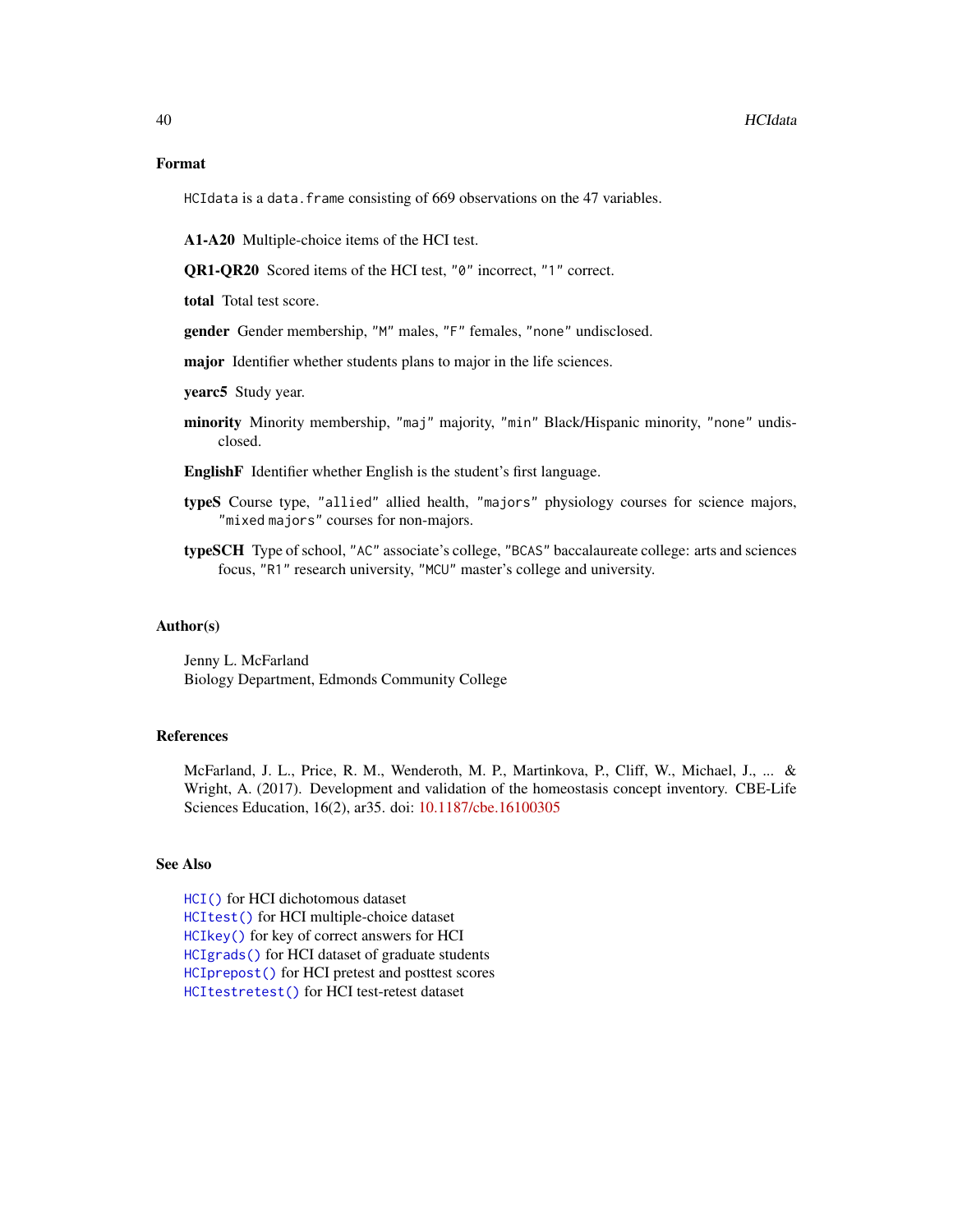## Format

HCIdata is a data. frame consisting of 669 observations on the 47 variables.

A1-A20 Multiple-choice items of the HCI test.

QR1-QR20 Scored items of the HCI test, "0" incorrect, "1" correct.

total Total test score.

gender Gender membership, "M" males, "F" females, "none" undisclosed.

major Identifier whether students plans to major in the life sciences.

yearc5 Study year.

minority Minority membership, "maj" majority, "min" Black/Hispanic minority, "none" undisclosed.

EnglishF Identifier whether English is the student's first language.

- typeS Course type, "allied" allied health, "majors" physiology courses for science majors, "mixed majors" courses for non-majors.
- typeSCH Type of school, "AC" associate's college, "BCAS" baccalaureate college: arts and sciences focus, "R1" research university, "MCU" master's college and university.

## Author(s)

Jenny L. McFarland Biology Department, Edmonds Community College

# References

McFarland, J. L., Price, R. M., Wenderoth, M. P., Martinkova, P., Cliff, W., Michael, J., ... & Wright, A. (2017). Development and validation of the homeostasis concept inventory. CBE-Life Sciences Education, 16(2), ar35. doi: [10.1187/cbe.16100305](https://doi.org/10.1187/cbe.16-10-0305)

# See Also

[HCI\(\)](#page-37-0) for HCI dichotomous dataset [HCItest\(\)](#page-42-0) for HCI multiple-choice dataset [HCIkey\(\)](#page-41-0) for key of correct answers for HCI [HCIgrads\(\)](#page-40-0) for HCI dataset of graduate students [HCIprepost\(\)](#page-41-1) for HCI pretest and posttest scores [HCItestretest\(\)](#page-43-0) for HCI test-retest dataset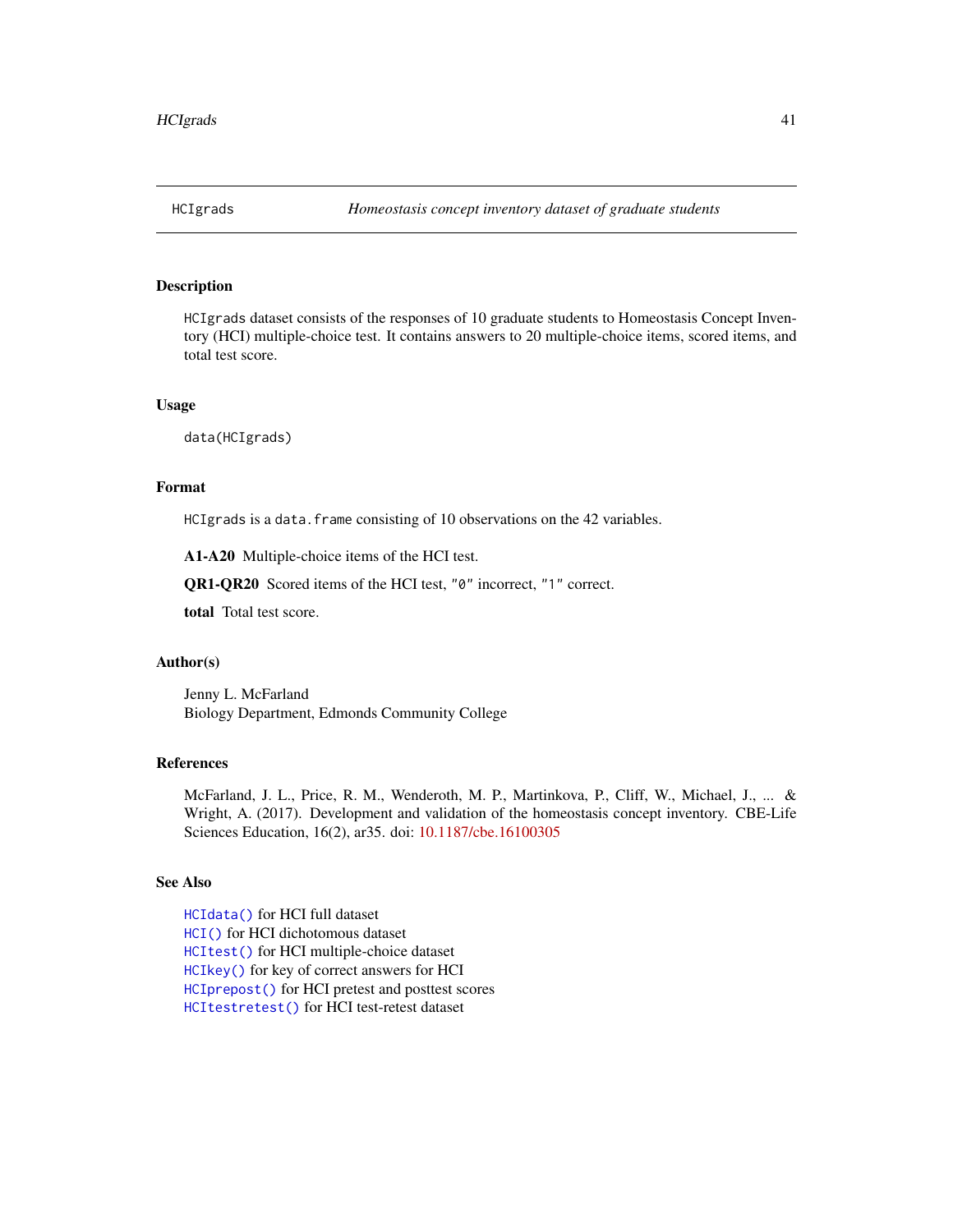<span id="page-40-0"></span>

## Description

HCIgrads dataset consists of the responses of 10 graduate students to Homeostasis Concept Inventory (HCI) multiple-choice test. It contains answers to 20 multiple-choice items, scored items, and total test score.

#### Usage

data(HCIgrads)

# Format

HCIgrads is a data. frame consisting of 10 observations on the 42 variables.

A1-A20 Multiple-choice items of the HCI test.

QR1-QR20 Scored items of the HCI test, "0" incorrect, "1" correct.

total Total test score.

## Author(s)

Jenny L. McFarland Biology Department, Edmonds Community College

#### References

McFarland, J. L., Price, R. M., Wenderoth, M. P., Martinkova, P., Cliff, W., Michael, J., ... & Wright, A. (2017). Development and validation of the homeostasis concept inventory. CBE-Life Sciences Education, 16(2), ar35. doi: [10.1187/cbe.16100305](https://doi.org/10.1187/cbe.16-10-0305)

## See Also

[HCIdata\(\)](#page-38-0) for HCI full dataset [HCI\(\)](#page-37-0) for HCI dichotomous dataset [HCItest\(\)](#page-42-0) for HCI multiple-choice dataset [HCIkey\(\)](#page-41-0) for key of correct answers for HCI [HCIprepost\(\)](#page-41-1) for HCI pretest and posttest scores [HCItestretest\(\)](#page-43-0) for HCI test-retest dataset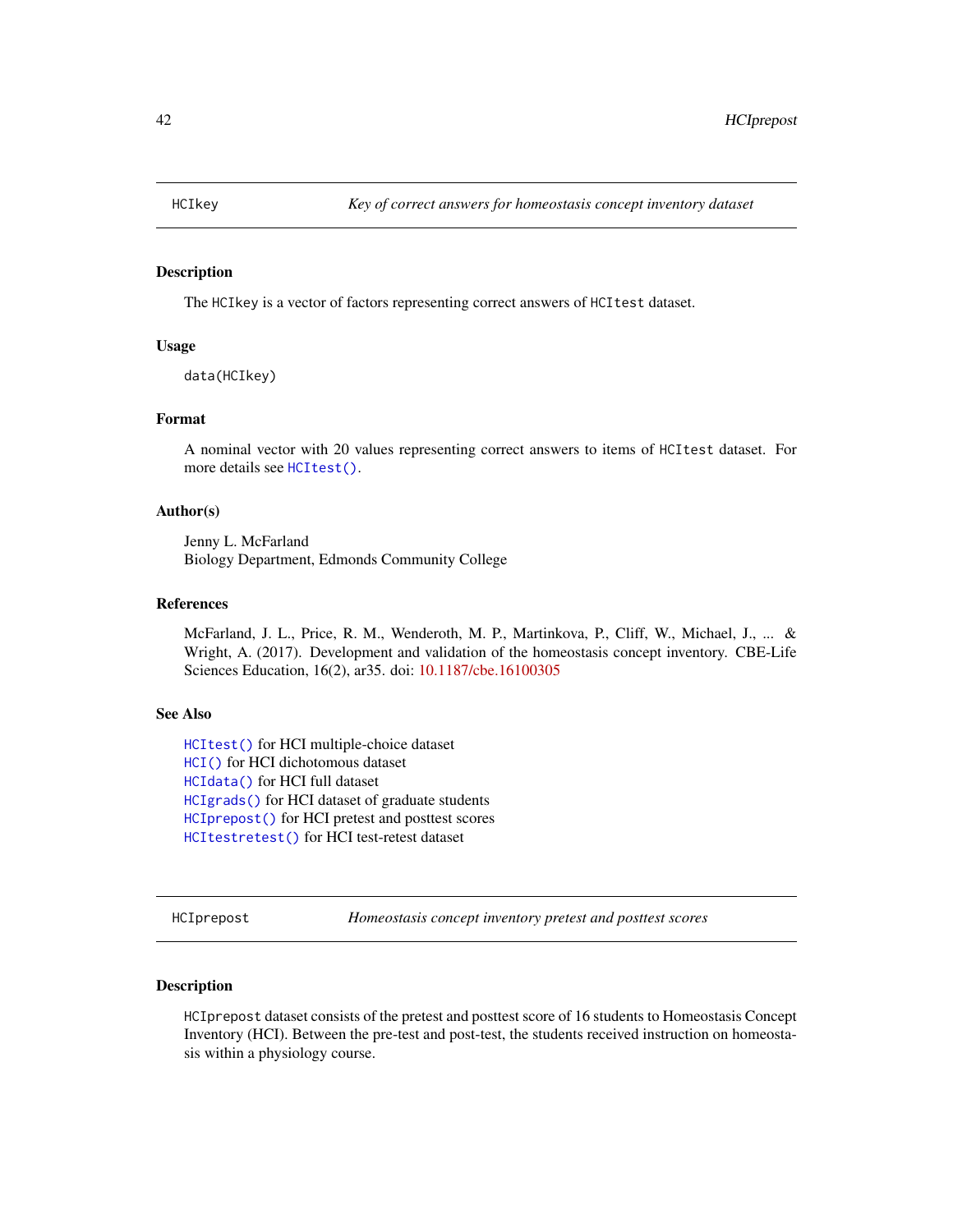<span id="page-41-0"></span>

## Description

The HCIkey is a vector of factors representing correct answers of HCItest dataset.

#### Usage

data(HCIkey)

# Format

A nominal vector with 20 values representing correct answers to items of HCItest dataset. For more details see [HCItest\(\)](#page-42-0).

## Author(s)

Jenny L. McFarland Biology Department, Edmonds Community College

## References

McFarland, J. L., Price, R. M., Wenderoth, M. P., Martinkova, P., Cliff, W., Michael, J., ... & Wright, A. (2017). Development and validation of the homeostasis concept inventory. CBE-Life Sciences Education, 16(2), ar35. doi: [10.1187/cbe.16100305](https://doi.org/10.1187/cbe.16-10-0305)

## See Also

[HCItest\(\)](#page-42-0) for HCI multiple-choice dataset [HCI\(\)](#page-37-0) for HCI dichotomous dataset [HCIdata\(\)](#page-38-0) for HCI full dataset [HCIgrads\(\)](#page-40-0) for HCI dataset of graduate students [HCIprepost\(\)](#page-41-1) for HCI pretest and posttest scores [HCItestretest\(\)](#page-43-0) for HCI test-retest dataset

<span id="page-41-1"></span>HCIprepost *Homeostasis concept inventory pretest and posttest scores*

## Description

HCIprepost dataset consists of the pretest and posttest score of 16 students to Homeostasis Concept Inventory (HCI). Between the pre-test and post-test, the students received instruction on homeostasis within a physiology course.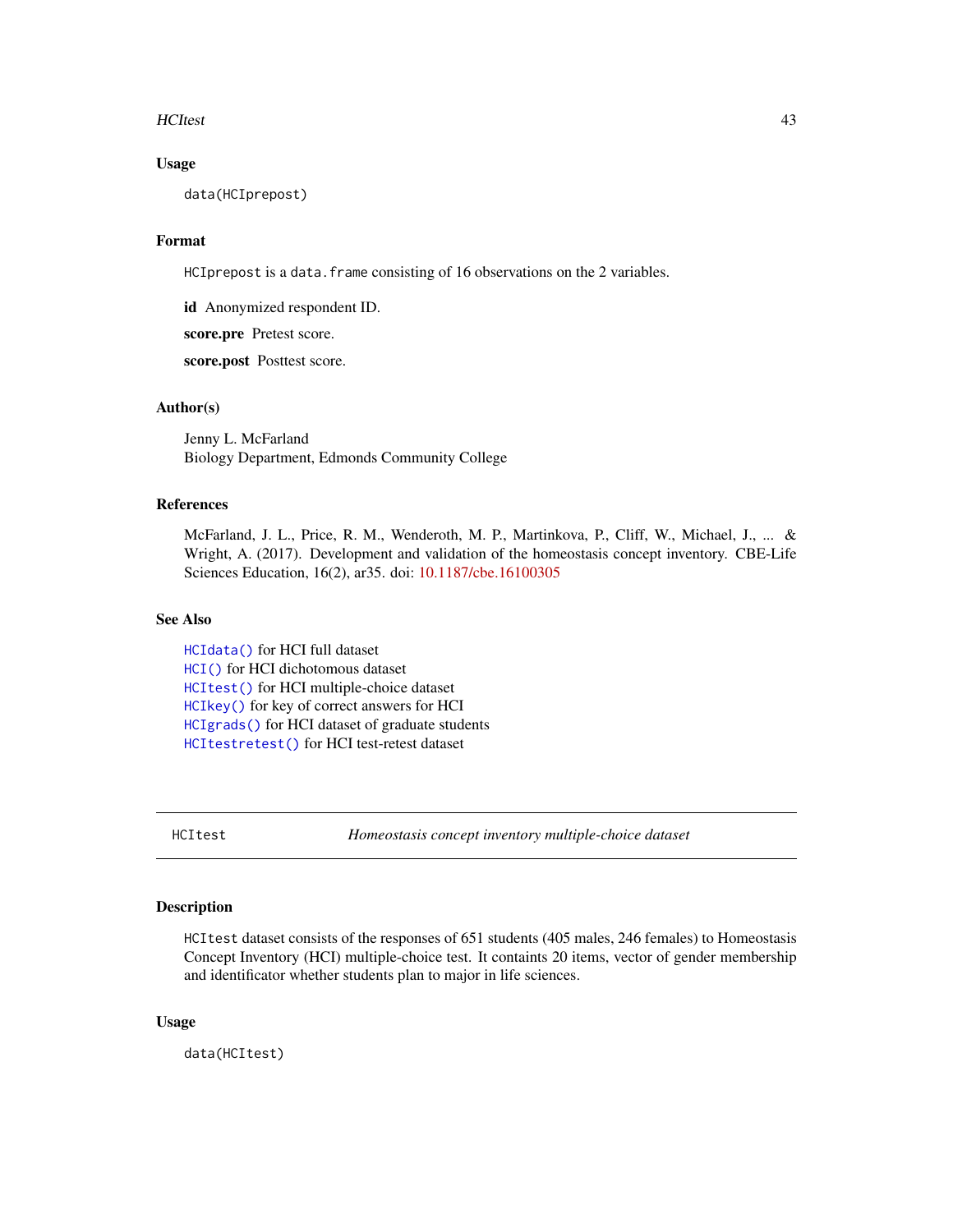#### HCItest 43

## Usage

data(HCIprepost)

# Format

HCIprepost is a data.frame consisting of 16 observations on the 2 variables.

id Anonymized respondent ID.

score.pre Pretest score.

score.post Posttest score.

## Author(s)

Jenny L. McFarland Biology Department, Edmonds Community College

## References

McFarland, J. L., Price, R. M., Wenderoth, M. P., Martinkova, P., Cliff, W., Michael, J., ... & Wright, A. (2017). Development and validation of the homeostasis concept inventory. CBE-Life Sciences Education, 16(2), ar35. doi: [10.1187/cbe.16100305](https://doi.org/10.1187/cbe.16-10-0305)

# See Also

[HCIdata\(\)](#page-38-0) for HCI full dataset [HCI\(\)](#page-37-0) for HCI dichotomous dataset [HCItest\(\)](#page-42-0) for HCI multiple-choice dataset [HCIkey\(\)](#page-41-0) for key of correct answers for HCI [HCIgrads\(\)](#page-40-0) for HCI dataset of graduate students [HCItestretest\(\)](#page-43-0) for HCI test-retest dataset

<span id="page-42-0"></span>HCItest *Homeostasis concept inventory multiple-choice dataset*

## Description

HCItest dataset consists of the responses of 651 students (405 males, 246 females) to Homeostasis Concept Inventory (HCI) multiple-choice test. It containts 20 items, vector of gender membership and identificator whether students plan to major in life sciences.

## Usage

data(HCItest)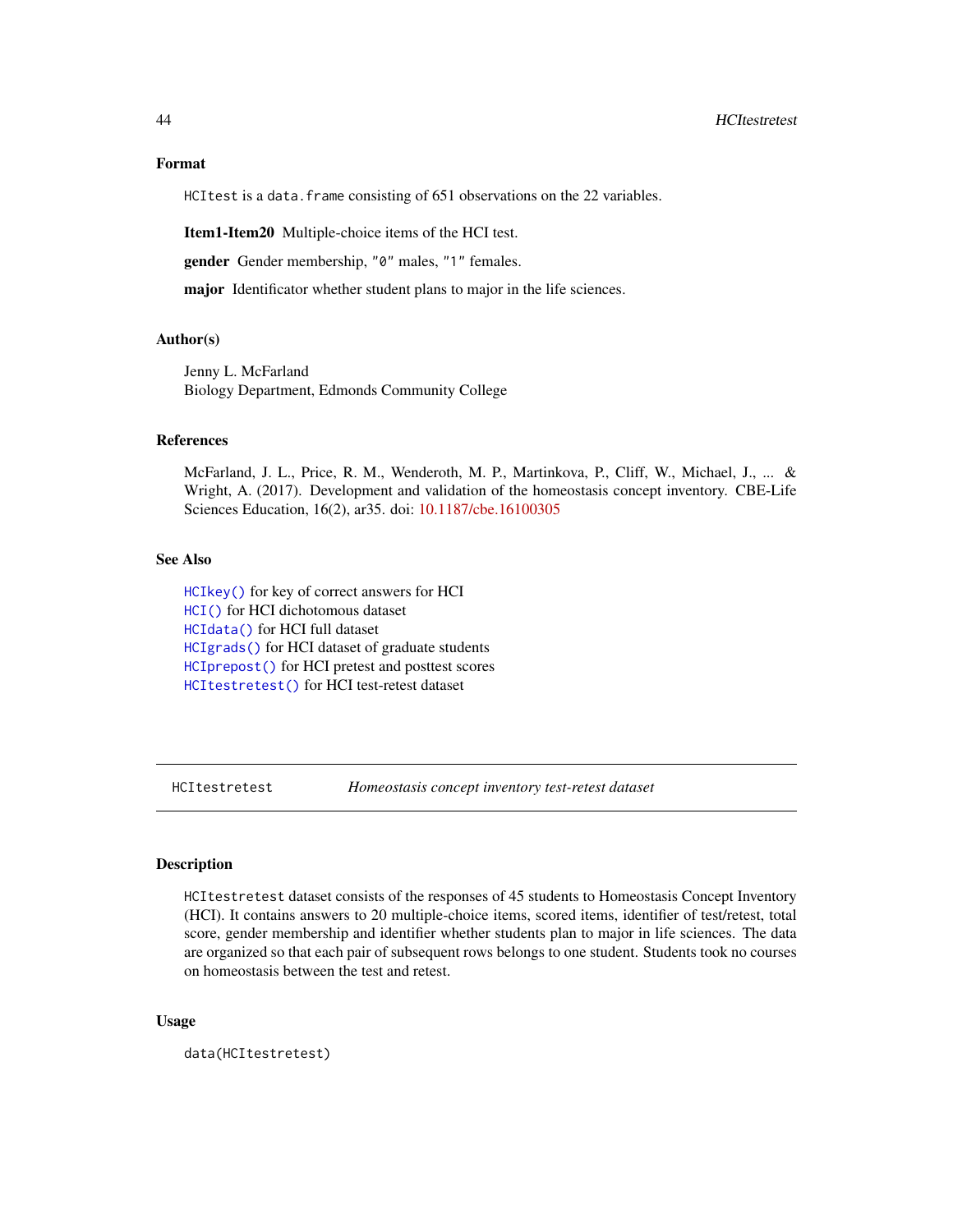# Format

HCItest is a data. frame consisting of 651 observations on the 22 variables.

Item1-Item20 Multiple-choice items of the HCI test.

gender Gender membership, "0" males, "1" females.

major Identificator whether student plans to major in the life sciences.

## Author(s)

Jenny L. McFarland Biology Department, Edmonds Community College

## References

McFarland, J. L., Price, R. M., Wenderoth, M. P., Martinkova, P., Cliff, W., Michael, J., ... & Wright, A. (2017). Development and validation of the homeostasis concept inventory. CBE-Life Sciences Education, 16(2), ar35. doi: [10.1187/cbe.16100305](https://doi.org/10.1187/cbe.16-10-0305)

#### See Also

[HCIkey\(\)](#page-41-0) for key of correct answers for HCI [HCI\(\)](#page-37-0) for HCI dichotomous dataset [HCIdata\(\)](#page-38-0) for HCI full dataset [HCIgrads\(\)](#page-40-0) for HCI dataset of graduate students [HCIprepost\(\)](#page-41-1) for HCI pretest and posttest scores [HCItestretest\(\)](#page-43-0) for HCI test-retest dataset

<span id="page-43-0"></span>HCItestretest *Homeostasis concept inventory test-retest dataset*

## Description

HCItestretest dataset consists of the responses of 45 students to Homeostasis Concept Inventory (HCI). It contains answers to 20 multiple-choice items, scored items, identifier of test/retest, total score, gender membership and identifier whether students plan to major in life sciences. The data are organized so that each pair of subsequent rows belongs to one student. Students took no courses on homeostasis between the test and retest.

#### Usage

data(HCItestretest)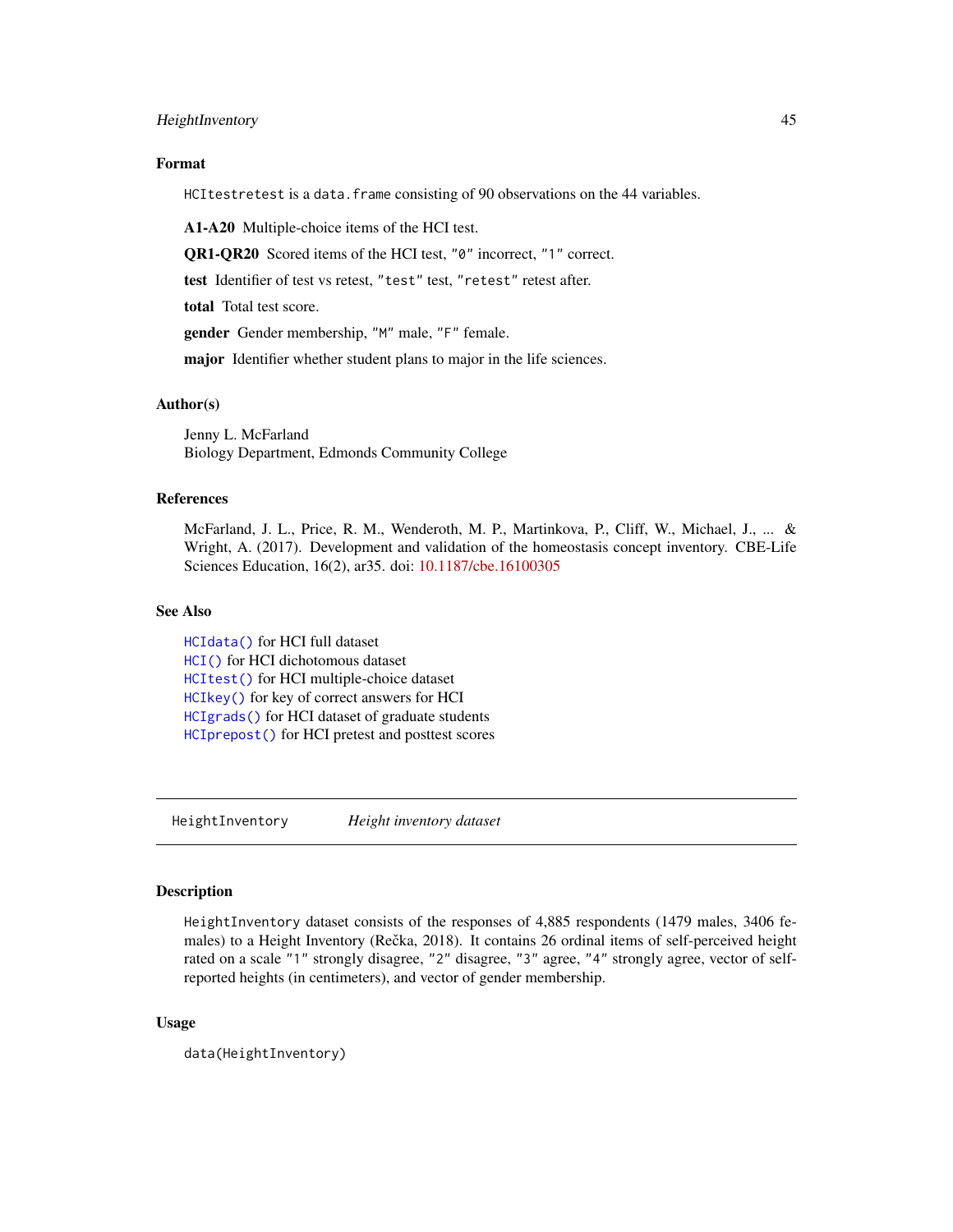## HeightInventory 45

## Format

HCItestretest is a data.frame consisting of 90 observations on the 44 variables.

A1-A20 Multiple-choice items of the HCI test.

QR1-QR20 Scored items of the HCI test, "0" incorrect, "1" correct.

test Identifier of test vs retest, "test" test, "retest" retest after.

total Total test score.

gender Gender membership, "M" male, "F" female.

major Identifier whether student plans to major in the life sciences.

## Author(s)

Jenny L. McFarland Biology Department, Edmonds Community College

## References

McFarland, J. L., Price, R. M., Wenderoth, M. P., Martinkova, P., Cliff, W., Michael, J., ... & Wright, A. (2017). Development and validation of the homeostasis concept inventory. CBE-Life Sciences Education, 16(2), ar35. doi: [10.1187/cbe.16100305](https://doi.org/10.1187/cbe.16-10-0305)

## See Also

[HCIdata\(\)](#page-38-0) for HCI full dataset [HCI\(\)](#page-37-0) for HCI dichotomous dataset [HCItest\(\)](#page-42-0) for HCI multiple-choice dataset [HCIkey\(\)](#page-41-0) for key of correct answers for HCI [HCIgrads\(\)](#page-40-0) for HCI dataset of graduate students [HCIprepost\(\)](#page-41-1) for HCI pretest and posttest scores

HeightInventory *Height inventory dataset*

#### Description

HeightInventory dataset consists of the responses of 4,885 respondents (1479 males, 3406 females) to a Height Inventory (Rečka, 2018). It contains 26 ordinal items of self-perceived height rated on a scale "1" strongly disagree, "2" disagree, "3" agree, "4" strongly agree, vector of selfreported heights (in centimeters), and vector of gender membership.

## Usage

```
data(HeightInventory)
```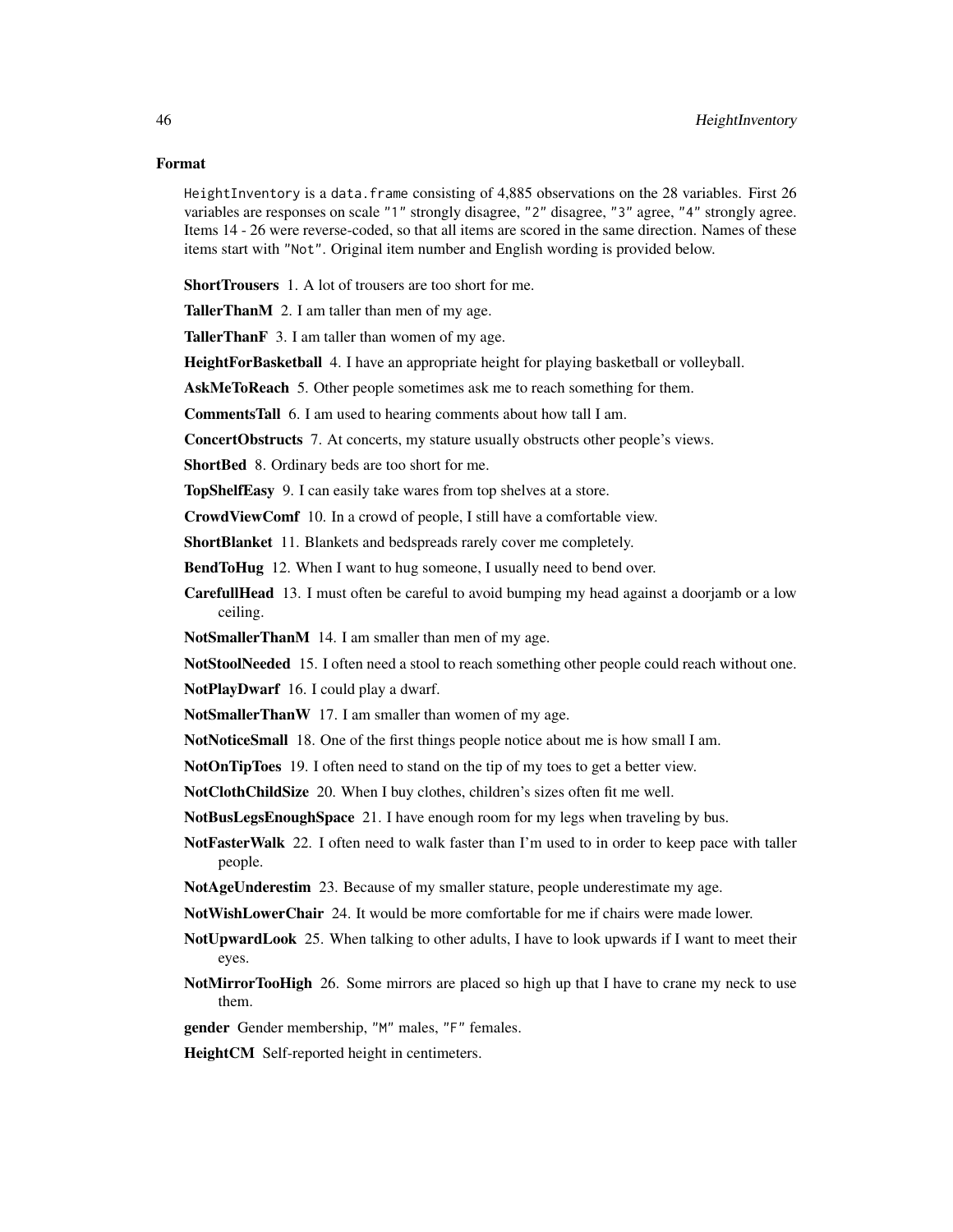# Format

HeightInventory is a data. frame consisting of 4,885 observations on the 28 variables. First 26 variables are responses on scale "1" strongly disagree, "2" disagree, "3" agree, "4" strongly agree. Items 14 - 26 were reverse-coded, so that all items are scored in the same direction. Names of these items start with "Not". Original item number and English wording is provided below.

ShortTrousers 1. A lot of trousers are too short for me.

TallerThanM 2. I am taller than men of my age.

TallerThanF 3. I am taller than women of my age.

HeightForBasketball 4. I have an appropriate height for playing basketball or volleyball.

AskMeToReach 5. Other people sometimes ask me to reach something for them.

CommentsTall 6. I am used to hearing comments about how tall I am.

ConcertObstructs 7. At concerts, my stature usually obstructs other people's views.

ShortBed 8. Ordinary beds are too short for me.

TopShelfEasy 9. I can easily take wares from top shelves at a store.

CrowdViewComf 10. In a crowd of people, I still have a comfortable view.

ShortBlanket 11. Blankets and bedspreads rarely cover me completely.

**BendToHug** 12. When I want to hug someone, I usually need to bend over.

CarefullHead 13. I must often be careful to avoid bumping my head against a doorjamb or a low ceiling.

NotSmallerThanM 14. I am smaller than men of my age.

NotStoolNeeded 15. I often need a stool to reach something other people could reach without one.

NotPlayDwarf 16. I could play a dwarf.

NotSmallerThanW 17. I am smaller than women of my age.

NotNoticeSmall 18. One of the first things people notice about me is how small I am.

NotOnTipToes 19. I often need to stand on the tip of my toes to get a better view.

NotClothChildSize 20. When I buy clothes, children's sizes often fit me well.

NotBusLegsEnoughSpace 21. I have enough room for my legs when traveling by bus.

- NotFasterWalk 22. I often need to walk faster than I'm used to in order to keep pace with taller people.
- NotAgeUnderestim 23. Because of my smaller stature, people underestimate my age.
- Not Wish Lower Chair 24. It would be more comfortable for me if chairs were made lower.
- NotUpwardLook 25. When talking to other adults, I have to look upwards if I want to meet their eyes.
- NotMirrorTooHigh 26. Some mirrors are placed so high up that I have to crane my neck to use them.

gender Gender membership, "M" males, "F" females.

HeightCM Self-reported height in centimeters.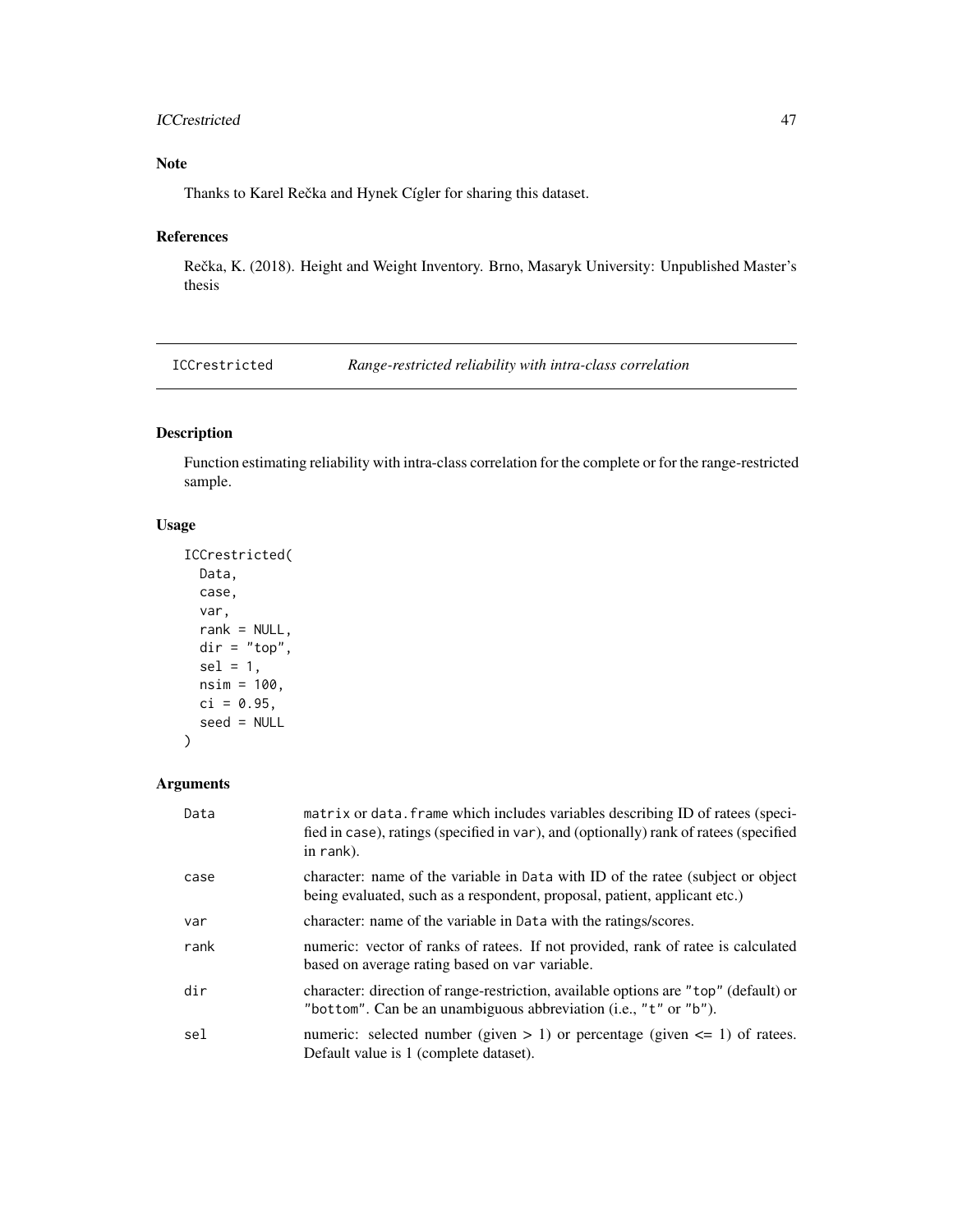# ICCrestricted 47

# Note

Thanks to Karel Rečka and Hynek Cígler for sharing this dataset.

# References

Rečka, K. (2018). Height and Weight Inventory. Brno, Masaryk University: Unpublished Master's thesis

<span id="page-46-0"></span>ICCrestricted *Range-restricted reliability with intra-class correlation*

# Description

Function estimating reliability with intra-class correlation for the complete or for the range-restricted sample.

## Usage

```
ICCrestricted(
 Data,
 case,
  var,
  rank = NULL,
  dir = "top",sel = 1,nsim = 100,
 ci = 0.95,seed = NULL
)
```
## Arguments

| Data | matrix or data. frame which includes variables describing ID of ratees (speci-<br>fied in case), ratings (specified in var), and (optionally) rank of ratees (specified<br>in rank). |
|------|--------------------------------------------------------------------------------------------------------------------------------------------------------------------------------------|
| case | character: name of the variable in Data with ID of the rate e(subject or object)<br>being evaluated, such as a respondent, proposal, patient, applicant etc.)                        |
| var  | character: name of the variable in Data with the ratings/scores.                                                                                                                     |
| rank | numeric: vector of ranks of ratees. If not provided, rank of ratee is calculated<br>based on average rating based on var variable.                                                   |
| dir  | character: direction of range-restriction, available options are "top" (default) or<br>"bottom". Can be an unambiguous abbreviation (i.e., "t" or "b").                              |
| sel  | numeric: selected number (given $> 1$ ) or percentage (given $\leq 1$ ) of ratees.<br>Default value is 1 (complete dataset).                                                         |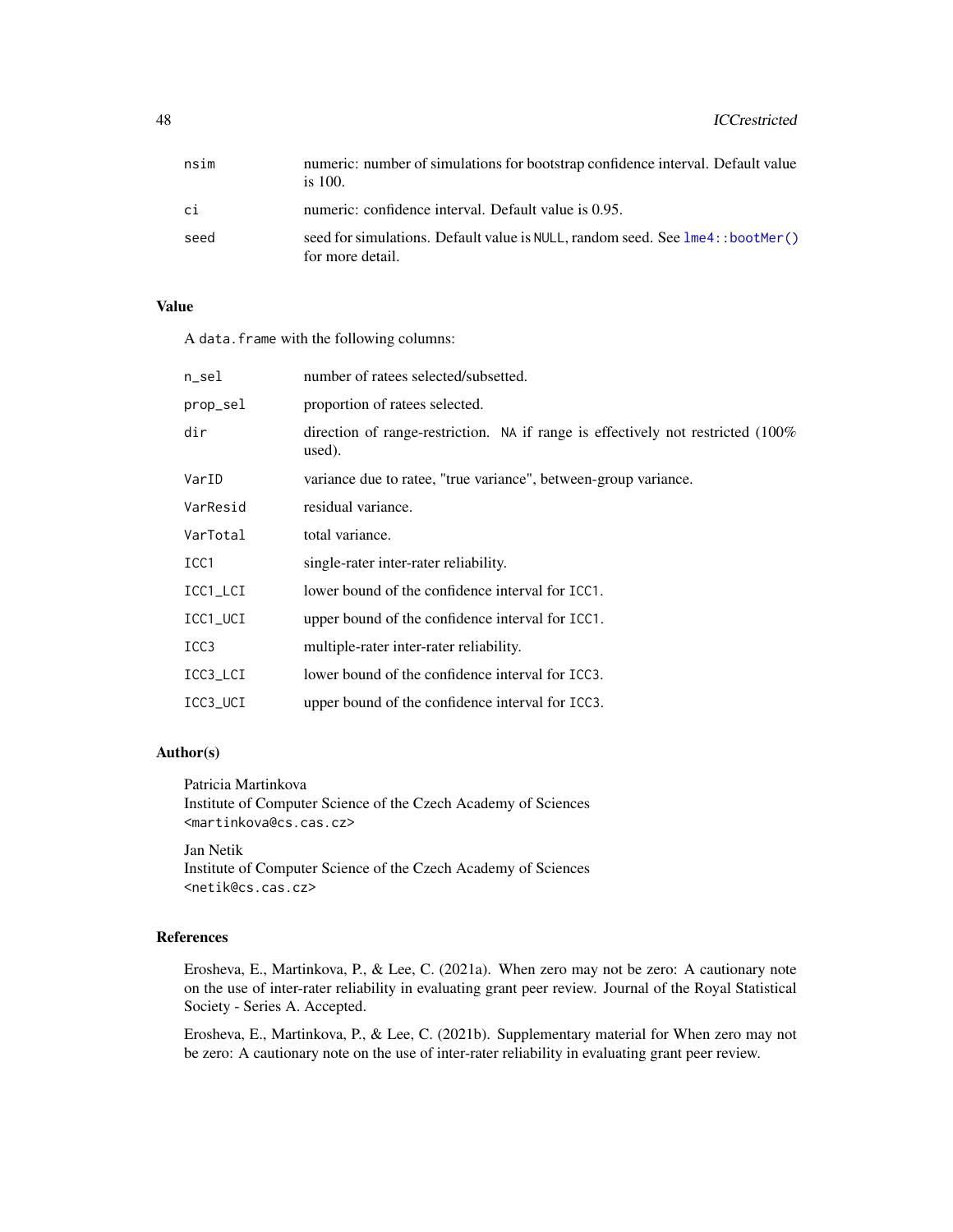| nsim | numeric: number of simulations for bootstrap confidence interval. Default value<br>is $100$ .      |
|------|----------------------------------------------------------------------------------------------------|
| сi   | numeric: confidence interval. Default value is 0.95.                                               |
| seed | seed for simulations. Default value is NULL, random seed. See lme4:: bootMer()<br>for more detail. |

## Value

A data.frame with the following columns:

| n_sel            | number of ratees selected/subsetted.                                                       |
|------------------|--------------------------------------------------------------------------------------------|
| prop_sel         | proportion of rate es selected.                                                            |
| dir              | direction of range-restriction. NA if range is effectively not restricted (100%)<br>used). |
| VarID            | variance due to ratee, "true variance", between-group variance.                            |
| VarResid         | residual variance.                                                                         |
| VarTotal         | total variance.                                                                            |
| ICC <sub>1</sub> | single-rater inter-rater reliability.                                                      |
| ICC1_LCI         | lower bound of the confidence interval for ICC1.                                           |
| ICC1_UCI         | upper bound of the confidence interval for ICC1.                                           |
| ICC <sub>3</sub> | multiple-rater inter-rater reliability.                                                    |
| ICC3_LCI         | lower bound of the confidence interval for ICC3.                                           |
| ICC3_UCI         | upper bound of the confidence interval for ICC3.                                           |

# Author(s)

Patricia Martinkova Institute of Computer Science of the Czech Academy of Sciences <martinkova@cs.cas.cz>

Jan Netik Institute of Computer Science of the Czech Academy of Sciences <netik@cs.cas.cz>

## References

Erosheva, E., Martinkova, P., & Lee, C. (2021a). When zero may not be zero: A cautionary note on the use of inter-rater reliability in evaluating grant peer review. Journal of the Royal Statistical Society - Series A. Accepted.

Erosheva, E., Martinkova, P., & Lee, C. (2021b). Supplementary material for When zero may not be zero: A cautionary note on the use of inter-rater reliability in evaluating grant peer review.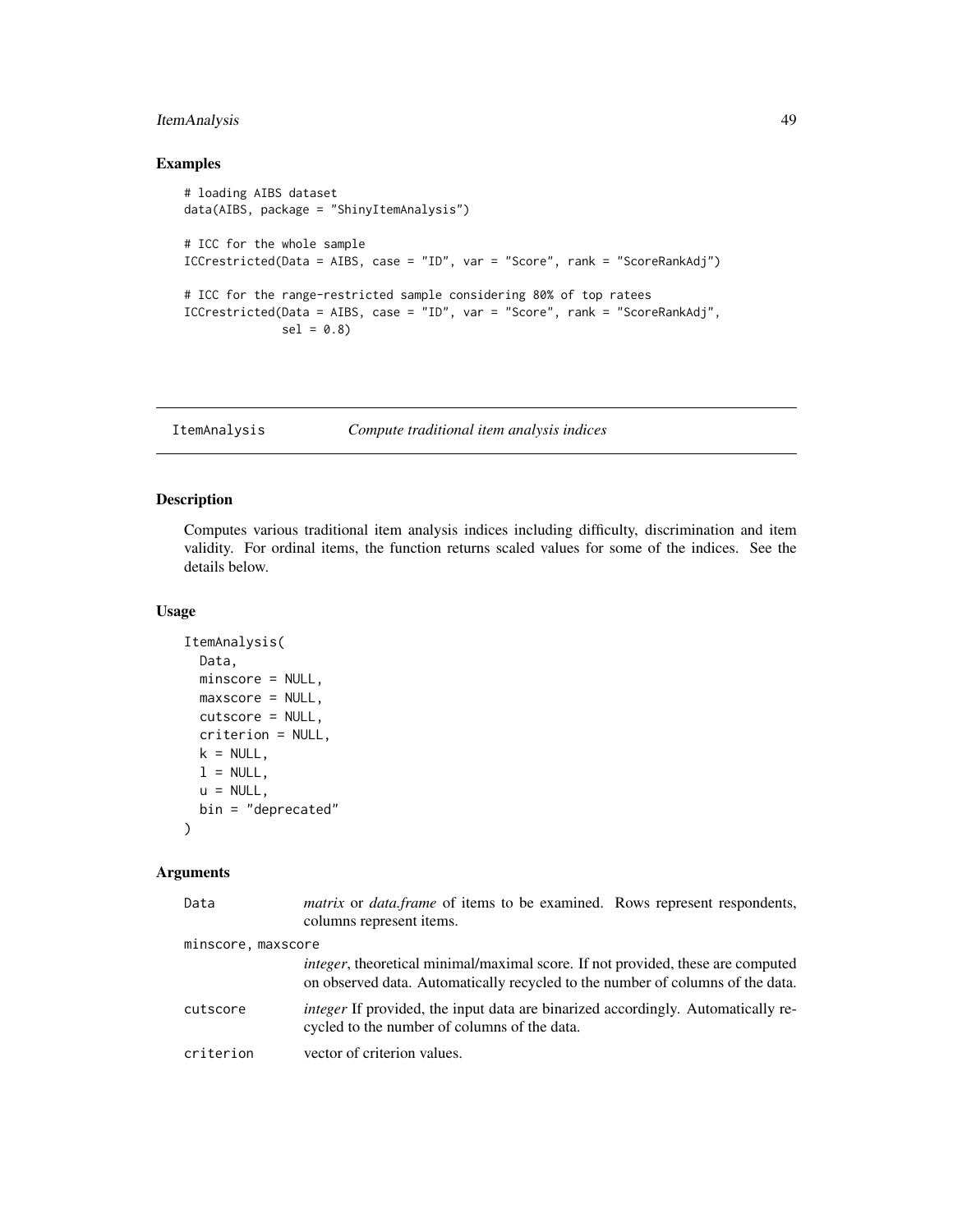# ItemAnalysis 49

# Examples

```
# loading AIBS dataset
data(AIBS, package = "ShinyItemAnalysis")
# ICC for the whole sample
ICCrestricted(Data = AIBS, case = "ID", var = "Score", rank = "ScoreRankAdj")
# ICC for the range-restricted sample considering 80% of top ratees
ICCrestricted(Data = AIBS, case = "ID", var = "Score", rank = "ScoreRankAdj",
             sel = 0.8
```
<span id="page-48-0"></span>ItemAnalysis *Compute traditional item analysis indices*

# Description

Computes various traditional item analysis indices including difficulty, discrimination and item validity. For ordinal items, the function returns scaled values for some of the indices. See the details below.

#### Usage

```
ItemAnalysis(
 Data,
 minscore = NULL,
 maxscore = NULL,
 cutscore = NULL,
 criterion = NULL,
 k = NULL,l = NULL,u = NULL,bin = "deprecated"
)
```
# Arguments

| Data               | <i>matrix</i> or <i>data.frame</i> of items to be examined. Rows represent respondents,<br>columns represent items.                                                       |
|--------------------|---------------------------------------------------------------------------------------------------------------------------------------------------------------------------|
| minscore, maxscore |                                                                                                                                                                           |
|                    | <i>integer</i> , theoretical minimal/maximal score. If not provided, these are computed<br>on observed data. Automatically recycled to the number of columns of the data. |
| cutscore           | <i>integer</i> If provided, the input data are binarized accordingly. Automatically re-<br>cycled to the number of columns of the data.                                   |
| criterion          | vector of criterion values.                                                                                                                                               |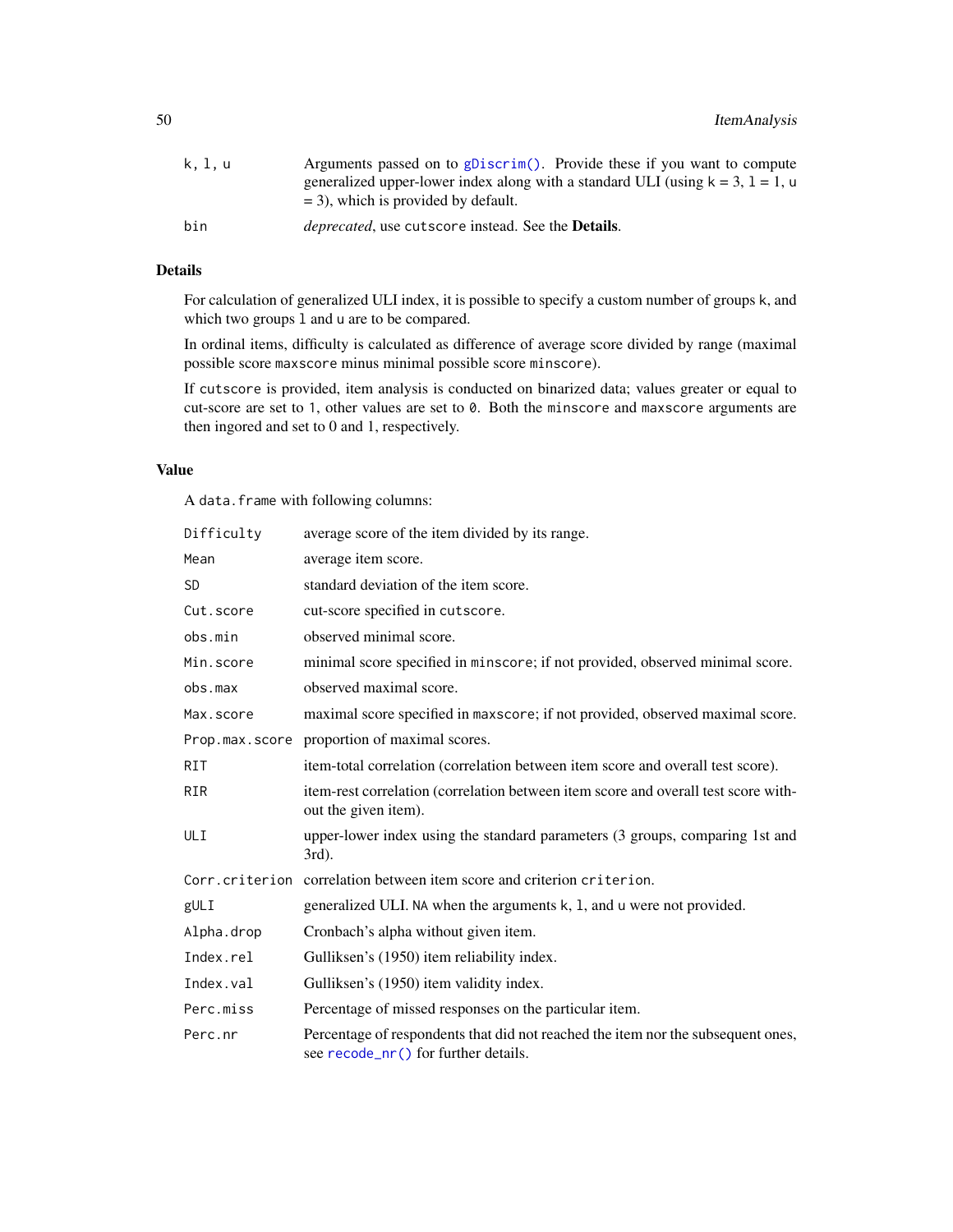| k. l. u | Arguments passed on to gDiscrim(). Provide these if you want to compute              |
|---------|--------------------------------------------------------------------------------------|
|         | generalized upper-lower index along with a standard ULI (using $k = 3$ , $l = 1$ , u |
|         | $=$ 3), which is provided by default.                                                |
| bin     | deprecated, use cutscore instead. See the Details.                                   |

## Details

For calculation of generalized ULI index, it is possible to specify a custom number of groups k, and which two groups 1 and u are to be compared.

In ordinal items, difficulty is calculated as difference of average score divided by range (maximal possible score maxscore minus minimal possible score minscore).

If cutscore is provided, item analysis is conducted on binarized data; values greater or equal to cut-score are set to 1, other values are set to 0. Both the minscore and maxscore arguments are then ingored and set to 0 and 1, respectively.

## Value

A data.frame with following columns:

| Difficulty | average score of the item divided by its range.                                                                          |
|------------|--------------------------------------------------------------------------------------------------------------------------|
| Mean       | average item score.                                                                                                      |
| <b>SD</b>  | standard deviation of the item score.                                                                                    |
| Cut.score  | cut-score specified in cutscore.                                                                                         |
| obs.min    | observed minimal score.                                                                                                  |
| Min.score  | minimal score specified in minscore; if not provided, observed minimal score.                                            |
| obs.max    | observed maximal score.                                                                                                  |
| Max.score  | maximal score specified in maxscore; if not provided, observed maximal score.                                            |
|            | Prop.max.score proportion of maximal scores.                                                                             |
| <b>RIT</b> | item-total correlation (correlation between item score and overall test score).                                          |
| <b>RIR</b> | item-rest correlation (correlation between item score and overall test score with-<br>out the given item).               |
| ULI        | upper-lower index using the standard parameters (3 groups, comparing 1st and<br>$3rd$ ).                                 |
|            | Corr.criterion correlation between item score and criterion criterion.                                                   |
| gULI       | generalized ULI. NA when the arguments k, 1, and u were not provided.                                                    |
| Alpha.drop | Cronbach's alpha without given item.                                                                                     |
| Index.rel  | Gulliksen's (1950) item reliability index.                                                                               |
| Index.val  | Gulliksen's (1950) item validity index.                                                                                  |
| Perc.miss  | Percentage of missed responses on the particular item.                                                                   |
| Perc.nr    | Percentage of respondents that did not reached the item nor the subsequent ones,<br>see recode_nr() for further details. |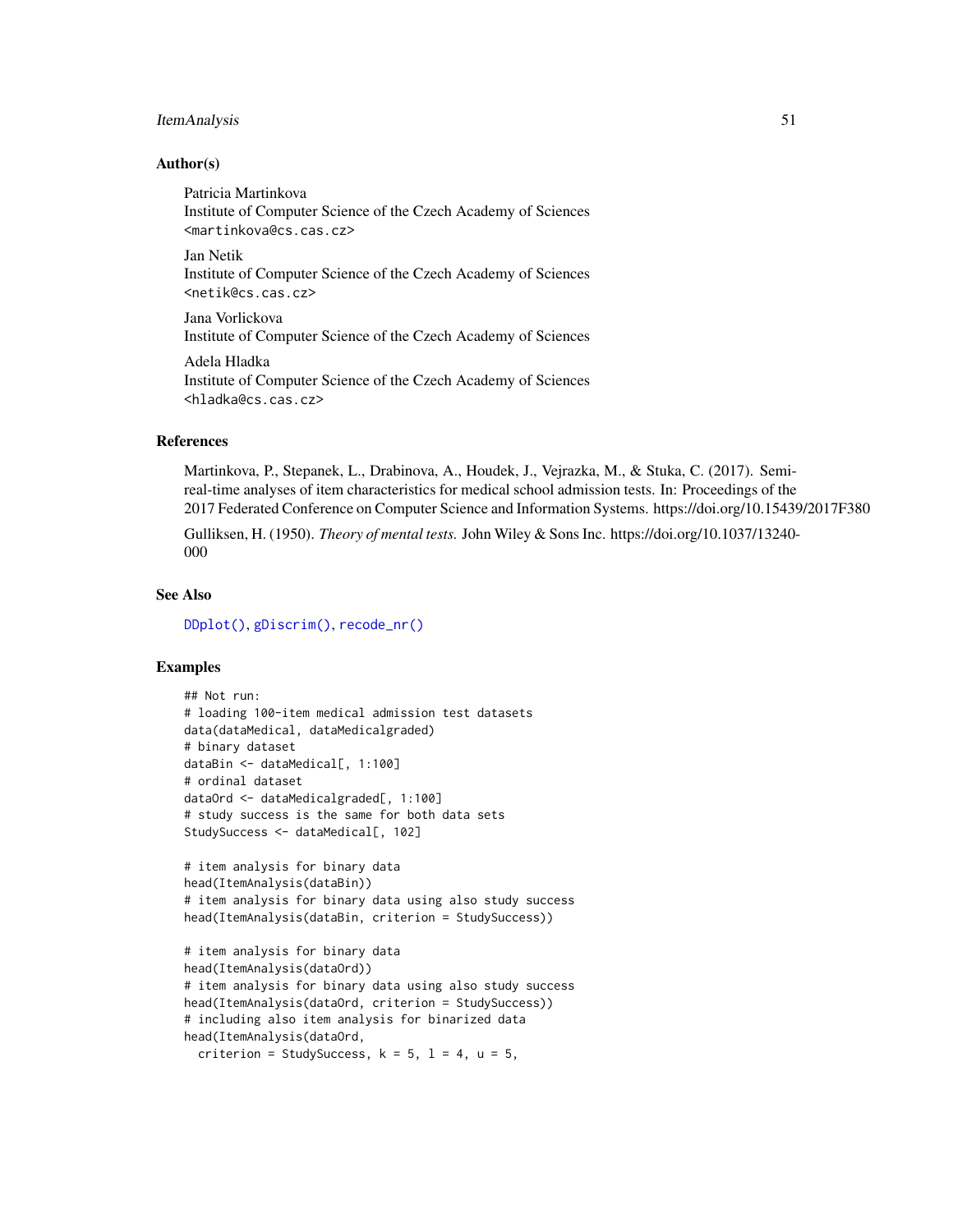## ItemAnalysis 51

## Author(s)

Patricia Martinkova Institute of Computer Science of the Czech Academy of Sciences <martinkova@cs.cas.cz> Jan Netik

Institute of Computer Science of the Czech Academy of Sciences <netik@cs.cas.cz>

Jana Vorlickova Institute of Computer Science of the Czech Academy of Sciences

Adela Hladka Institute of Computer Science of the Czech Academy of Sciences <hladka@cs.cas.cz>

## References

Martinkova, P., Stepanek, L., Drabinova, A., Houdek, J., Vejrazka, M., & Stuka, C. (2017). Semireal-time analyses of item characteristics for medical school admission tests. In: Proceedings of the 2017 Federated Conference on Computer Science and Information Systems. https://doi.org/10.15439/2017F380

Gulliksen, H. (1950). *Theory of mental tests.* John Wiley & Sons Inc. https://doi.org/10.1037/13240- 000

#### See Also

[DDplot\(\)](#page-17-0), [gDiscrim\(\)](#page-33-0), [recode\\_nr\(\)](#page-70-0)

# Examples

```
## Not run:
# loading 100-item medical admission test datasets
data(dataMedical, dataMedicalgraded)
# binary dataset
dataBin <- dataMedical[, 1:100]
# ordinal dataset
dataOrd <- dataMedicalgraded[, 1:100]
# study success is the same for both data sets
StudySuccess <- dataMedical[, 102]
# item analysis for binary data
head(ItemAnalysis(dataBin))
# item analysis for binary data using also study success
head(ItemAnalysis(dataBin, criterion = StudySuccess))
# item analysis for binary data
head(ItemAnalysis(dataOrd))
# item analysis for binary data using also study success
head(ItemAnalysis(dataOrd, criterion = StudySuccess))
# including also item analysis for binarized data
head(ItemAnalysis(dataOrd,
  criterion = StudySuccess, k = 5, l = 4, u = 5,
```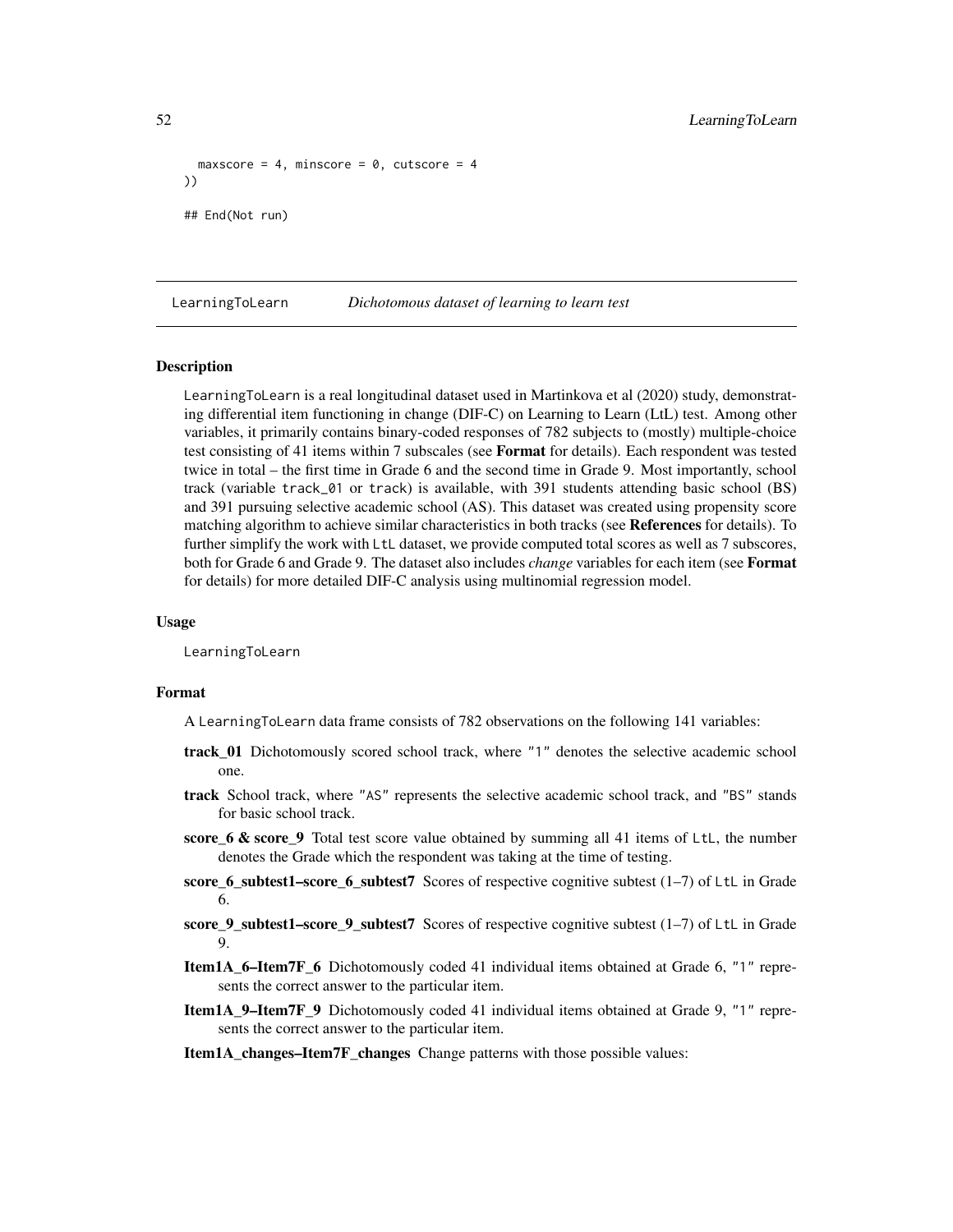```
maxscore = 4, minscore = \theta, cutscore = 4
))
## End(Not run)
```
LearningToLearn *Dichotomous dataset of learning to learn test*

## Description

LearningToLearn is a real longitudinal dataset used in Martinkova et al (2020) study, demonstrating differential item functioning in change (DIF-C) on Learning to Learn (LtL) test. Among other variables, it primarily contains binary-coded responses of 782 subjects to (mostly) multiple-choice test consisting of 41 items within 7 subscales (see **Format** for details). Each respondent was tested twice in total – the first time in Grade 6 and the second time in Grade 9. Most importantly, school track (variable track\_01 or track) is available, with 391 students attending basic school (BS) and 391 pursuing selective academic school (AS). This dataset was created using propensity score matching algorithm to achieve similar characteristics in both tracks (see References for details). To further simplify the work with LtL dataset, we provide computed total scores as well as 7 subscores, both for Grade 6 and Grade 9. The dataset also includes *change* variables for each item (see Format for details) for more detailed DIF-C analysis using multinomial regression model.

## Usage

LearningToLearn

#### Format

A LearningToLearn data frame consists of 782 observations on the following 141 variables:

- track\_01 Dichotomously scored school track, where "1" denotes the selective academic school one.
- track School track, where "AS" represents the selective academic school track, and "BS" stands for basic school track.
- score\_6 & score\_9 Total test score value obtained by summing all 41 items of LtL, the number denotes the Grade which the respondent was taking at the time of testing.
- score\_6\_subtest1–score\_6\_subtest7 Scores of respective cognitive subtest (1–7) of LtL in Grade 6.
- score\_9\_subtest1–score\_9\_subtest7 Scores of respective cognitive subtest (1–7) of LtL in Grade 9.
- Item1A\_6–Item7F\_6 Dichotomously coded 41 individual items obtained at Grade 6, "1" represents the correct answer to the particular item.
- Item1A\_9–Item7F\_9 Dichotomously coded 41 individual items obtained at Grade 9, "1" represents the correct answer to the particular item.
- Item1A\_changes–Item7F\_changes Change patterns with those possible values: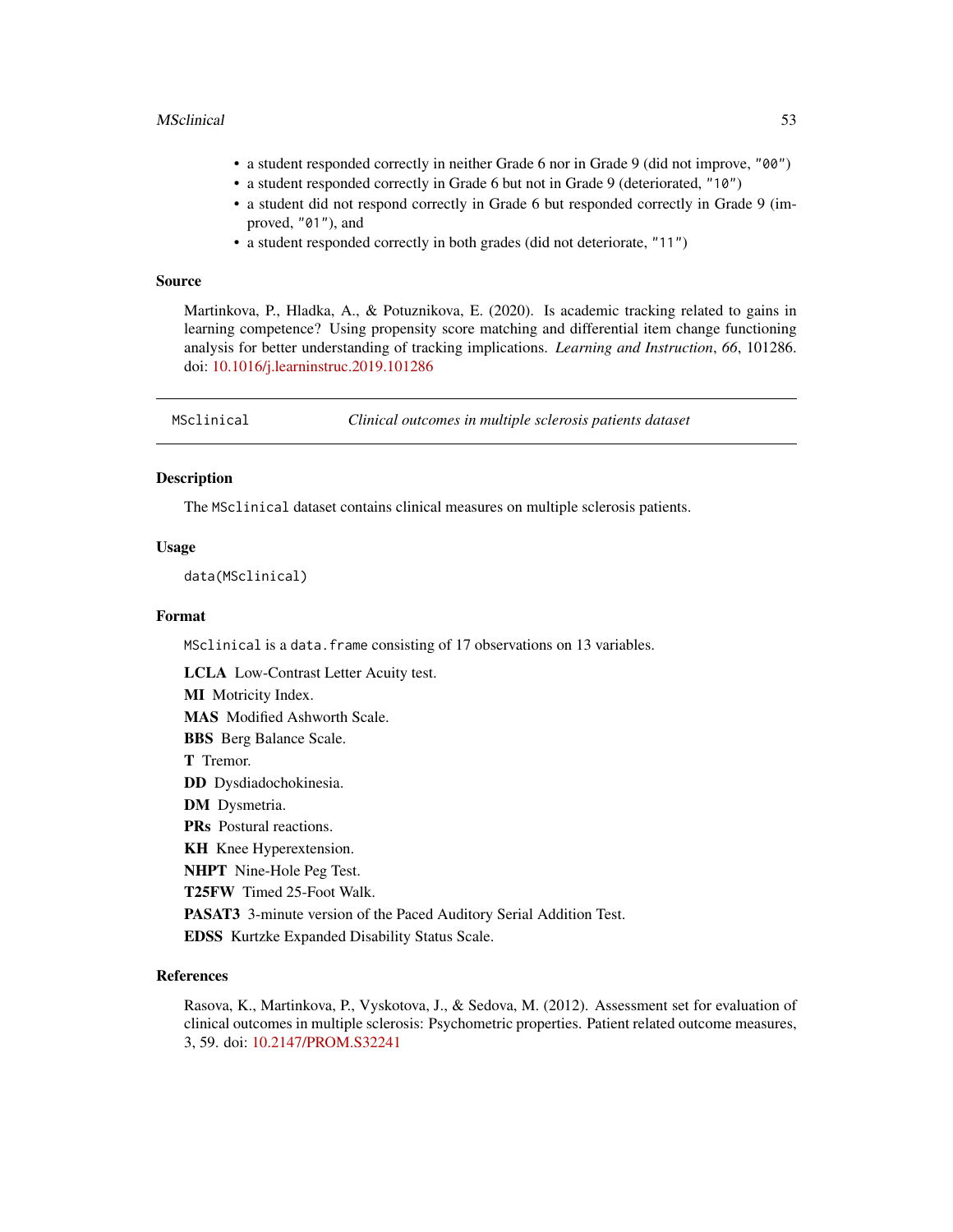#### MSclinical 53

- a student responded correctly in neither Grade 6 nor in Grade 9 (did not improve, "00")
- a student responded correctly in Grade 6 but not in Grade 9 (deteriorated, "10")
- a student did not respond correctly in Grade 6 but responded correctly in Grade 9 (improved, "01"), and
- a student responded correctly in both grades (did not deteriorate, "11")

#### Source

Martinkova, P., Hladka, A., & Potuznikova, E. (2020). Is academic tracking related to gains in learning competence? Using propensity score matching and differential item change functioning analysis for better understanding of tracking implications. *Learning and Instruction*, *66*, 101286. doi: [10.1016/j.learninstruc.2019.101286](https://doi.org/10.1016/j.learninstruc.2019.101286)

| MSclinical | Clinical outcomes in multiple sclerosis patients dataset |  |
|------------|----------------------------------------------------------|--|
|------------|----------------------------------------------------------|--|

## **Description**

The MSclinical dataset contains clinical measures on multiple sclerosis patients.

#### Usage

data(MSclinical)

#### Format

MSclinical is a data.frame consisting of 17 observations on 13 variables.

LCLA Low-Contrast Letter Acuity test.

MI Motricity Index.

MAS Modified Ashworth Scale.

BBS Berg Balance Scale.

T Tremor.

DD Dysdiadochokinesia.

DM Dysmetria.

PRs Postural reactions.

KH Knee Hyperextension.

NHPT Nine-Hole Peg Test.

T25FW Timed 25-Foot Walk.

PASAT3 3-minute version of the Paced Auditory Serial Addition Test.

EDSS Kurtzke Expanded Disability Status Scale.

## References

Rasova, K., Martinkova, P., Vyskotova, J., & Sedova, M. (2012). Assessment set for evaluation of clinical outcomes in multiple sclerosis: Psychometric properties. Patient related outcome measures, 3, 59. doi: [10.2147/PROM.S32241](https://doi.org/10.2147/PROM.S32241)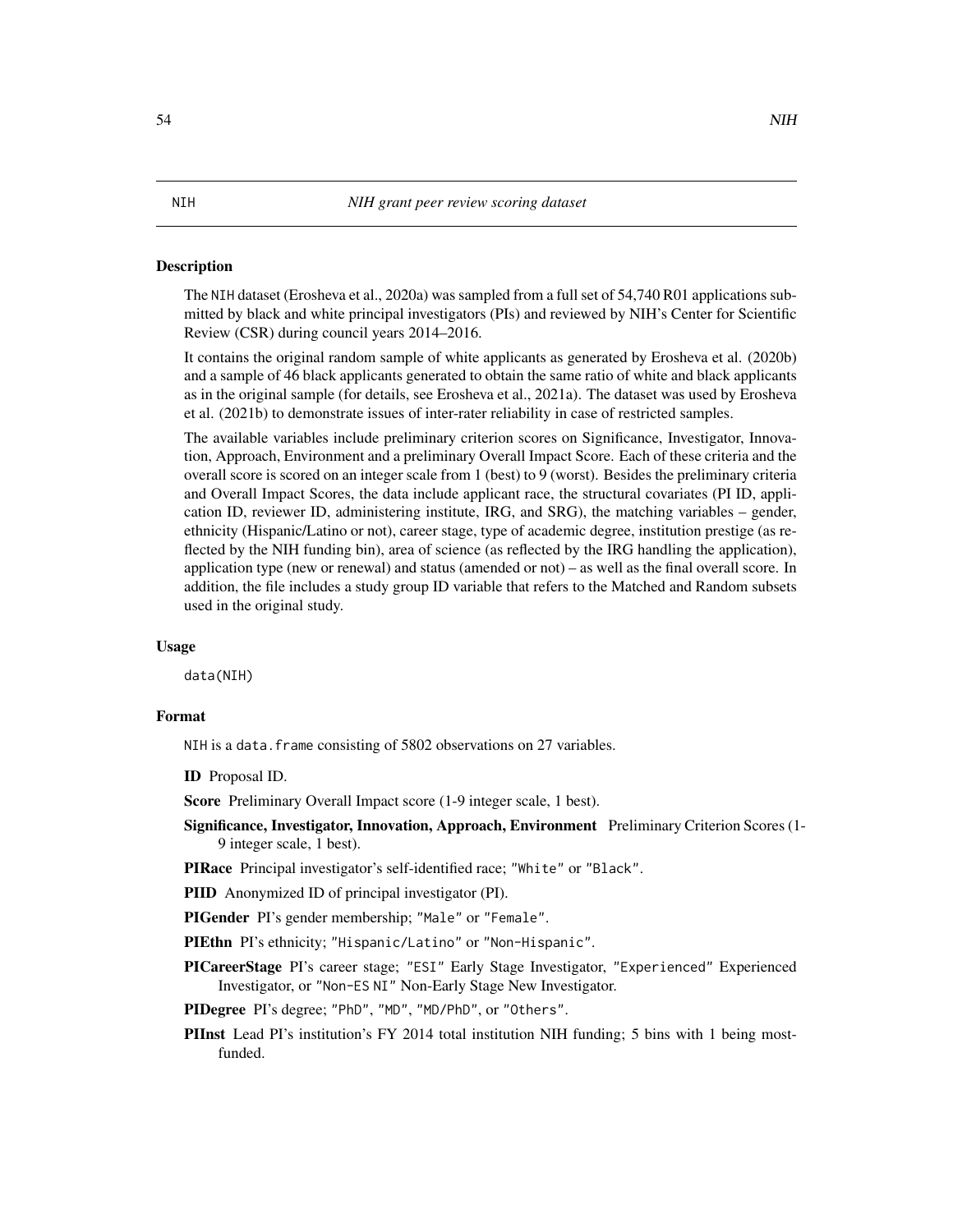## Description

The NIH dataset (Erosheva et al., 2020a) was sampled from a full set of 54,740 R01 applications submitted by black and white principal investigators (PIs) and reviewed by NIH's Center for Scientific Review (CSR) during council years 2014–2016.

It contains the original random sample of white applicants as generated by Erosheva et al. (2020b) and a sample of 46 black applicants generated to obtain the same ratio of white and black applicants as in the original sample (for details, see Erosheva et al., 2021a). The dataset was used by Erosheva et al. (2021b) to demonstrate issues of inter-rater reliability in case of restricted samples.

The available variables include preliminary criterion scores on Significance, Investigator, Innovation, Approach, Environment and a preliminary Overall Impact Score. Each of these criteria and the overall score is scored on an integer scale from 1 (best) to 9 (worst). Besides the preliminary criteria and Overall Impact Scores, the data include applicant race, the structural covariates (PI ID, application ID, reviewer ID, administering institute, IRG, and SRG), the matching variables – gender, ethnicity (Hispanic/Latino or not), career stage, type of academic degree, institution prestige (as reflected by the NIH funding bin), area of science (as reflected by the IRG handling the application), application type (new or renewal) and status (amended or not) – as well as the final overall score. In addition, the file includes a study group ID variable that refers to the Matched and Random subsets used in the original study.

#### Usage

data(NIH)

## Format

NIH is a data. frame consisting of 5802 observations on 27 variables.

ID Proposal ID.

Score Preliminary Overall Impact score (1-9 integer scale, 1 best).

- Significance, Investigator, Innovation, Approach, Environment Preliminary Criterion Scores (1- 9 integer scale, 1 best).
- PIRace Principal investigator's self-identified race; "White" or "Black".

PIID Anonymized ID of principal investigator (PI).

PIGender PI's gender membership; "Male" or "Female".

PIEthn PI's ethnicity; "Hispanic/Latino" or "Non-Hispanic".

- PICareerStage PI's career stage; "ESI" Early Stage Investigator, "Experienced" Experienced Investigator, or "Non-ES NI" Non-Early Stage New Investigator.
- PIDegree PI's degree; "PhD", "MD", "MD/PhD", or "Others".
- PIInst Lead PI's institution's FY 2014 total institution NIH funding; 5 bins with 1 being mostfunded.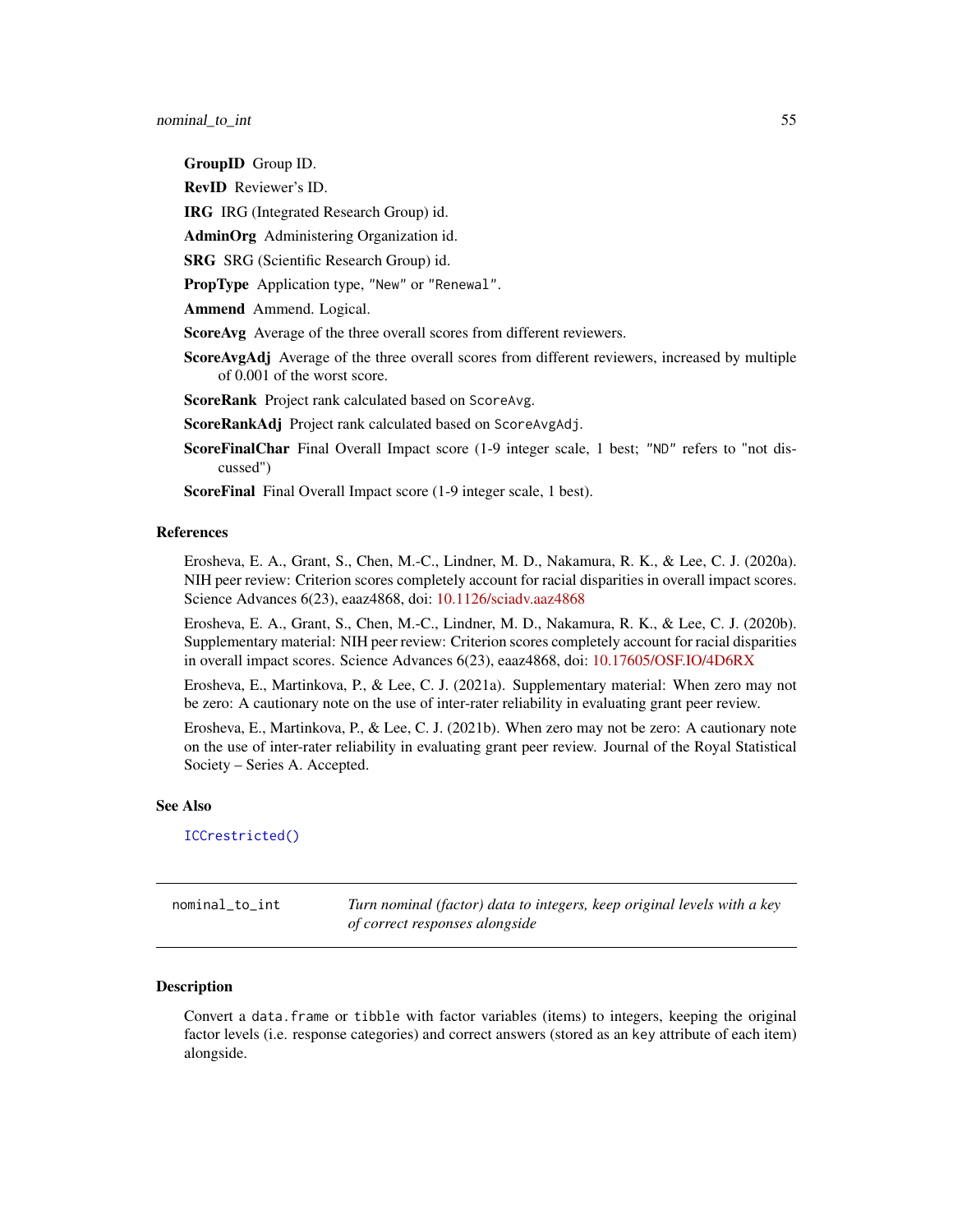GroupID Group ID.

RevID Reviewer's ID.

IRG IRG (Integrated Research Group) id.

AdminOrg Administering Organization id.

SRG SRG (Scientific Research Group) id.

PropType Application type, "New" or "Renewal".

Ammend Ammend. Logical.

ScoreAvg Average of the three overall scores from different reviewers.

ScoreAvgAdj Average of the three overall scores from different reviewers, increased by multiple of 0.001 of the worst score.

ScoreRank Project rank calculated based on ScoreAvg.

ScoreRankAdj Project rank calculated based on ScoreAvgAdj.

ScoreFinalChar Final Overall Impact score (1-9 integer scale, 1 best; "ND" refers to "not discussed")

ScoreFinal Final Overall Impact score (1-9 integer scale, 1 best).

## References

Erosheva, E. A., Grant, S., Chen, M.-C., Lindner, M. D., Nakamura, R. K., & Lee, C. J. (2020a). NIH peer review: Criterion scores completely account for racial disparities in overall impact scores. Science Advances 6(23), eaaz4868, doi: [10.1126/sciadv.aaz4868](https://doi.org/10.1126/sciadv.aaz4868)

Erosheva, E. A., Grant, S., Chen, M.-C., Lindner, M. D., Nakamura, R. K., & Lee, C. J. (2020b). Supplementary material: NIH peer review: Criterion scores completely account for racial disparities in overall impact scores. Science Advances 6(23), eaaz4868, doi: [10.17605/OSF.IO/4D6RX](https://doi.org/10.17605/OSF.IO/4D6RX)

Erosheva, E., Martinkova, P., & Lee, C. J. (2021a). Supplementary material: When zero may not be zero: A cautionary note on the use of inter-rater reliability in evaluating grant peer review.

Erosheva, E., Martinkova, P., & Lee, C. J. (2021b). When zero may not be zero: A cautionary note on the use of inter-rater reliability in evaluating grant peer review. Journal of the Royal Statistical Society – Series A. Accepted.

#### See Also

[ICCrestricted\(\)](#page-46-0)

<span id="page-54-0"></span>nominal\_to\_int *Turn nominal (factor) data to integers, keep original levels with a key of correct responses alongside*

# **Description**

Convert a data.frame or tibble with factor variables (items) to integers, keeping the original factor levels (i.e. response categories) and correct answers (stored as an key attribute of each item) alongside.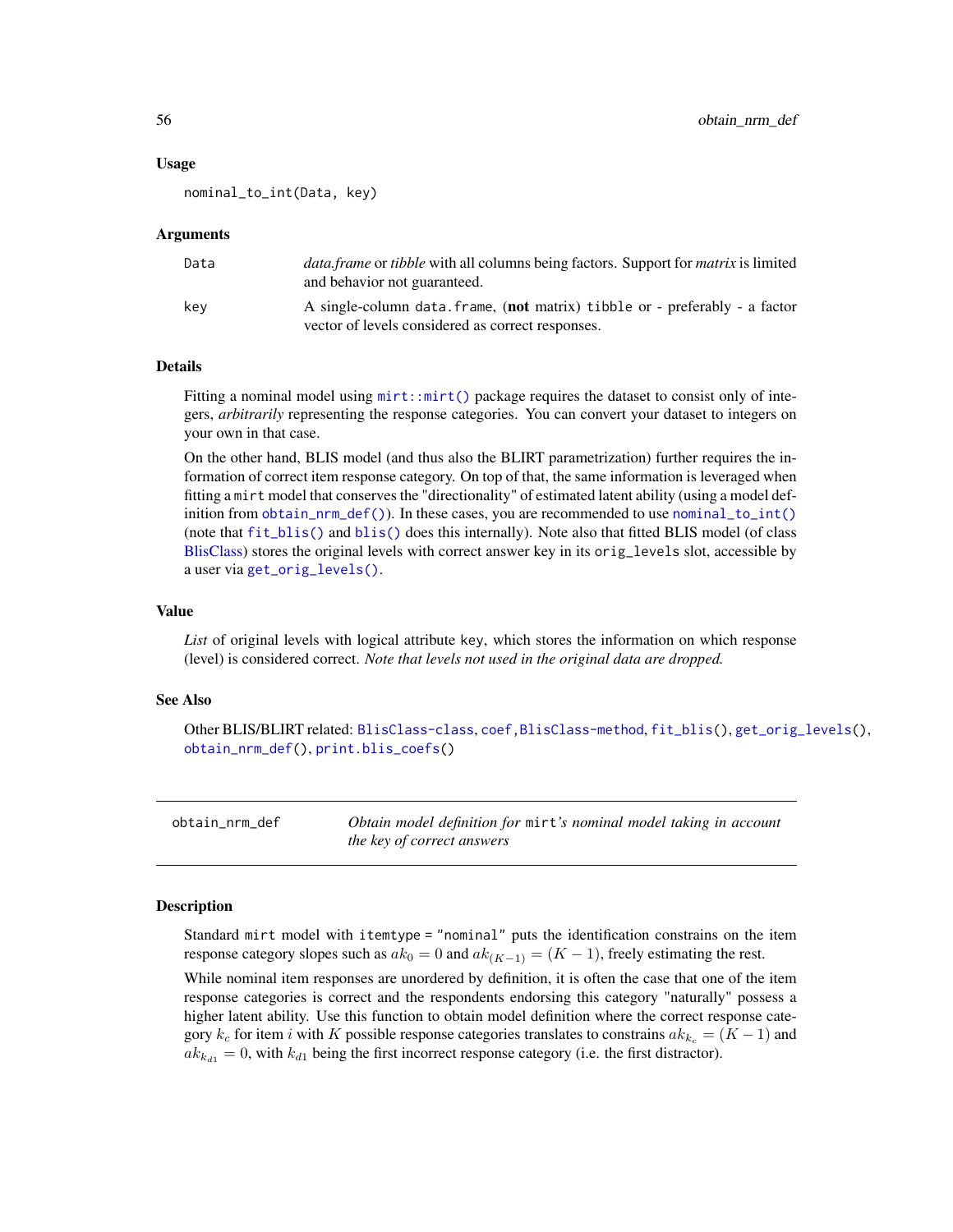#### Usage

nominal\_to\_int(Data, key)

#### Arguments

| Data | <i>data.frame</i> or <i>tibble</i> with all columns being factors. Support for <i>matrix</i> is limited<br>and behavior not guaranteed. |
|------|-----------------------------------------------------------------------------------------------------------------------------------------|
| kev  | A single-column data frame, (not matrix) tibble or - preferably - a factor<br>vector of levels considered as correct responses.         |

# Details

Fitting a nominal model using  $mirt: mirt()$  package requires the dataset to consist only of integers, *arbitrarily* representing the response categories. You can convert your dataset to integers on your own in that case.

On the other hand, BLIS model (and thus also the BLIRT parametrization) further requires the information of correct item response category. On top of that, the same information is leveraged when fitting a mirt model that conserves the "directionality" of estimated latent ability (using a model definition from [obtain\\_nrm\\_def\(\)](#page-55-0)). In these cases, you are recommended to use [nominal\\_to\\_int\(\)](#page-54-0) (note that [fit\\_blis\(\)](#page-25-0) and [blis\(\)](#page-25-1) does this internally). Note also that fitted BLIS model (of class [BlisClass\)](#page-10-0) stores the original levels with correct answer key in its orig\_levels slot, accessible by a user via [get\\_orig\\_levels\(\)](#page-35-0).

#### Value

*List* of original levels with logical attribute key, which stores the information on which response (level) is considered correct. *Note that levels not used in the original data are dropped.*

## See Also

Other BLIS/BLIRT related: [BlisClass-class](#page-10-0), [coef,BlisClass-method](#page-0-0), [fit\\_blis\(](#page-25-0)), [get\\_orig\\_levels\(](#page-35-0)), [obtain\\_nrm\\_def\(](#page-55-0)), [print.blis\\_coefs\(](#page-69-0))

<span id="page-55-0"></span>obtain\_nrm\_def *Obtain model definition for* mirt*'s nominal model taking in account the key of correct answers*

#### Description

Standard mirt model with itemtype = "nominal" puts the identification constrains on the item response category slopes such as  $ak_0 = 0$  and  $ak_{(K-1)} = (K-1)$ , freely estimating the rest.

While nominal item responses are unordered by definition, it is often the case that one of the item response categories is correct and the respondents endorsing this category "naturally" possess a higher latent ability. Use this function to obtain model definition where the correct response category  $k_c$  for item i with K possible response categories translates to constrains  $ak_{k_c} = (K - 1)$  and  $ak_{k_{d1}} = 0$ , with  $k_{d1}$  being the first incorrect response category (i.e. the first distractor).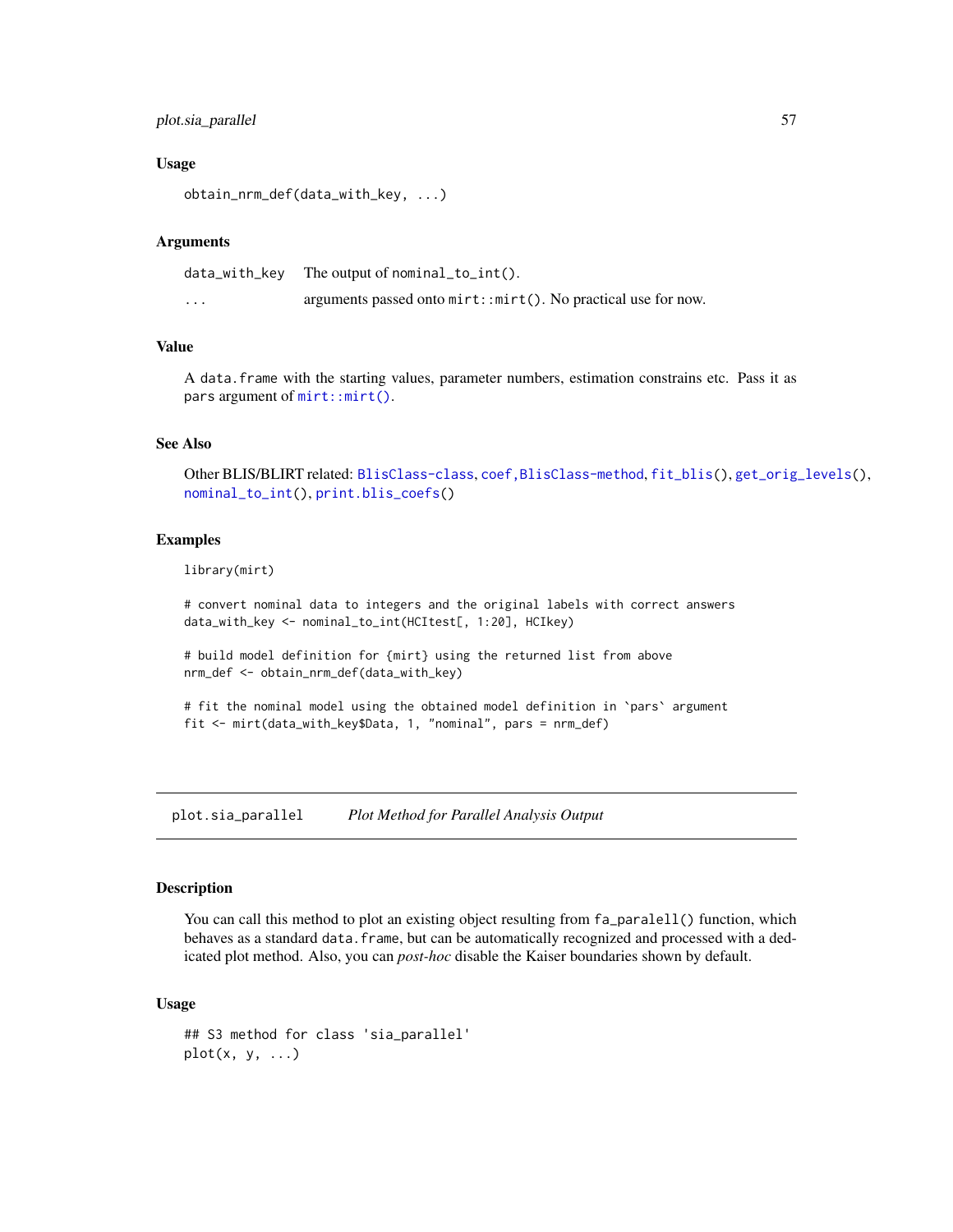# plot.sia\_parallel 57

#### Usage

```
obtain_nrm_def(data_with_key, ...)
```
#### Arguments

| data_with_kev | The output of nominal_to_int().                                   |
|---------------|-------------------------------------------------------------------|
| $\cdots$      | arguments passed onto $mirt: imirt()$ . No practical use for now. |

# Value

A data.frame with the starting values, parameter numbers, estimation constrains etc. Pass it as pars argument of [mirt::mirt\(\)](#page-0-0).

#### See Also

Other BLIS/BLIRT related: [BlisClass-class](#page-10-0), [coef,BlisClass-method](#page-0-0), [fit\\_blis\(](#page-25-0)), [get\\_orig\\_levels\(](#page-35-0)), [nominal\\_to\\_int\(](#page-54-0)), [print.blis\\_coefs\(](#page-69-0))

## Examples

library(mirt)

# convert nominal data to integers and the original labels with correct answers data\_with\_key <- nominal\_to\_int(HCItest[, 1:20], HCIkey)

# build model definition for {mirt} using the returned list from above nrm\_def <- obtain\_nrm\_def(data\_with\_key)

```
# fit the nominal model using the obtained model definition in `pars` argument
fit <- mirt(data_with_key$Data, 1, "nominal", pars = nrm_def)
```
plot.sia\_parallel *Plot Method for Parallel Analysis Output*

## Description

You can call this method to plot an existing object resulting from  $fa$ -paralell() function, which behaves as a standard data. frame, but can be automatically recognized and processed with a dedicated plot method. Also, you can *post-hoc* disable the Kaiser boundaries shown by default.

#### Usage

```
## S3 method for class 'sia_parallel'
plot(x, y, ...)
```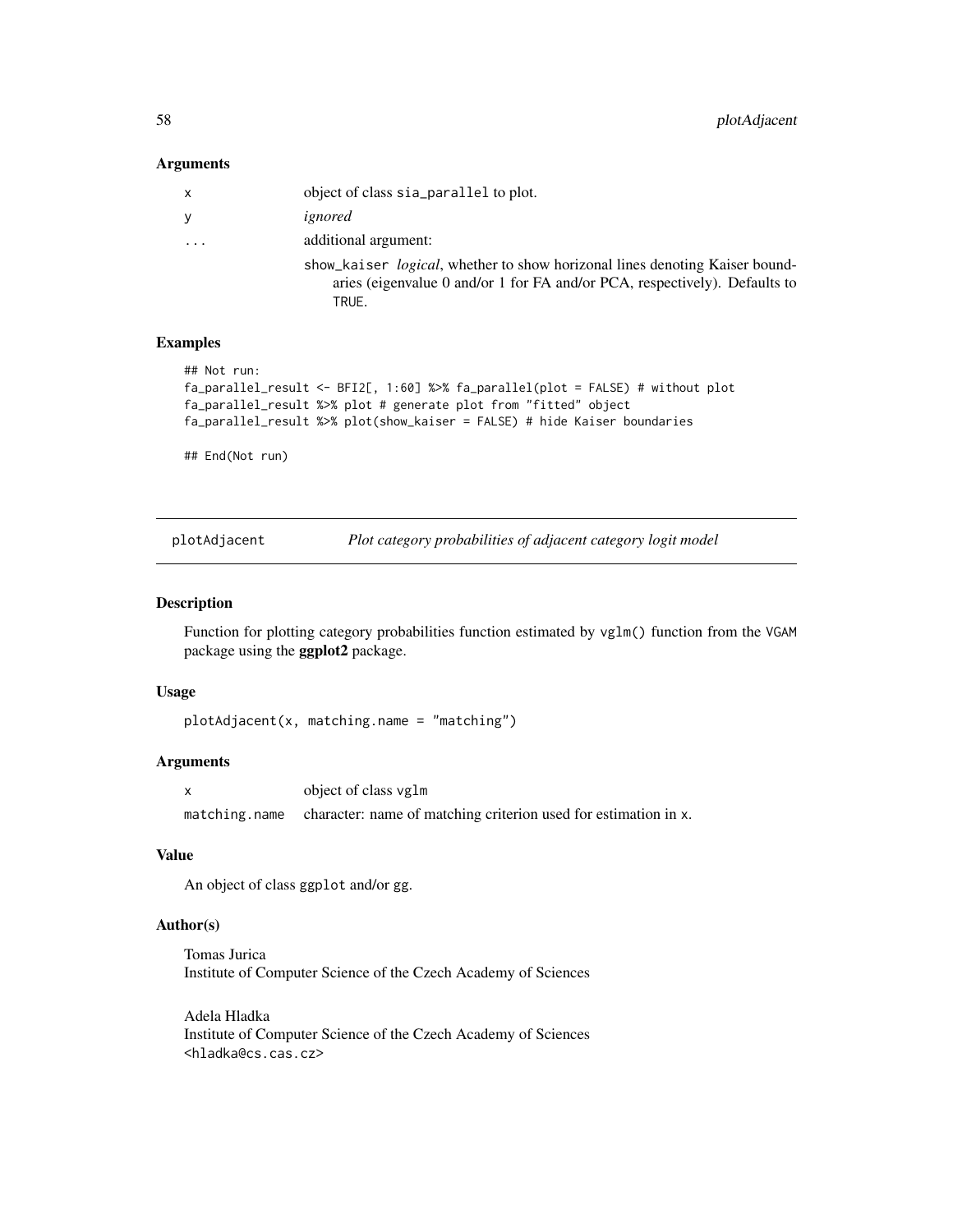#### Arguments

| x        | object of class sia_parallel to plot.                                                                                                                                      |
|----------|----------------------------------------------------------------------------------------------------------------------------------------------------------------------------|
| У        | ignored                                                                                                                                                                    |
| $\cdots$ | additional argument:                                                                                                                                                       |
|          | show_kaiser <i>logical</i> , whether to show horizonal lines denoting Kaiser bound-<br>aries (eigenvalue 0 and/or 1 for FA and/or PCA, respectively). Defaults to<br>TRUE. |

## Examples

```
## Not run:
fa_parallel_result <- BFI2[, 1:60] %>% fa_parallel(plot = FALSE) # without plot
fa_parallel_result %>% plot # generate plot from "fitted" object
fa_parallel_result %>% plot(show_kaiser = FALSE) # hide Kaiser boundaries
```
## End(Not run)

plotAdjacent *Plot category probabilities of adjacent category logit model*

## Description

Function for plotting category probabilities function estimated by vglm() function from the VGAM package using the ggplot2 package.

## Usage

plotAdjacent(x, matching.name = "matching")

# Arguments

|               | object of class vglm                                            |
|---------------|-----------------------------------------------------------------|
| matching.name | character: name of matching criterion used for estimation in x. |

# Value

An object of class ggplot and/or gg.

## Author(s)

Tomas Jurica Institute of Computer Science of the Czech Academy of Sciences

Adela Hladka Institute of Computer Science of the Czech Academy of Sciences <hladka@cs.cas.cz>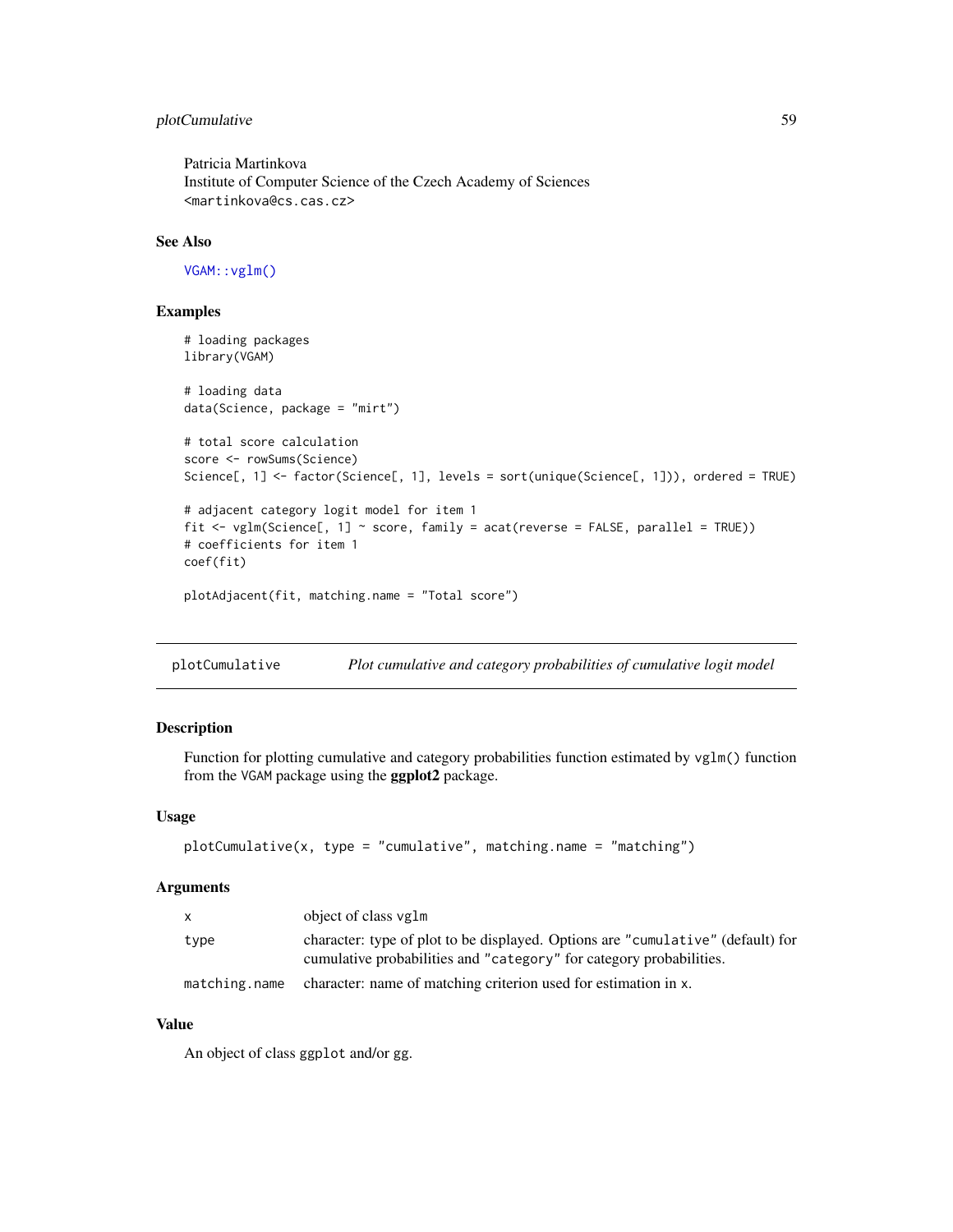# plotCumulative 59

Patricia Martinkova Institute of Computer Science of the Czech Academy of Sciences <martinkova@cs.cas.cz>

# See Also

[VGAM::vglm\(\)](#page-0-0)

## Examples

```
# loading packages
library(VGAM)
# loading data
data(Science, package = "mirt")
# total score calculation
score <- rowSums(Science)
Science[, 1] <- factor(Science[, 1], levels = sort(unique(Science[, 1])), ordered = TRUE)
# adjacent category logit model for item 1
fit \le vglm(Science[, 1] \le score, family = acat(reverse = FALSE, parallel = TRUE))
# coefficients for item 1
coef(fit)
plotAdjacent(fit, matching.name = "Total score")
```
plotCumulative *Plot cumulative and category probabilities of cumulative logit model*

# Description

Function for plotting cumulative and category probabilities function estimated by vglm() function from the VGAM package using the ggplot2 package.

## Usage

```
plotCumulative(x, type = "cumulative", matching.name = "matching")
```
#### Arguments

| X    | object of class vglm                                                                                                                                   |
|------|--------------------------------------------------------------------------------------------------------------------------------------------------------|
| type | character: type of plot to be displayed. Options are "cumulative" (default) for<br>cumulative probabilities and "category" for category probabilities. |
|      | matching.name character: name of matching criterion used for estimation in x.                                                                          |

# Value

An object of class ggplot and/or gg.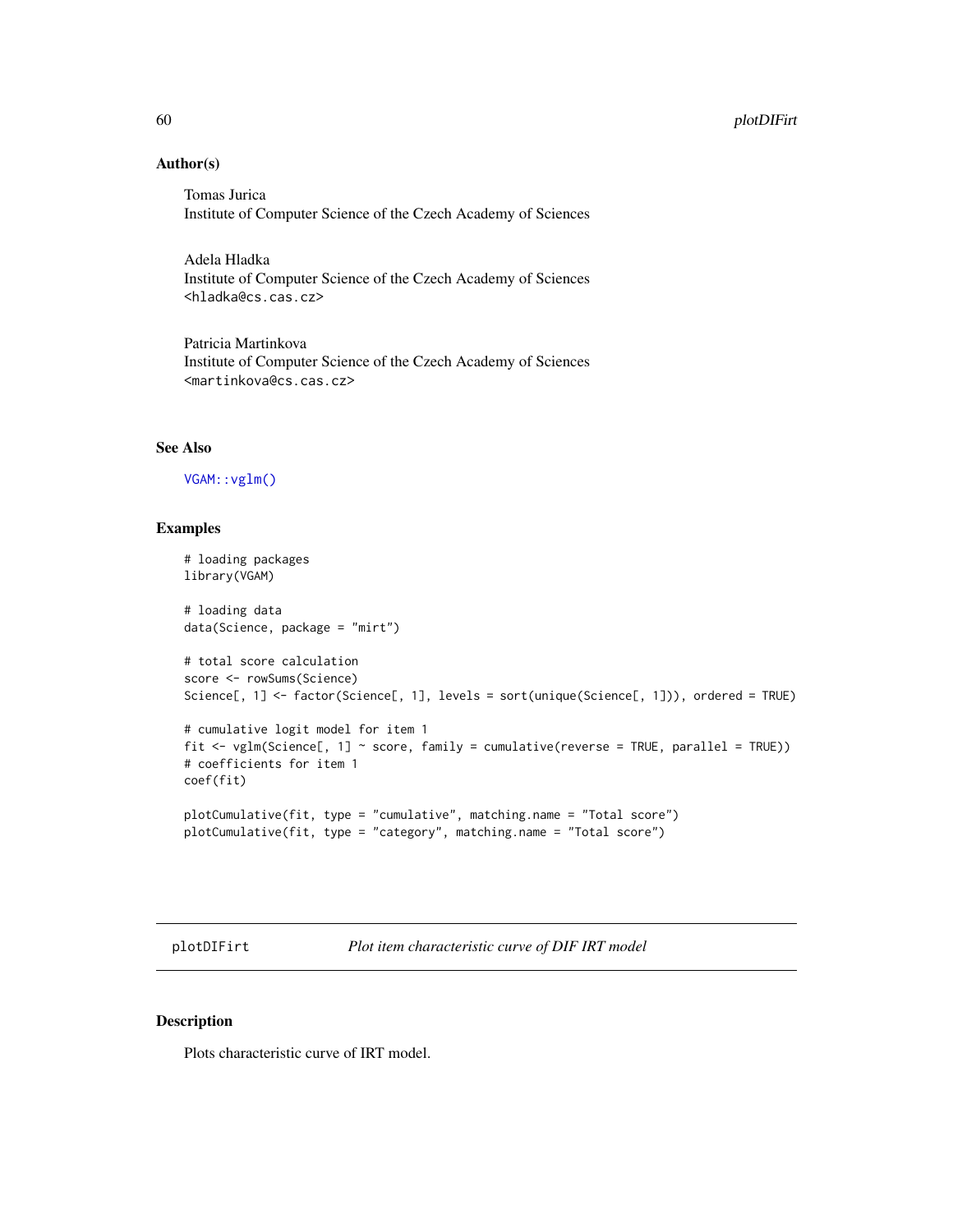# Author(s)

Tomas Jurica Institute of Computer Science of the Czech Academy of Sciences

Adela Hladka Institute of Computer Science of the Czech Academy of Sciences <hladka@cs.cas.cz>

Patricia Martinkova Institute of Computer Science of the Czech Academy of Sciences <martinkova@cs.cas.cz>

## See Also

# [VGAM::vglm\(\)](#page-0-0)

#### Examples

```
# loading packages
library(VGAM)
# loading data
data(Science, package = "mirt")
# total score calculation
score <- rowSums(Science)
Science[, 1] <- factor(Science[, 1], levels = sort(unique(Science[, 1])), ordered = TRUE)
# cumulative logit model for item 1
fit \le vglm(Science[, 1] \sim score, family = cumulative(reverse = TRUE, parallel = TRUE))
# coefficients for item 1
coef(fit)
plotCumulative(fit, type = "cumulative", matching.name = "Total score")
plotCumulative(fit, type = "category", matching.name = "Total score")
```
plotDIFirt *Plot item characteristic curve of DIF IRT model*

#### Description

Plots characteristic curve of IRT model.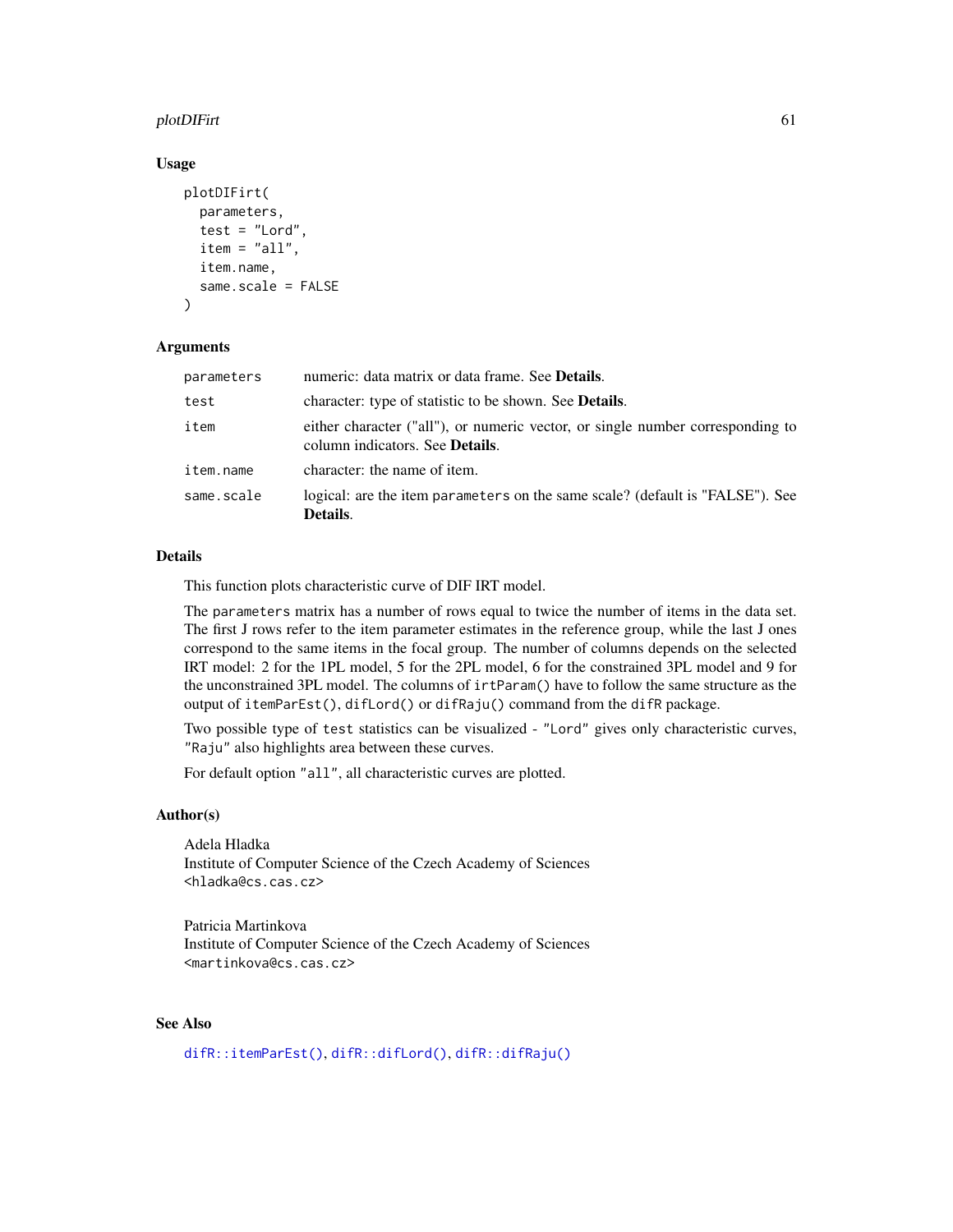## plotDIFirt 61

#### Usage

```
plotDIFirt(
  parameters,
  test = "Lord",
  item = "all",item.name,
  same.scale = FALSE
)
```
### Arguments

| parameters | numeric: data matrix or data frame. See <b>Details</b> .                                                                  |
|------------|---------------------------------------------------------------------------------------------------------------------------|
| test       | character: type of statistic to be shown. See <b>Details</b> .                                                            |
| item       | either character ("all"), or numeric vector, or single number corresponding to<br>column indicators. See <b>Details</b> . |
| item.name  | character: the name of item.                                                                                              |
| same.scale | logical: are the item parameters on the same scale? (default is "FALSE"). See<br>Details.                                 |

## Details

This function plots characteristic curve of DIF IRT model.

The parameters matrix has a number of rows equal to twice the number of items in the data set. The first J rows refer to the item parameter estimates in the reference group, while the last J ones correspond to the same items in the focal group. The number of columns depends on the selected IRT model: 2 for the 1PL model, 5 for the 2PL model, 6 for the constrained 3PL model and 9 for the unconstrained 3PL model. The columns of irtParam() have to follow the same structure as the output of itemParEst(), difLord() or difRaju() command from the difR package.

Two possible type of test statistics can be visualized - "Lord" gives only characteristic curves, "Raju" also highlights area between these curves.

For default option "all", all characteristic curves are plotted.

## Author(s)

Adela Hladka Institute of Computer Science of the Czech Academy of Sciences <hladka@cs.cas.cz>

Patricia Martinkova Institute of Computer Science of the Czech Academy of Sciences <martinkova@cs.cas.cz>

# See Also

[difR::itemParEst\(\)](#page-0-0), [difR::difLord\(\)](#page-0-0), [difR::difRaju\(\)](#page-0-0)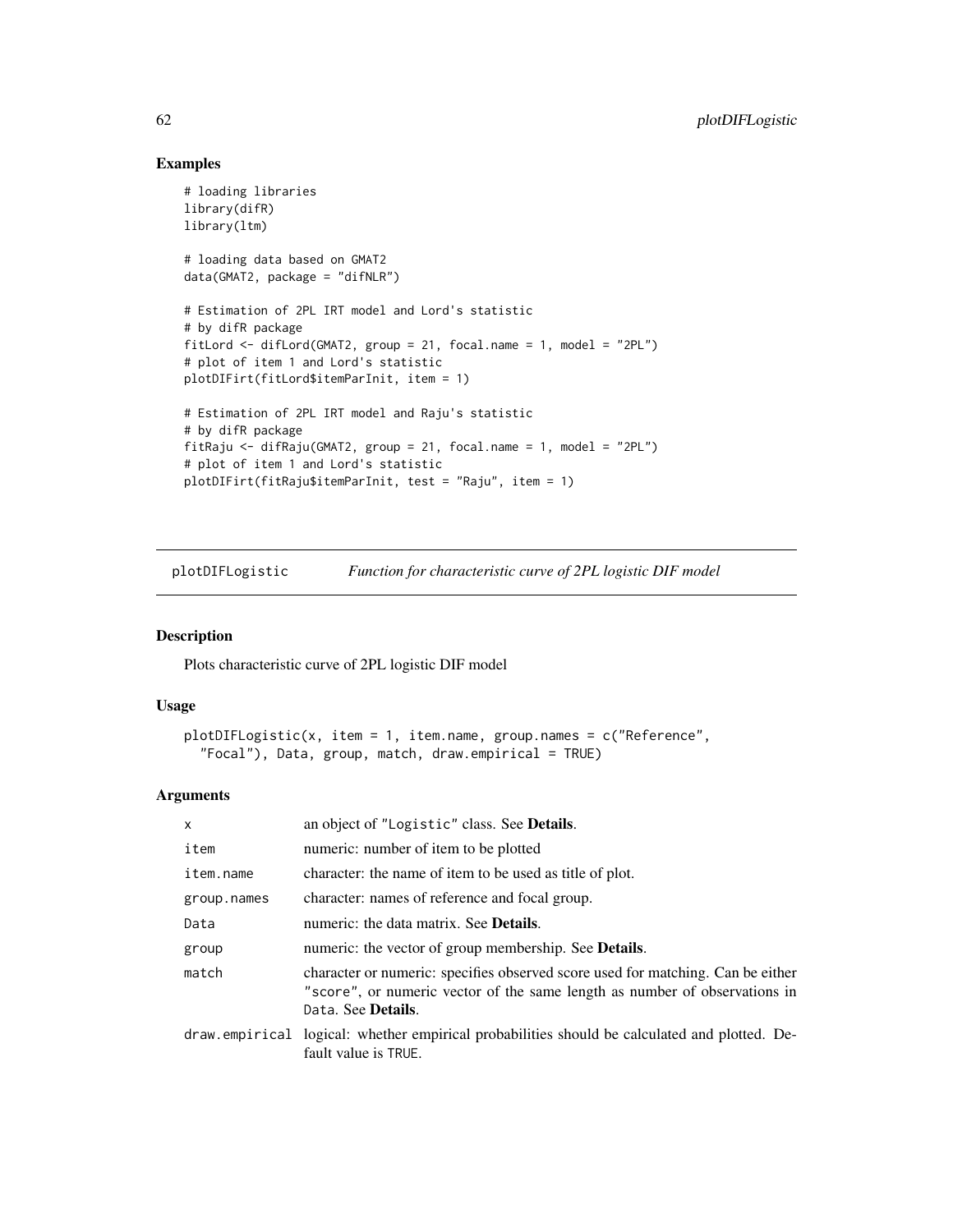## Examples

```
# loading libraries
library(difR)
library(ltm)
# loading data based on GMAT2
data(GMAT2, package = "difNLR")
# Estimation of 2PL IRT model and Lord's statistic
# by difR package
fitLord <- difLord(GMAT2, group = 21, focal.name = 1, model = "2PL")
# plot of item 1 and Lord's statistic
plotDIFirt(fitLord$itemParInit, item = 1)
# Estimation of 2PL IRT model and Raju's statistic
# by difR package
fitRaju <- difRaju(GMAT2, group = 21, focal.name = 1, model = "2PL")
# plot of item 1 and Lord's statistic
plotDIFirt(fitRaju$itemParInit, test = "Raju", item = 1)
```
plotDIFLogistic *Function for characteristic curve of 2PL logistic DIF model*

# Description

Plots characteristic curve of 2PL logistic DIF model

#### Usage

```
plotDIFLogistic(x, item = 1, item.name, group.names = c("Reference",
  "Focal"), Data, group, match, draw.empirical = TRUE)
```
## Arguments

| $\times$    | an object of "Logistic" class. See Details.                                                                                                                                         |
|-------------|-------------------------------------------------------------------------------------------------------------------------------------------------------------------------------------|
| item        | numeric: number of item to be plotted                                                                                                                                               |
| item.name   | character: the name of item to be used as title of plot.                                                                                                                            |
| group.names | character: names of reference and focal group.                                                                                                                                      |
| Data        | numeric: the data matrix. See <b>Details</b> .                                                                                                                                      |
| group       | numeric: the vector of group membership. See <b>Details</b> .                                                                                                                       |
| match       | character or numeric: specifies observed score used for matching. Can be either<br>"score", or numeric vector of the same length as number of observations in<br>Data. See Details. |
|             | draw empirical logical: whether empirical probabilities should be calculated and plotted. De-<br>fault value is TRUE.                                                               |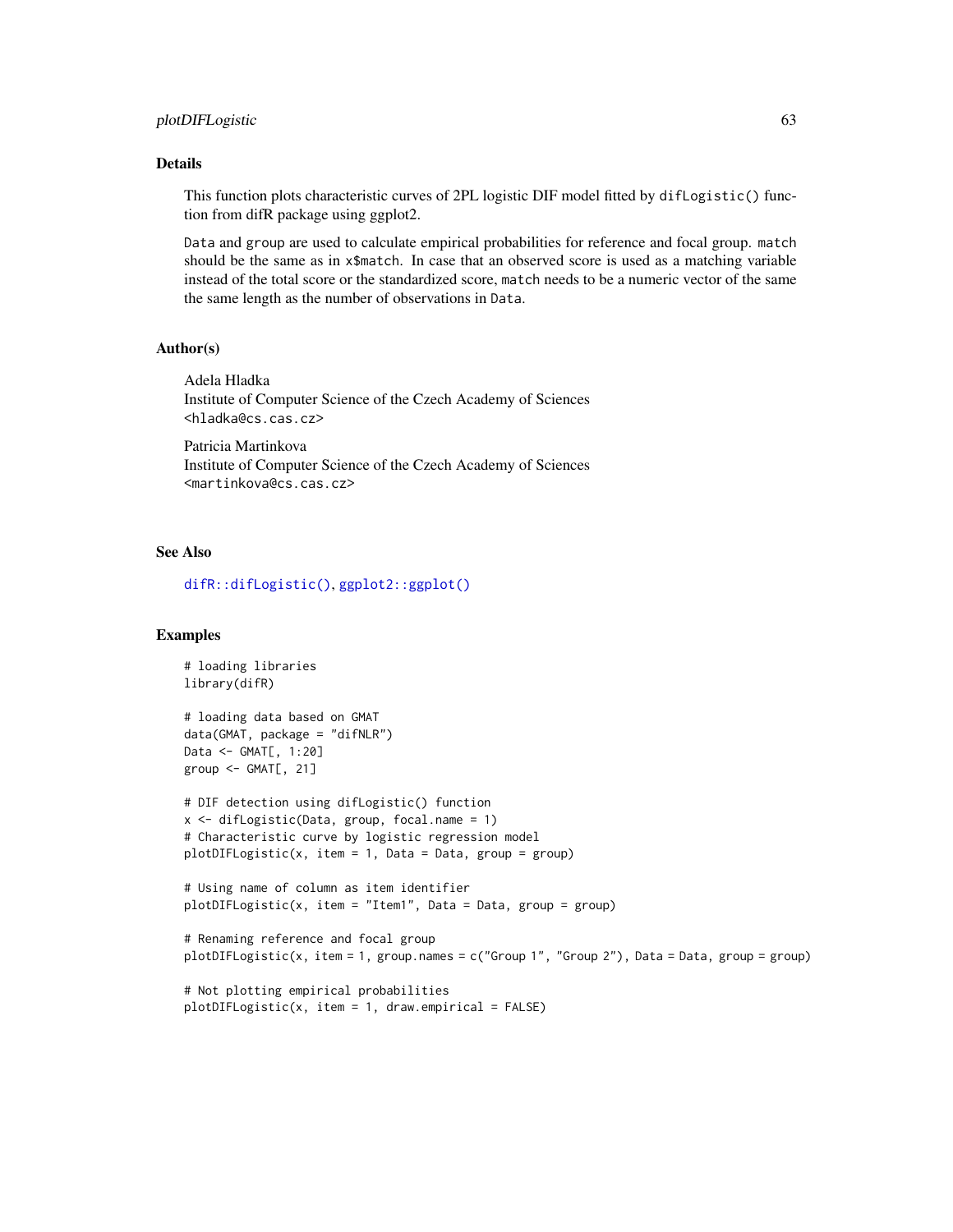## Details

This function plots characteristic curves of 2PL logistic DIF model fitted by difLogistic() function from difR package using ggplot2.

Data and group are used to calculate empirical probabilities for reference and focal group. match should be the same as in x\$match. In case that an observed score is used as a matching variable instead of the total score or the standardized score, match needs to be a numeric vector of the same the same length as the number of observations in Data.

## Author(s)

Adela Hladka Institute of Computer Science of the Czech Academy of Sciences <hladka@cs.cas.cz>

Patricia Martinkova Institute of Computer Science of the Czech Academy of Sciences <martinkova@cs.cas.cz>

#### See Also

[difR::difLogistic\(\)](#page-0-0), [ggplot2::ggplot\(\)](#page-0-0)

plotDIFLogistic(x, item = 1, draw.empirical = FALSE)

#### Examples

```
# loading libraries
library(difR)
# loading data based on GMAT
data(GMAT, package = "difNLR")
Data <- GMAT[, 1:20]
group <- GMAT[, 21]
# DIF detection using difLogistic() function
x <- difLogistic(Data, group, focal.name = 1)
# Characteristic curve by logistic regression model
plotDIFLogistic(x, item = 1, Data = Data, group = group)
# Using name of column as item identifier
plotDIFLogistic(x, item = "Item1", Data = Data, group = group)
# Renaming reference and focal group
plotDIFLogistic(x, item = 1, group.names = c("Group 1", "Group 2"), Data = Data, group = group)
# Not plotting empirical probabilities
```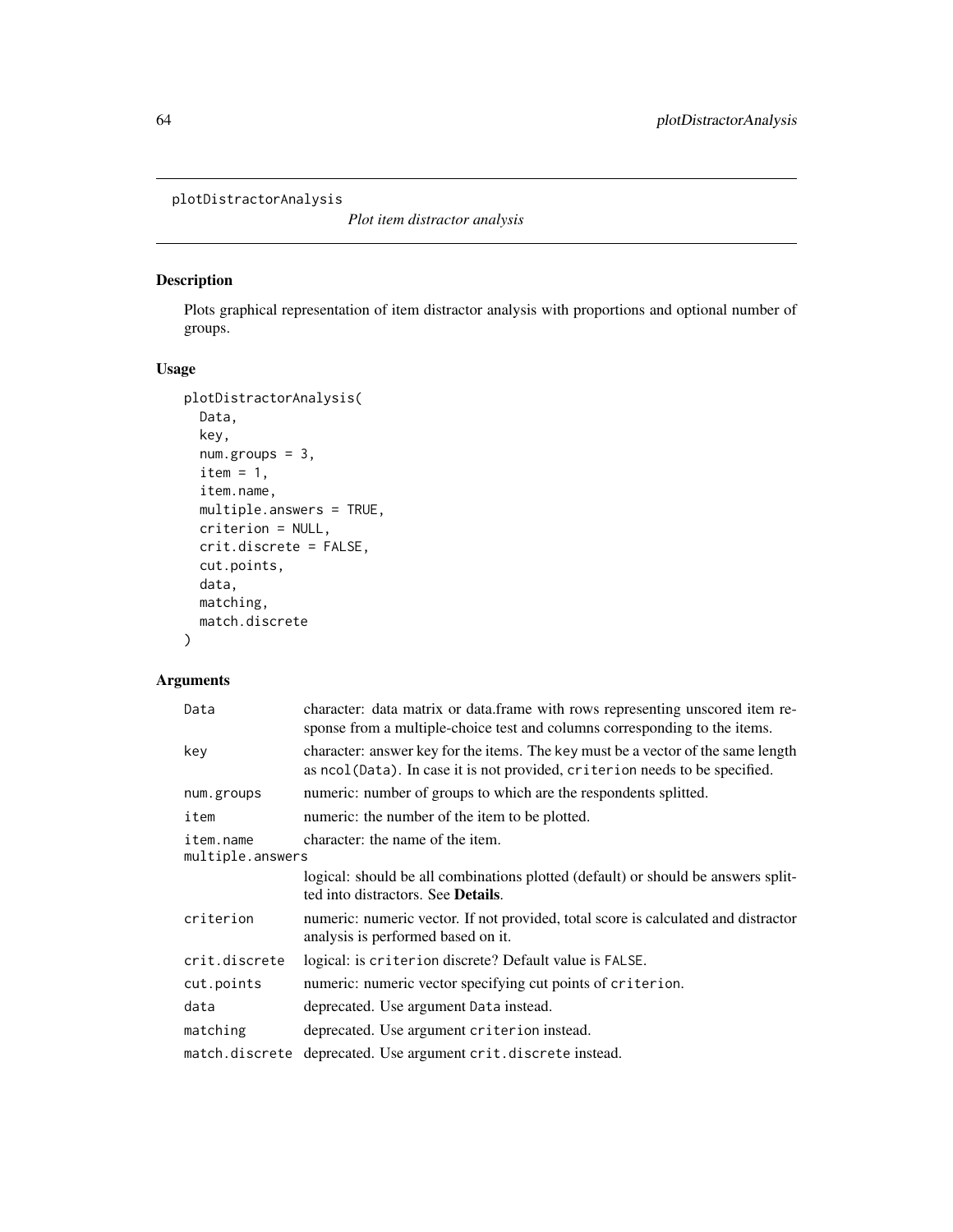```
plotDistractorAnalysis
```
*Plot item distractor analysis*

# Description

Plots graphical representation of item distractor analysis with proportions and optional number of groups.

## Usage

```
plotDistractorAnalysis(
 Data,
 key,
 num.groups = 3,
 item = 1,item.name,
 multiple.answers = TRUE,
 criterion = NULL,
 crit.discrete = FALSE,
 cut.points,
 data,
 matching,
 match.discrete
```
# )

# Arguments

| character: data matrix or data.frame with rows representing unscored item re-<br>sponse from a multiple-choice test and columns corresponding to the items.     |
|-----------------------------------------------------------------------------------------------------------------------------------------------------------------|
| character: answer key for the items. The key must be a vector of the same length<br>as ncol(Data). In case it is not provided, criterion needs to be specified. |
| numeric: number of groups to which are the respondents splitted.                                                                                                |
| numeric: the number of the item to be plotted.                                                                                                                  |
| character: the name of the item.<br>multiple.answers                                                                                                            |
| logical: should be all combinations plotted (default) or should be answers split-<br>ted into distractors. See <b>Details</b> .                                 |
| numeric: numeric vector. If not provided, total score is calculated and distractor<br>analysis is performed based on it.                                        |
| logical: is criterion discrete? Default value is FALSE.                                                                                                         |
| numeric: numeric vector specifying cut points of criterion.                                                                                                     |
| deprecated. Use argument Data instead.                                                                                                                          |
| deprecated. Use argument criterion instead.                                                                                                                     |
| deprecated. Use argument crit.discrete instead.<br>match.discrete                                                                                               |
|                                                                                                                                                                 |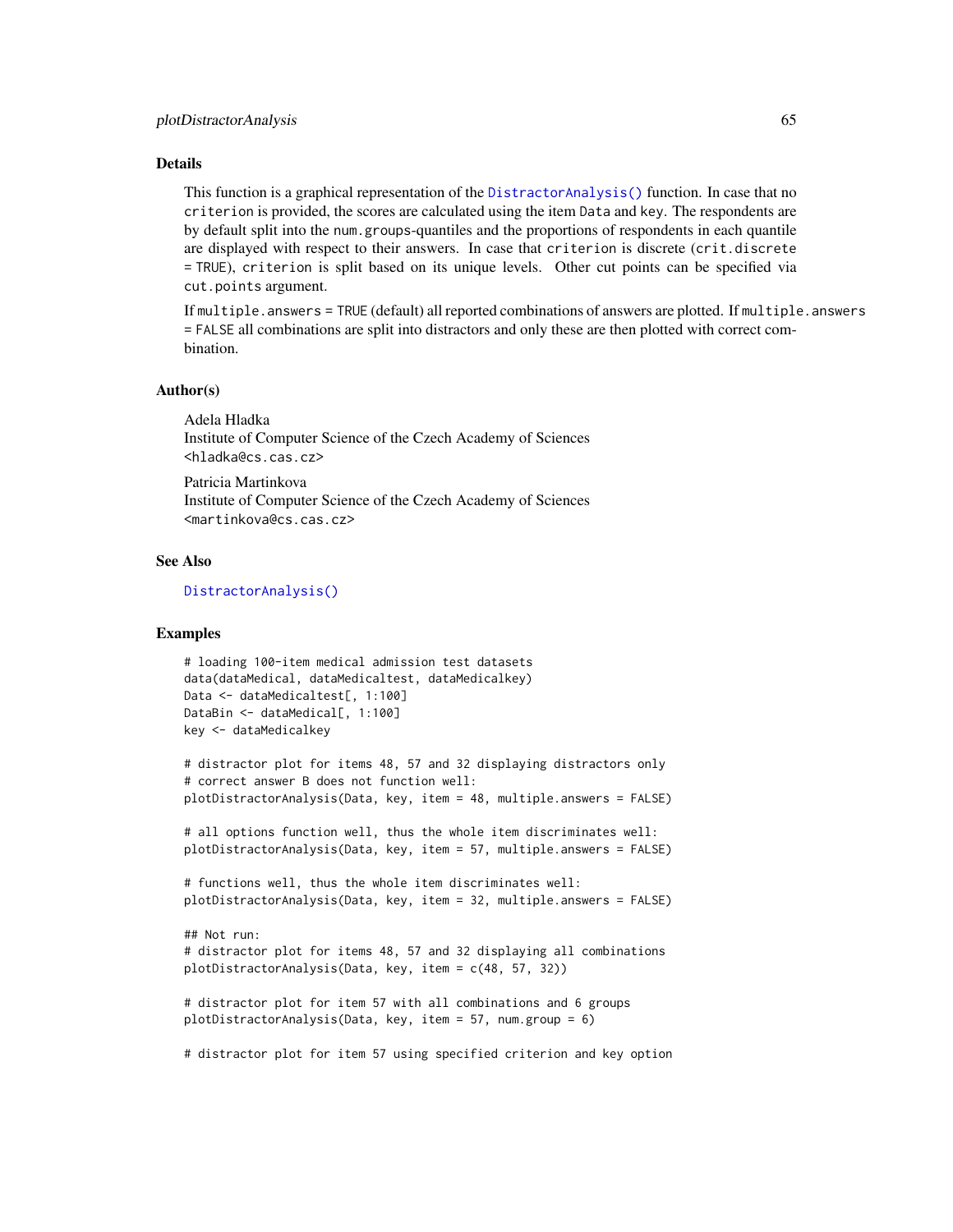## Details

This function is a graphical representation of the [DistractorAnalysis\(\)](#page-20-0) function. In case that no criterion is provided, the scores are calculated using the item Data and key. The respondents are by default split into the num.groups-quantiles and the proportions of respondents in each quantile are displayed with respect to their answers. In case that criterion is discrete (crit.discrete = TRUE), criterion is split based on its unique levels. Other cut points can be specified via cut.points argument.

If multiple.answers = TRUE (default) all reported combinations of answers are plotted. If multiple.answers = FALSE all combinations are split into distractors and only these are then plotted with correct combination.

## Author(s)

Adela Hladka Institute of Computer Science of the Czech Academy of Sciences <hladka@cs.cas.cz>

Patricia Martinkova Institute of Computer Science of the Czech Academy of Sciences <martinkova@cs.cas.cz>

## See Also

[DistractorAnalysis\(\)](#page-20-0)

#### Examples

```
# loading 100-item medical admission test datasets
data(dataMedical, dataMedicaltest, dataMedicalkey)
Data <- dataMedicaltest[, 1:100]
DataBin <- dataMedical[, 1:100]
key <- dataMedicalkey
```

```
# distractor plot for items 48, 57 and 32 displaying distractors only
# correct answer B does not function well:
plotDistractorAnalysis(Data, key, item = 48, multiple.answers = FALSE)
```
# all options function well, thus the whole item discriminates well: plotDistractorAnalysis(Data, key, item = 57, multiple.answers = FALSE)

```
# functions well, thus the whole item discriminates well:
plotDistractorAnalysis(Data, key, item = 32, multiple.answers = FALSE)
```

```
## Not run:
# distractor plot for items 48, 57 and 32 displaying all combinations
plotDistractorAnalysis(Data, key, item = c(48, 57, 32))
```

```
# distractor plot for item 57 with all combinations and 6 groups
plotDistractorAnalysis(Data, key, item = 57, num.group = 6)
```
# distractor plot for item 57 using specified criterion and key option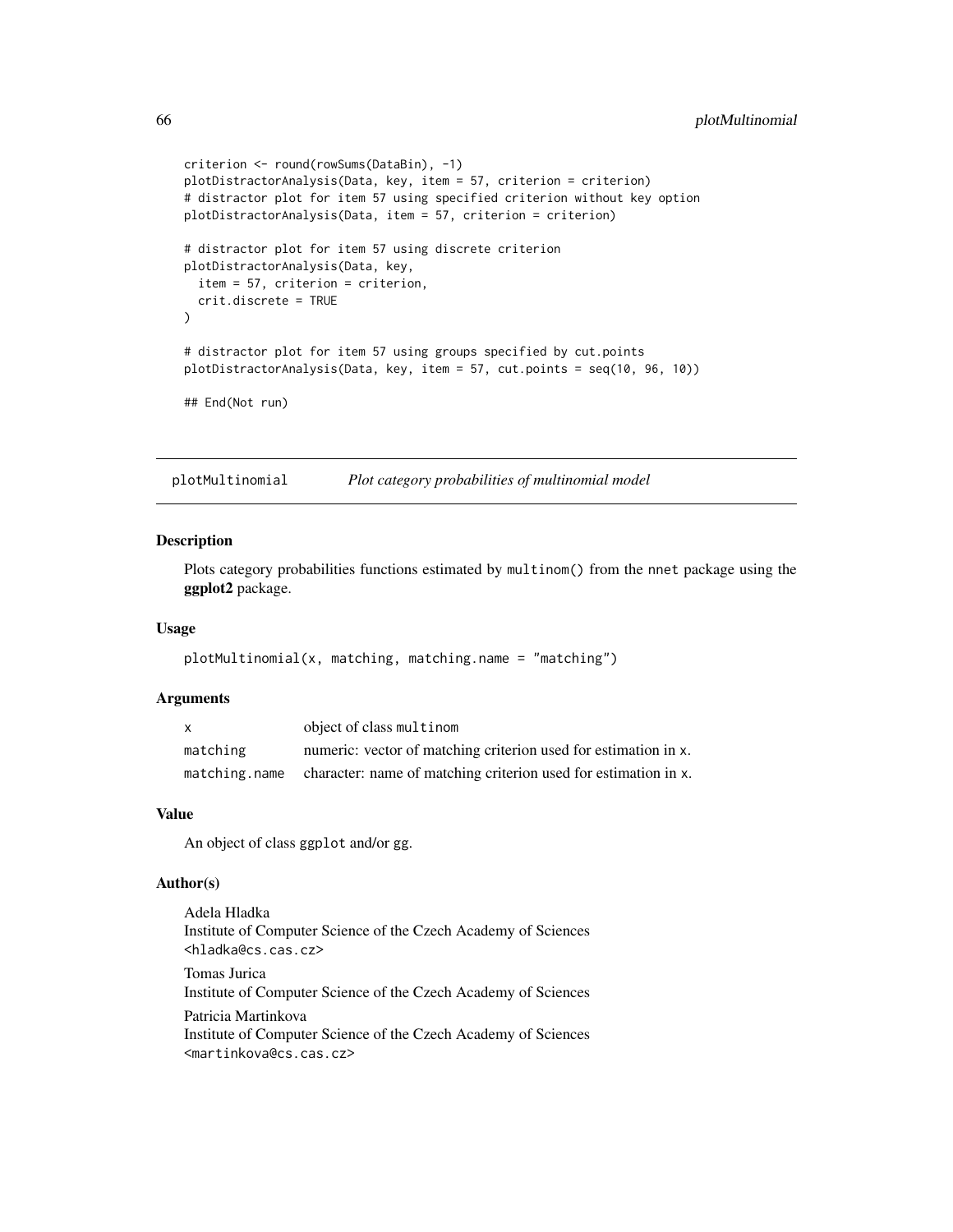```
criterion <- round(rowSums(DataBin), -1)
plotDistractorAnalysis(Data, key, item = 57, criterion = criterion)
# distractor plot for item 57 using specified criterion without key option
plotDistractorAnalysis(Data, item = 57, criterion = criterion)
# distractor plot for item 57 using discrete criterion
plotDistractorAnalysis(Data, key,
 item = 57, criterion = criterion,
 crit.discrete = TRUE
\lambda# distractor plot for item 57 using groups specified by cut.points
plotDistractorAnalysis(Data, key, item = 57, cut.points = seq(10, 96, 10))
## End(Not run)
```
plotMultinomial *Plot category probabilities of multinomial model*

## Description

Plots category probabilities functions estimated by multinom() from the nnet package using the ggplot2 package.

## Usage

```
plotMultinomial(x, matching, matching.name = "matching")
```
## Arguments

| $\mathsf{x}$  | object of class multinom                                        |
|---------------|-----------------------------------------------------------------|
| matching      | numeric: vector of matching criterion used for estimation in x. |
| matching.name | character: name of matching criterion used for estimation in x. |

## Value

An object of class ggplot and/or gg.

#### Author(s)

Adela Hladka Institute of Computer Science of the Czech Academy of Sciences <hladka@cs.cas.cz> Tomas Jurica Institute of Computer Science of the Czech Academy of Sciences Patricia Martinkova Institute of Computer Science of the Czech Academy of Sciences <martinkova@cs.cas.cz>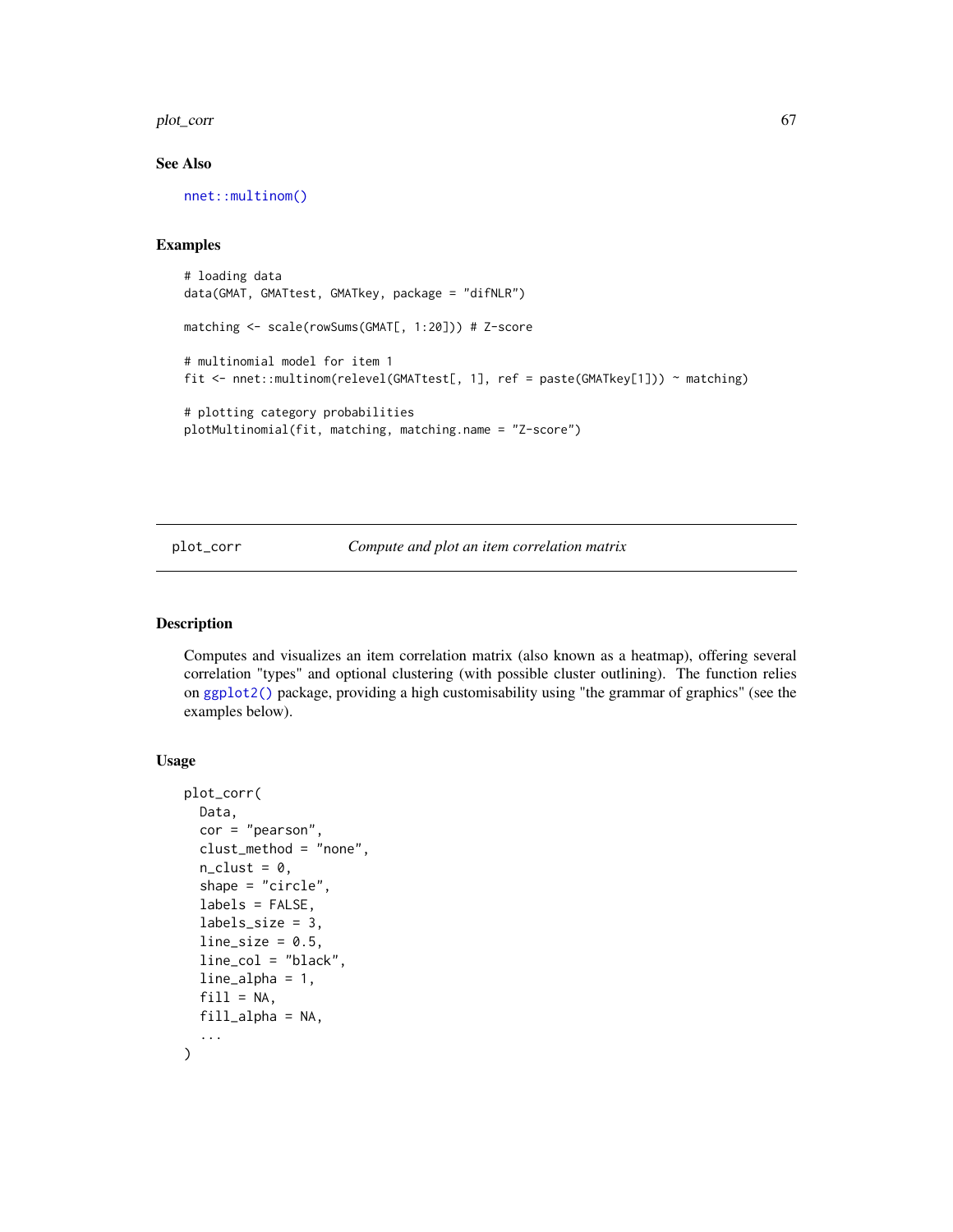#### plot\_corr 67

## See Also

[nnet::multinom\(\)](#page-0-0)

#### Examples

```
# loading data
data(GMAT, GMATtest, GMATkey, package = "difNLR")
matching <- scale(rowSums(GMAT[, 1:20])) # Z-score
# multinomial model for item 1
fit <- nnet::multinom(relevel(GMATtest[, 1], ref = paste(GMATkey[1])) ~ matching)
# plotting category probabilities
plotMultinomial(fit, matching, matching.name = "Z-score")
```
plot\_corr *Compute and plot an item correlation matrix*

## Description

Computes and visualizes an item correlation matrix (also known as a heatmap), offering several correlation "types" and optional clustering (with possible cluster outlining). The function relies on [ggplot2\(\)](#page-0-0) package, providing a high customisability using "the grammar of graphics" (see the examples below).

# Usage

```
plot_corr(
  Data,
  cor = "pearson",clust_method = "none",
  n<sup>-</sup>clust = 0,
  shape = "circle",
  labels = FALSE,
  labels_size = 3,
  line\_size = 0.5,
  line_col = "black",
  line_alpha = 1,
  fill = NA,
  fill\_alpha = NA,
  ...
)
```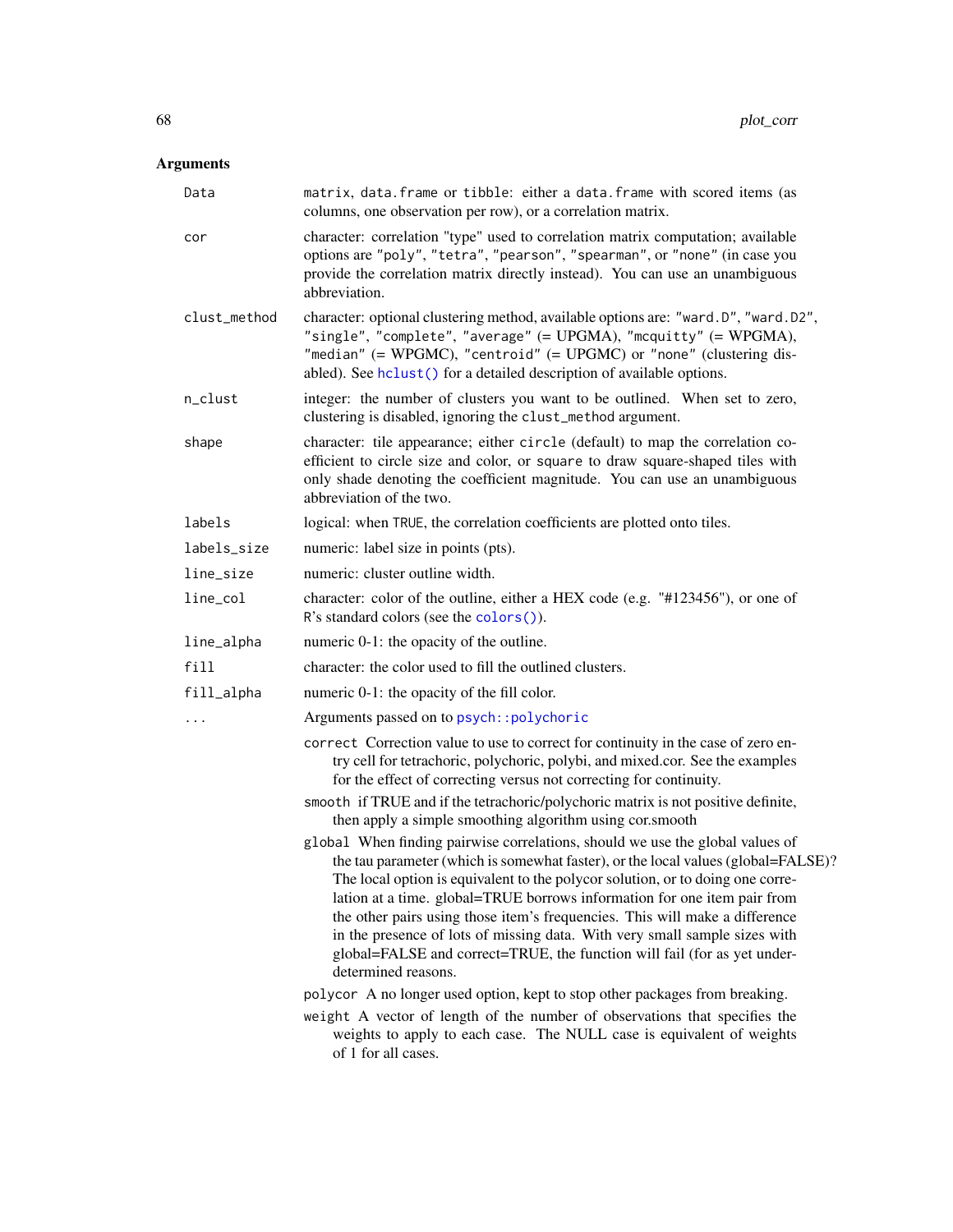# Arguments

| Data         | matrix, data. frame or tibble: either a data. frame with scored items (as<br>columns, one observation per row), or a correlation matrix.                                                                                                                                                                                                                                                                                                                                                                                                                                                         |
|--------------|--------------------------------------------------------------------------------------------------------------------------------------------------------------------------------------------------------------------------------------------------------------------------------------------------------------------------------------------------------------------------------------------------------------------------------------------------------------------------------------------------------------------------------------------------------------------------------------------------|
| cor          | character: correlation "type" used to correlation matrix computation; available<br>options are "poly", "tetra", "pearson", "spearman", or "none" (in case you<br>provide the correlation matrix directly instead). You can use an unambiguous<br>abbreviation.                                                                                                                                                                                                                                                                                                                                   |
| clust_method | character: optional clustering method, available options are: "ward.D", "ward.D2",<br>"single", "complete", "average" (= UPGMA), "mcquitty" (= WPGMA),<br>"median" $(= WPGMC)$ , "centroid" $(= UPGMC)$ or "none" (clustering dis-<br>abled). See hclust() for a detailed description of available options.                                                                                                                                                                                                                                                                                      |
| n_clust      | integer: the number of clusters you want to be outlined. When set to zero,<br>clustering is disabled, ignoring the clust_method argument.                                                                                                                                                                                                                                                                                                                                                                                                                                                        |
| shape        | character: tile appearance; either circle (default) to map the correlation co-<br>efficient to circle size and color, or square to draw square-shaped tiles with<br>only shade denoting the coefficient magnitude. You can use an unambiguous<br>abbreviation of the two.                                                                                                                                                                                                                                                                                                                        |
| labels       | logical: when TRUE, the correlation coefficients are plotted onto tiles.                                                                                                                                                                                                                                                                                                                                                                                                                                                                                                                         |
| labels_size  | numeric: label size in points (pts).                                                                                                                                                                                                                                                                                                                                                                                                                                                                                                                                                             |
| line_size    | numeric: cluster outline width.                                                                                                                                                                                                                                                                                                                                                                                                                                                                                                                                                                  |
| line_col     | character: color of the outline, either a HEX code (e.g. "#123456"), or one of<br>R's standard colors (see the colors ()).                                                                                                                                                                                                                                                                                                                                                                                                                                                                       |
| line_alpha   | numeric 0-1: the opacity of the outline.                                                                                                                                                                                                                                                                                                                                                                                                                                                                                                                                                         |
| fill         | character: the color used to fill the outlined clusters.                                                                                                                                                                                                                                                                                                                                                                                                                                                                                                                                         |
| fill_alpha   | numeric 0-1: the opacity of the fill color.                                                                                                                                                                                                                                                                                                                                                                                                                                                                                                                                                      |
| $\ddots$     | Arguments passed on to psych:: polychoric                                                                                                                                                                                                                                                                                                                                                                                                                                                                                                                                                        |
|              | correct Correction value to use to correct for continuity in the case of zero en-<br>try cell for tetrachoric, polychoric, polybi, and mixed.cor. See the examples<br>for the effect of correcting versus not correcting for continuity.                                                                                                                                                                                                                                                                                                                                                         |
|              | smooth if TRUE and if the tetrachoric/polychoric matrix is not positive definite,<br>then apply a simple smoothing algorithm using cor.smooth                                                                                                                                                                                                                                                                                                                                                                                                                                                    |
|              | global When finding pairwise correlations, should we use the global values of<br>the tau parameter (which is somewhat faster), or the local values (global=FALSE)?<br>The local option is equivalent to the polycor solution, or to doing one corre-<br>lation at a time. global=TRUE borrows information for one item pair from<br>the other pairs using those item's frequencies. This will make a difference<br>in the presence of lots of missing data. With very small sample sizes with<br>global=FALSE and correct=TRUE, the function will fail (for as yet under-<br>determined reasons. |
|              | polycor A no longer used option, kept to stop other packages from breaking.                                                                                                                                                                                                                                                                                                                                                                                                                                                                                                                      |
|              | weight A vector of length of the number of observations that specifies the<br>weights to apply to each case. The NULL case is equivalent of weights<br>of 1 for all cases.                                                                                                                                                                                                                                                                                                                                                                                                                       |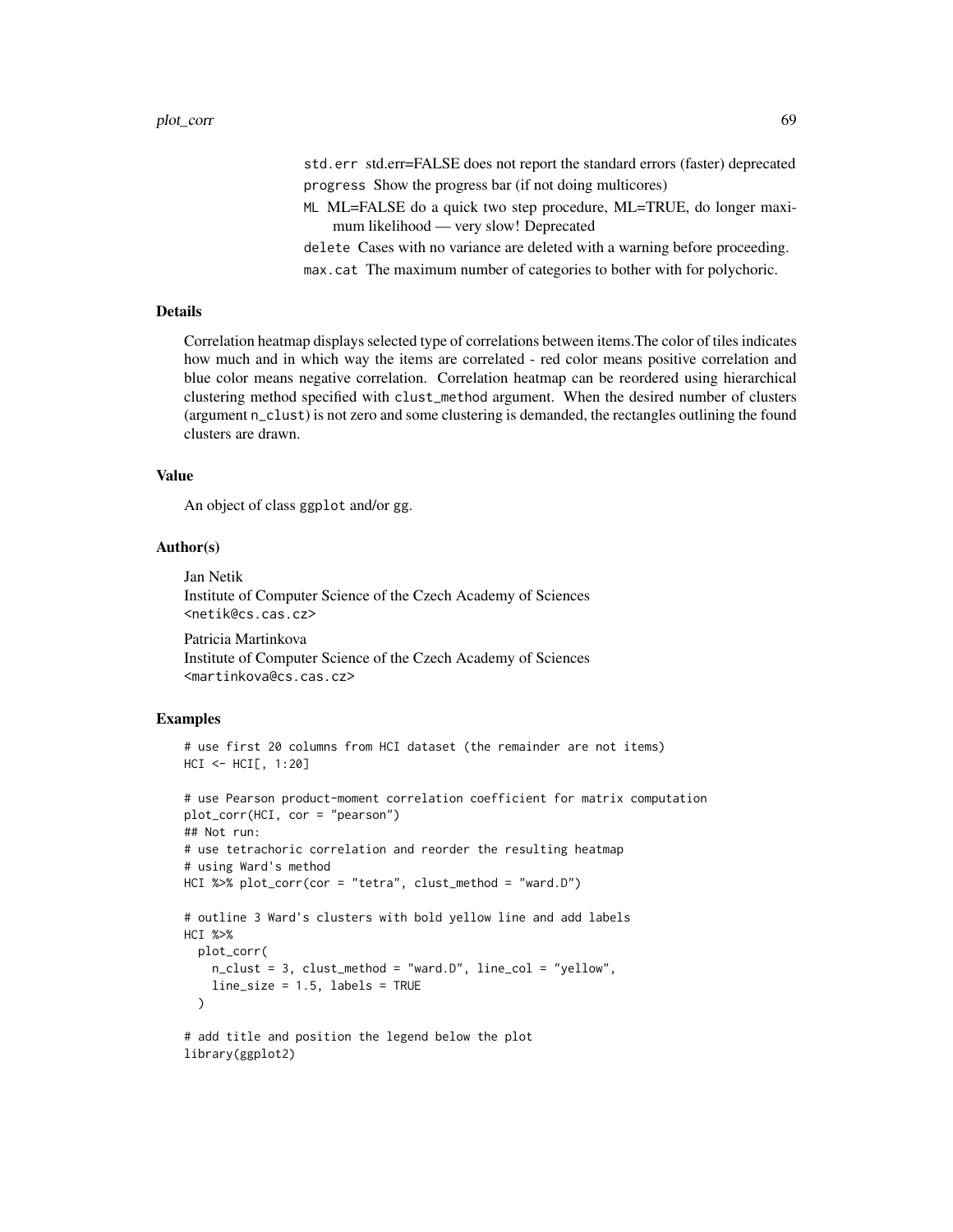std.err std.err=FALSE does not report the standard errors (faster) deprecated progress Show the progress bar (if not doing multicores)

ML ML=FALSE do a quick two step procedure, ML=TRUE, do longer maximum likelihood — very slow! Deprecated

delete Cases with no variance are deleted with a warning before proceeding. max.cat The maximum number of categories to bother with for polychoric.

## Details

Correlation heatmap displays selected type of correlations between items.The color of tiles indicates how much and in which way the items are correlated - red color means positive correlation and blue color means negative correlation. Correlation heatmap can be reordered using hierarchical clustering method specified with clust\_method argument. When the desired number of clusters (argument n\_clust) is not zero and some clustering is demanded, the rectangles outlining the found clusters are drawn.

#### Value

An object of class ggplot and/or gg.

## Author(s)

Jan Netik Institute of Computer Science of the Czech Academy of Sciences <netik@cs.cas.cz> Patricia Martinkova

Institute of Computer Science of the Czech Academy of Sciences <martinkova@cs.cas.cz>

## Examples

```
# use first 20 columns from HCI dataset (the remainder are not items)
HCI <- HCI[, 1:20]
```

```
# use Pearson product-moment correlation coefficient for matrix computation
plot_corr(HCI, cor = "pearson")
## Not run:
# use tetrachoric correlation and reorder the resulting heatmap
# using Ward's method
HCI %>% plot_corr(cor = "tetra", clust_method = "ward.D")
# outline 3 Ward's clusters with bold yellow line and add labels
HCI %>%
  plot_corr(
   n_clust = 3, clust_method = "ward.D", line_col = "yellow",
    line_size = 1.5, labels = TRUE
  \lambda# add title and position the legend below the plot
```
library(ggplot2)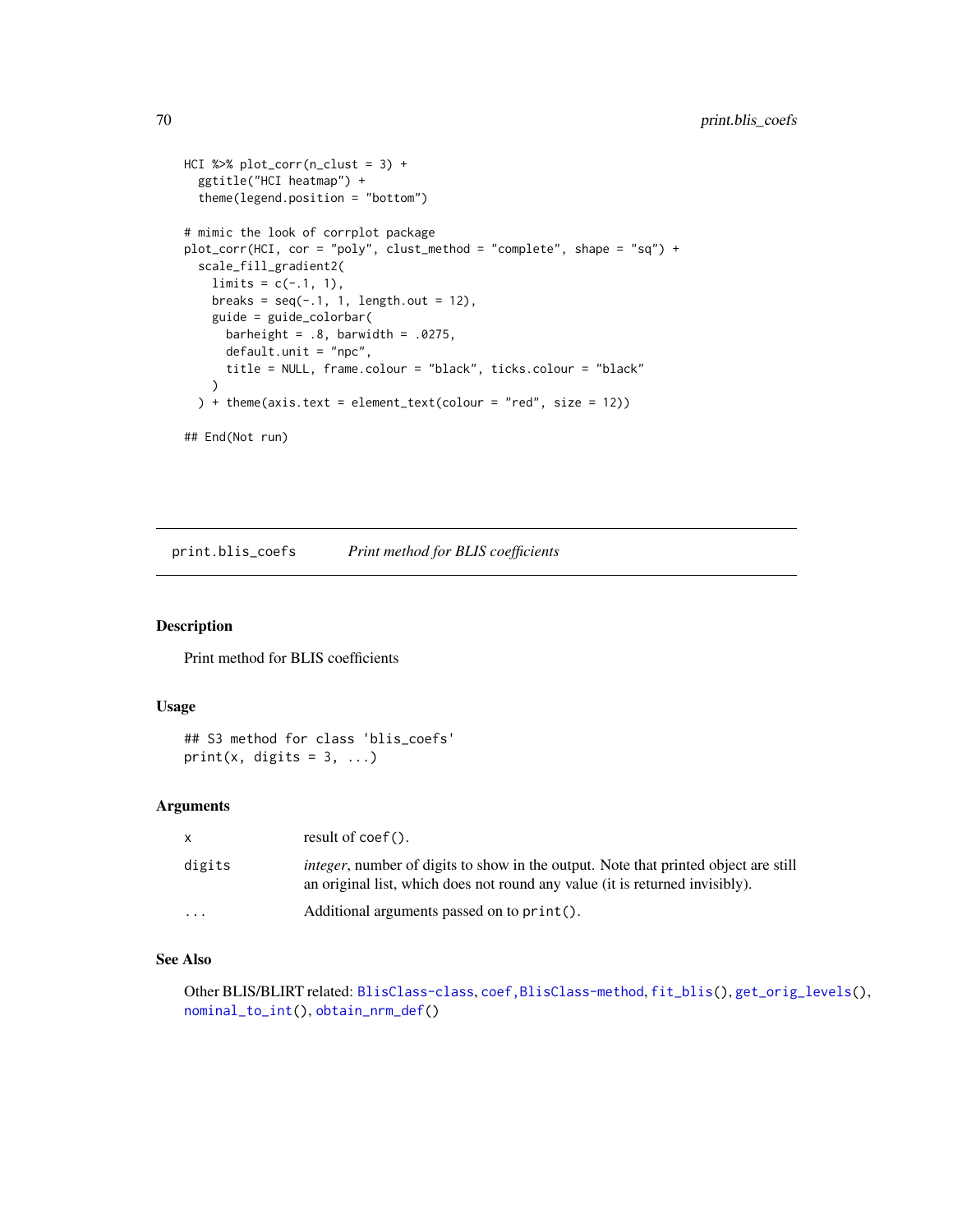```
HCI %>% plot_corr(n_clust = 3) +
  ggtitle("HCI heatmap") +
  theme(legend.position = "bottom")
# mimic the look of corrplot package
plot_corr(HCI, cor = "poly", clust_method = "complete", shape = "sq") +
  scale_fill_gradient2(
   limits = c(-.1, 1),breaks = seq(-.1, 1, length.out = 12),
   guide = guide_colorbar(
      barheight = .8, barwidth = .0275,
      default.unit = "npc",
      title = NULL, frame.colour = "black", ticks.colour = "black"
   )
  ) + theme(axis.text = element_text(colour = "red", size = 12))
## End(Not run)
```
<span id="page-69-0"></span>print.blis\_coefs *Print method for BLIS coefficients*

## Description

Print method for BLIS coefficients

#### Usage

## S3 method for class 'blis\_coefs' print(x, digits =  $3, ...$ )

## Arguments

| x         | result of $\text{coef}()$ .                                                                                                                                                 |
|-----------|-----------------------------------------------------------------------------------------------------------------------------------------------------------------------------|
| digits    | <i>integer</i> , number of digits to show in the output. Note that printed object are still<br>an original list, which does not round any value (it is returned invisibly). |
| $\ddotsc$ | Additional arguments passed on to $print()$ .                                                                                                                               |

# See Also

Other BLIS/BLIRT related: [BlisClass-class](#page-10-0), [coef,BlisClass-method](#page-0-0), [fit\\_blis\(](#page-25-0)), [get\\_orig\\_levels\(](#page-35-0)), [nominal\\_to\\_int\(](#page-54-0)), [obtain\\_nrm\\_def\(](#page-55-0))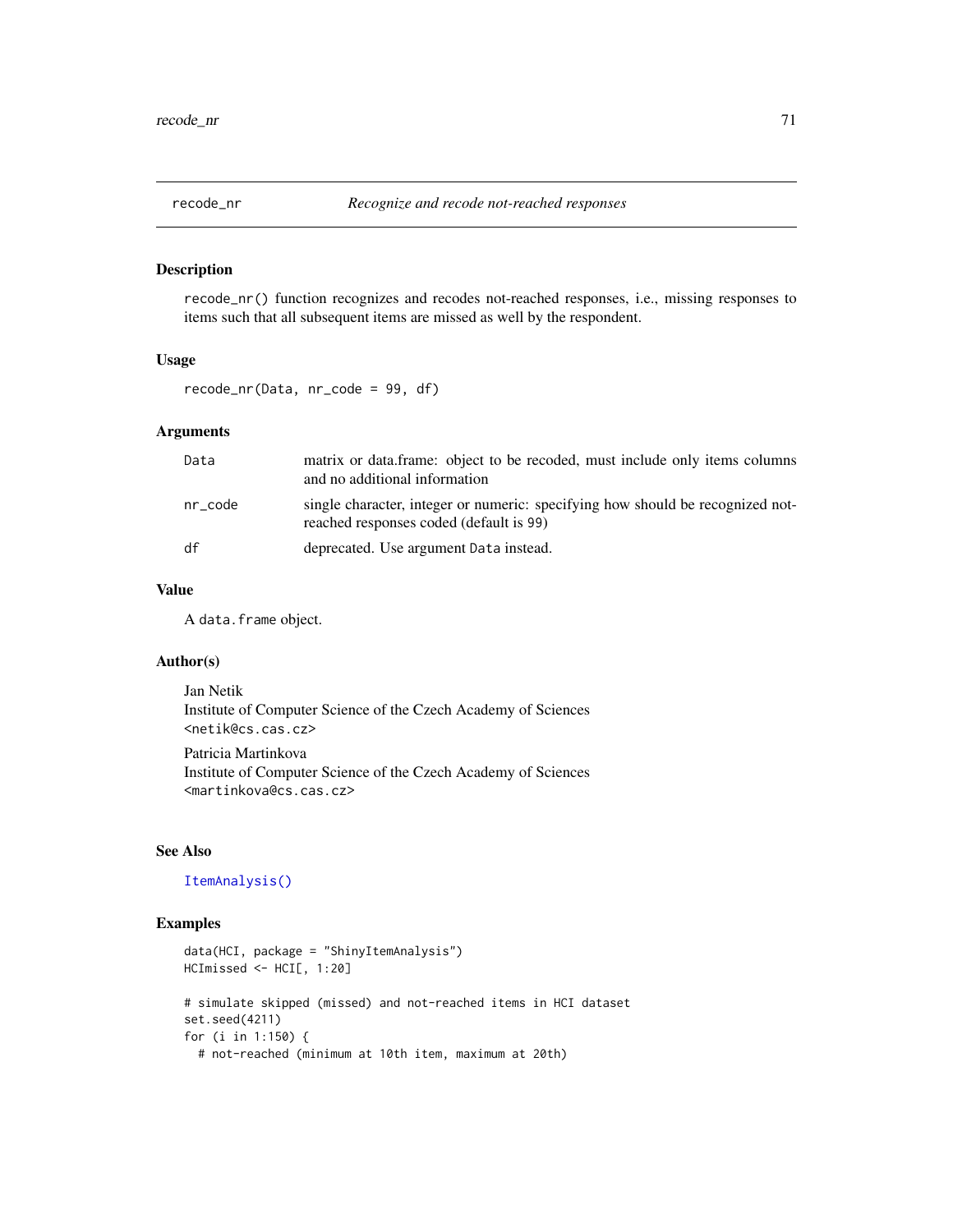<span id="page-70-0"></span>

## Description

recode\_nr() function recognizes and recodes not-reached responses, i.e., missing responses to items such that all subsequent items are missed as well by the respondent.

#### Usage

recode\_nr(Data, nr\_code = 99, df)

## Arguments

| Data         | matrix or data.frame: object to be recoded, must include only items columns<br>and no additional information              |
|--------------|---------------------------------------------------------------------------------------------------------------------------|
| $nr\_{code}$ | single character, integer or numeric: specifying how should be recognized not-<br>reached responses coded (default is 99) |
| df           | deprecated. Use argument Data instead.                                                                                    |

# Value

A data.frame object.

# Author(s)

Jan Netik Institute of Computer Science of the Czech Academy of Sciences <netik@cs.cas.cz>

Patricia Martinkova Institute of Computer Science of the Czech Academy of Sciences <martinkova@cs.cas.cz>

## See Also

# [ItemAnalysis\(\)](#page-48-0)

# Examples

```
data(HCI, package = "ShinyItemAnalysis")
HCImissed <- HCI[, 1:20]
# simulate skipped (missed) and not-reached items in HCI dataset
set.seed(4211)
for (i in 1:150) {
  # not-reached (minimum at 10th item, maximum at 20th)
```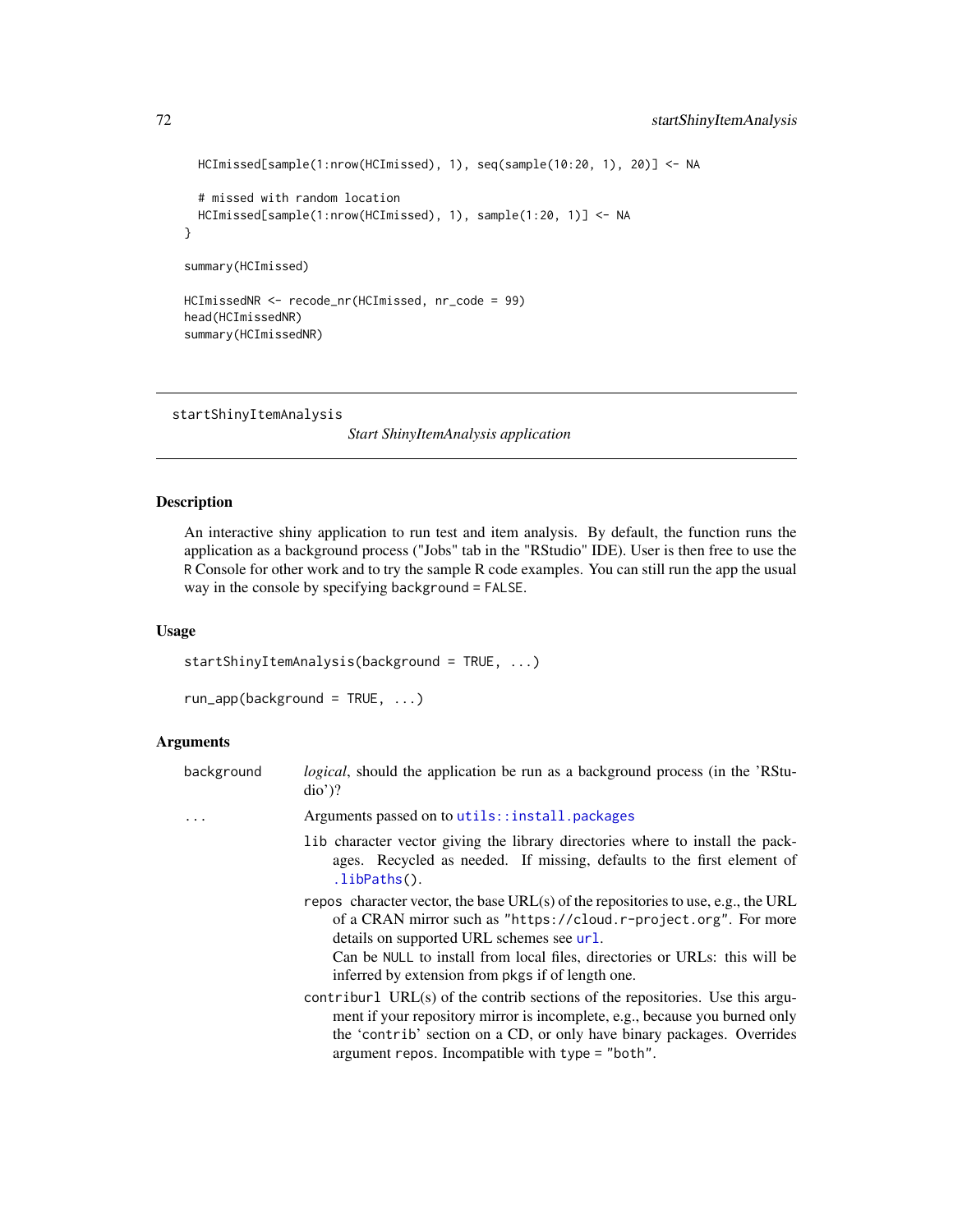```
HCImissed[sample(1:nrow(HCImissed), 1), seq(sample(10:20, 1), 20)] <- NA
 # missed with random location
 HCImissed[sample(1:nrow(HCImissed), 1), sample(1:20, 1)] <- NA
}
summary(HCImissed)
HCImissedNR <- recode_nr(HCImissed, nr_code = 99)
head(HCImissedNR)
summary(HCImissedNR)
```
startShinyItemAnalysis

*Start ShinyItemAnalysis application*

# Description

An interactive shiny application to run test and item analysis. By default, the function runs the application as a background process ("Jobs" tab in the "RStudio" IDE). User is then free to use the R Console for other work and to try the sample R code examples. You can still run the app the usual way in the console by specifying background = FALSE.

## Usage

startShinyItemAnalysis(background = TRUE, ...)

run\_app(background = TRUE, ...)

## Arguments

| background | <i>logical</i> , should the application be run as a background process (in the 'RStu-<br>$di\sigma$ ?                                                                                                                                                                                                                                 |
|------------|---------------------------------------------------------------------------------------------------------------------------------------------------------------------------------------------------------------------------------------------------------------------------------------------------------------------------------------|
|            | Arguments passed on to utils::install.packages                                                                                                                                                                                                                                                                                        |
|            | lib character vector giving the library directories where to install the pack-<br>ages. Recycled as needed. If missing, defaults to the first element of<br>.libPaths().                                                                                                                                                              |
|            | repos character vector, the base URL(s) of the repositories to use, e.g., the URL<br>of a CRAN mirror such as "https://cloud.r-project.org". For more<br>details on supported URL schemes see url.<br>Can be NULL to install from local files, directories or URLs: this will be<br>inferred by extension from pkgs if of length one. |
|            | contriburl URL(s) of the contrib sections of the repositories. Use this argu-<br>ment if your repository mirror is incomplete, e.g., because you burned only<br>the 'contrib' section on a CD, or only have binary packages. Overrides<br>argument repos. Incompatible with type = "both".                                            |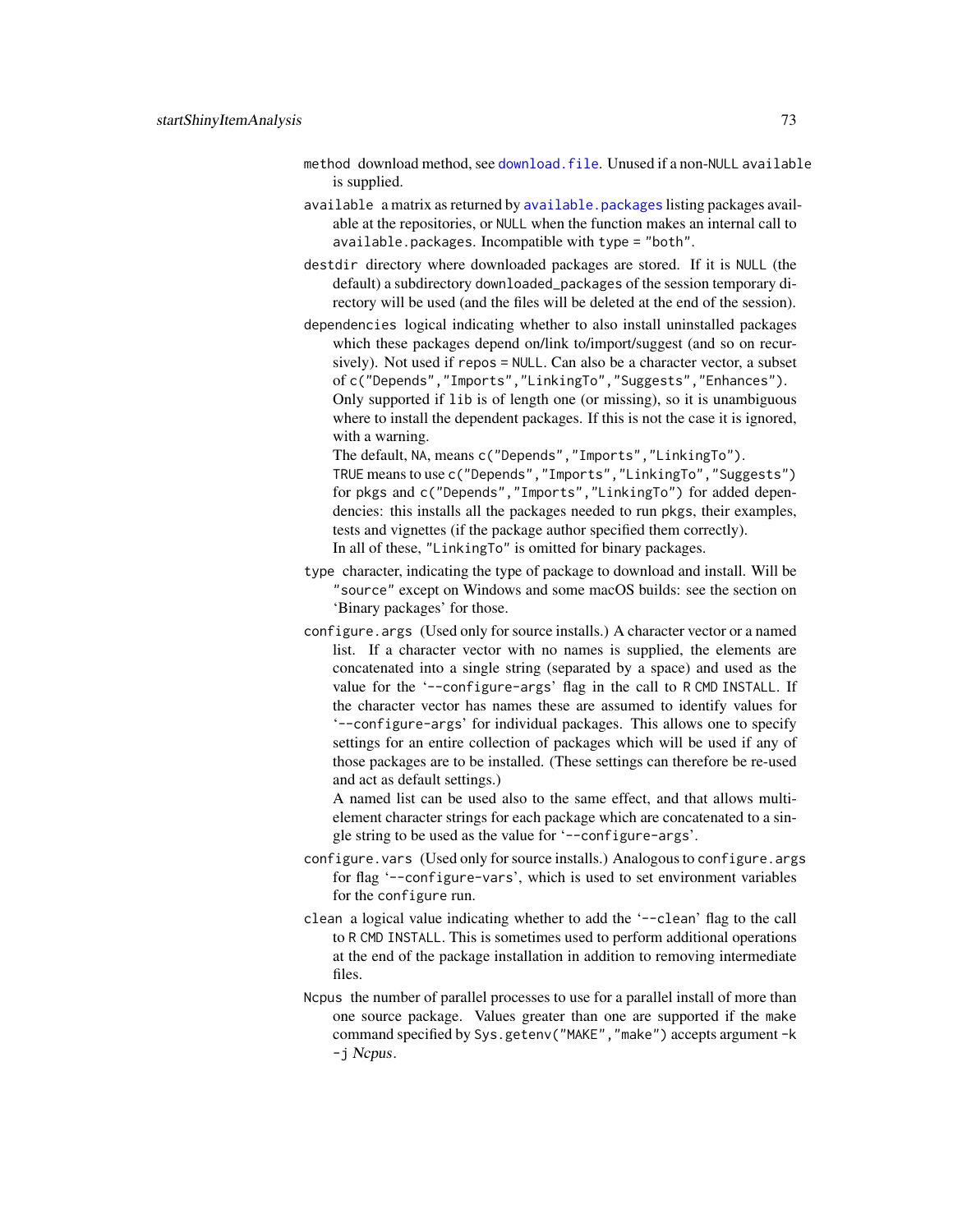- <span id="page-72-0"></span>method download method, see [download.file](#page-0-0). Unused if a non-NULL available is supplied.
- available a matrix as returned by [available.packages](#page-0-0) listing packages available at the repositories, or NULL when the function makes an internal call to available.packages. Incompatible with type = "both".
- destdir directory where downloaded packages are stored. If it is NULL (the default) a subdirectory downloaded\_packages of the session temporary directory will be used (and the files will be deleted at the end of the session).
- dependencies logical indicating whether to also install uninstalled packages which these packages depend on/link to/import/suggest (and so on recursively). Not used if repos = NULL. Can also be a character vector, a subset of c("Depends","Imports","LinkingTo","Suggests","Enhances"). Only supported if lib is of length one (or missing), so it is unambiguous where to install the dependent packages. If this is not the case it is ignored, with a warning.

The default, NA, means c("Depends","Imports","LinkingTo").

TRUE means to use c("Depends","Imports","LinkingTo","Suggests") for pkgs and c("Depends","Imports","LinkingTo") for added dependencies: this installs all the packages needed to run pkgs, their examples, tests and vignettes (if the package author specified them correctly). In all of these, "LinkingTo" is omitted for binary packages.

- type character, indicating the type of package to download and install. Will be "source" except on Windows and some macOS builds: see the section on 'Binary packages' for those.
- configure.args (Used only for source installs.) A character vector or a named list. If a character vector with no names is supplied, the elements are concatenated into a single string (separated by a space) and used as the value for the '--configure-args' flag in the call to RCMD INSTALL. If the character vector has names these are assumed to identify values for '--configure-args' for individual packages. This allows one to specify settings for an entire collection of packages which will be used if any of those packages are to be installed. (These settings can therefore be re-used and act as default settings.)

A named list can be used also to the same effect, and that allows multielement character strings for each package which are concatenated to a single string to be used as the value for '--configure-args'.

- configure.vars (Used only for source installs.) Analogous to configure.args for flag '--configure-vars', which is used to set environment variables for the configure run.
- clean a logical value indicating whether to add the '--clean' flag to the call to R CMD INSTALL. This is sometimes used to perform additional operations at the end of the package installation in addition to removing intermediate files.
- Ncpus the number of parallel processes to use for a parallel install of more than one source package. Values greater than one are supported if the make command specified by Sys.getenv("MAKE","make") accepts argument -k -j Ncpus.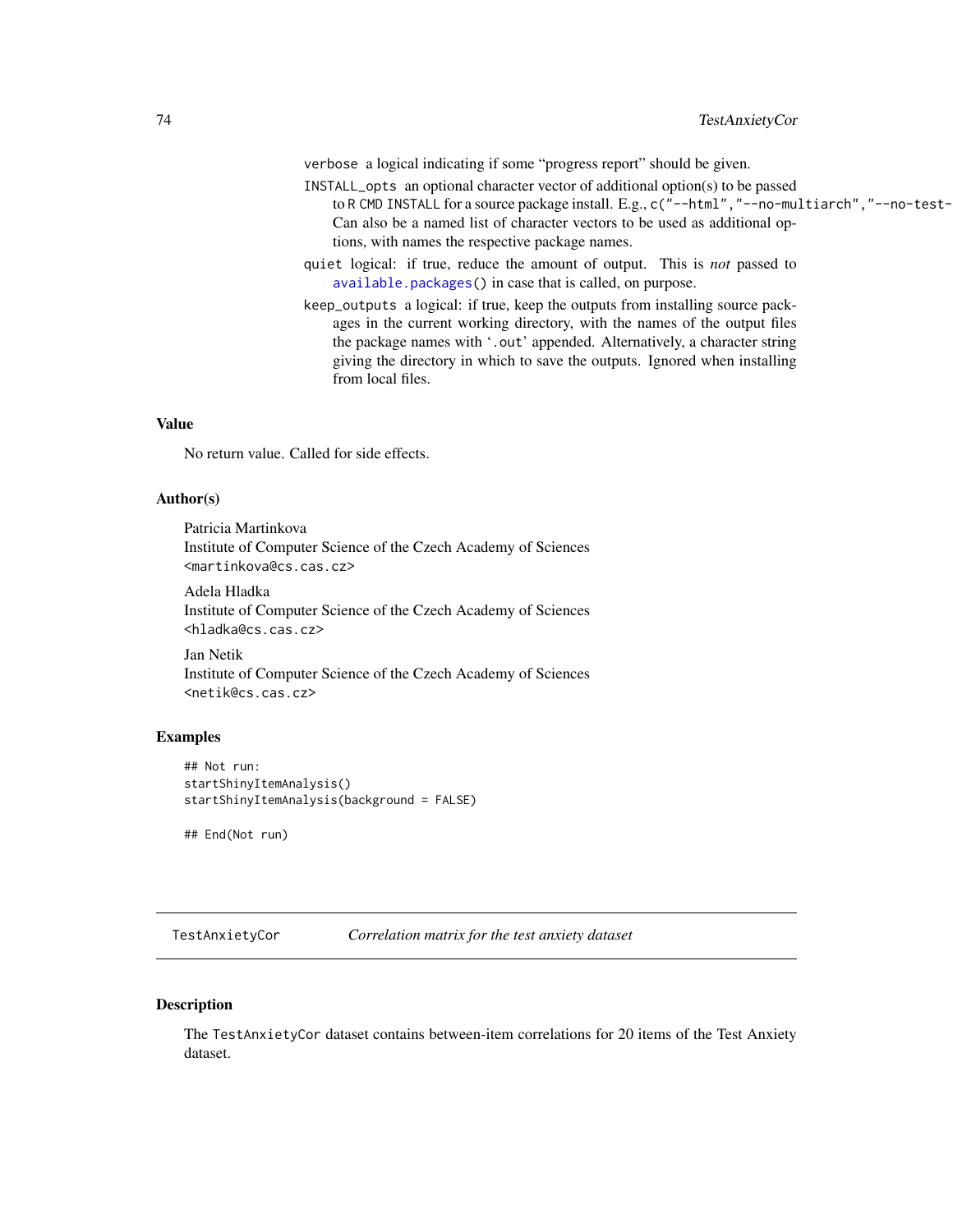<span id="page-73-0"></span>verbose a logical indicating if some "progress report" should be given.

- INSTALL\_opts an optional character vector of additional option(s) to be passed to R CMD INSTALL for a source package install. E.g., c("--html","--no-multiarch","--no-test-Can also be a named list of character vectors to be used as additional options, with names the respective package names.
- quiet logical: if true, reduce the amount of output. This is *not* passed to [available.packages\(](#page-0-0)) in case that is called, on purpose.
- keep\_outputs a logical: if true, keep the outputs from installing source packages in the current working directory, with the names of the output files the package names with '.out' appended. Alternatively, a character string giving the directory in which to save the outputs. Ignored when installing from local files.

#### Value

No return value. Called for side effects.

#### Author(s)

Patricia Martinkova Institute of Computer Science of the Czech Academy of Sciences <martinkova@cs.cas.cz>

Adela Hladka Institute of Computer Science of the Czech Academy of Sciences <hladka@cs.cas.cz>

Jan Netik Institute of Computer Science of the Czech Academy of Sciences <netik@cs.cas.cz>

#### Examples

```
## Not run:
startShinyItemAnalysis()
startShinyItemAnalysis(background = FALSE)
```
## End(Not run)

TestAnxietyCor *Correlation matrix for the test anxiety dataset*

#### Description

The TestAnxietyCor dataset contains between-item correlations for 20 items of the Test Anxiety dataset.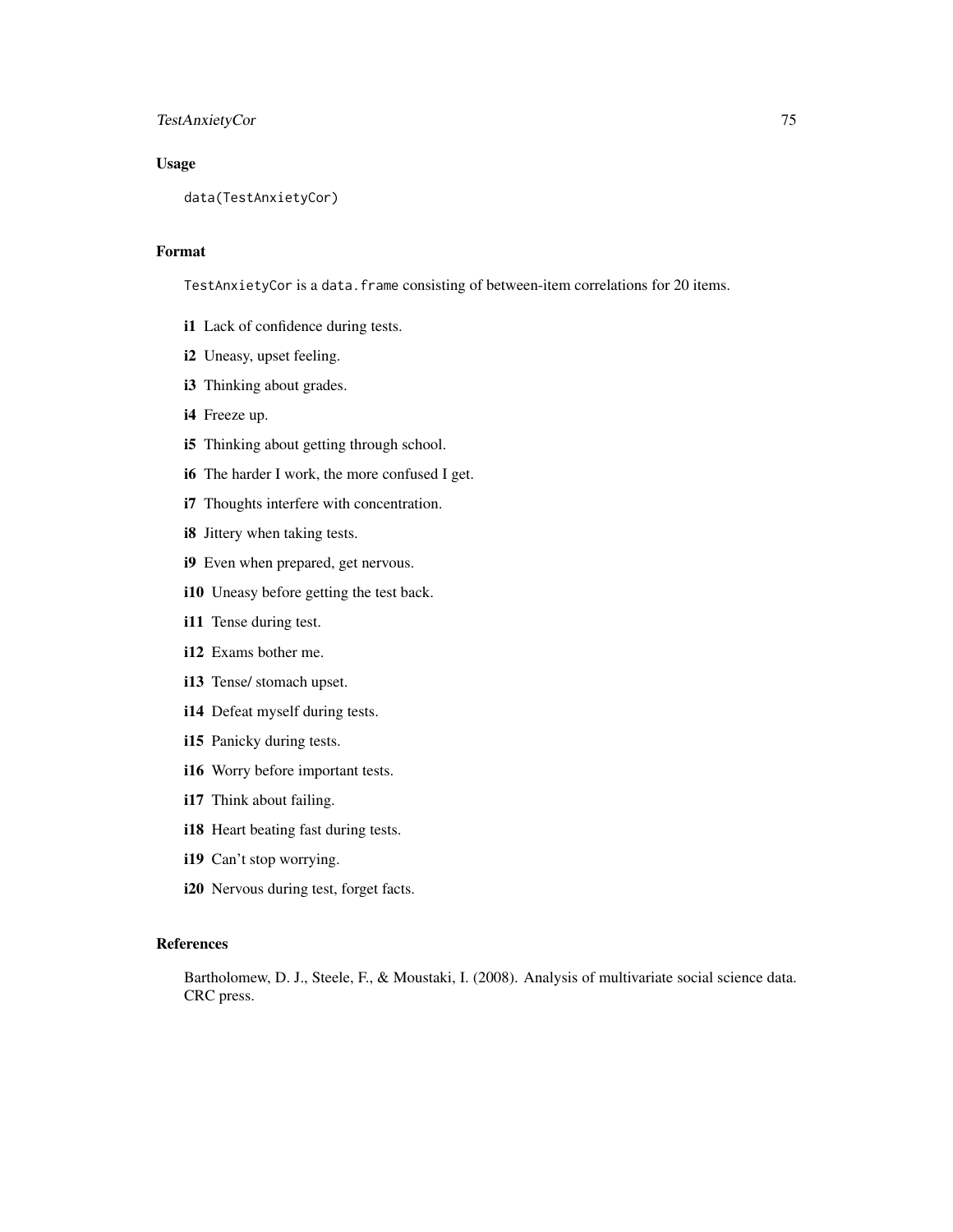#### TestAnxietyCor 75

#### Usage

data(TestAnxietyCor)

#### Format

TestAnxietyCor is a data.frame consisting of between-item correlations for 20 items.

- i1 Lack of confidence during tests.
- i2 Uneasy, upset feeling.
- i3 Thinking about grades.
- i4 Freeze up.
- i5 Thinking about getting through school.
- i6 The harder I work, the more confused I get.
- i7 Thoughts interfere with concentration.
- i8 Jittery when taking tests.
- i9 Even when prepared, get nervous.
- i10 Uneasy before getting the test back.
- i11 Tense during test.
- i12 Exams bother me.
- i13 Tense/ stomach upset.
- i14 Defeat myself during tests.
- i15 Panicky during tests.
- i16 Worry before important tests.
- i17 Think about failing.
- i18 Heart beating fast during tests.
- i19 Can't stop worrying.
- i20 Nervous during test, forget facts.

#### References

Bartholomew, D. J., Steele, F., & Moustaki, I. (2008). Analysis of multivariate social science data. CRC press.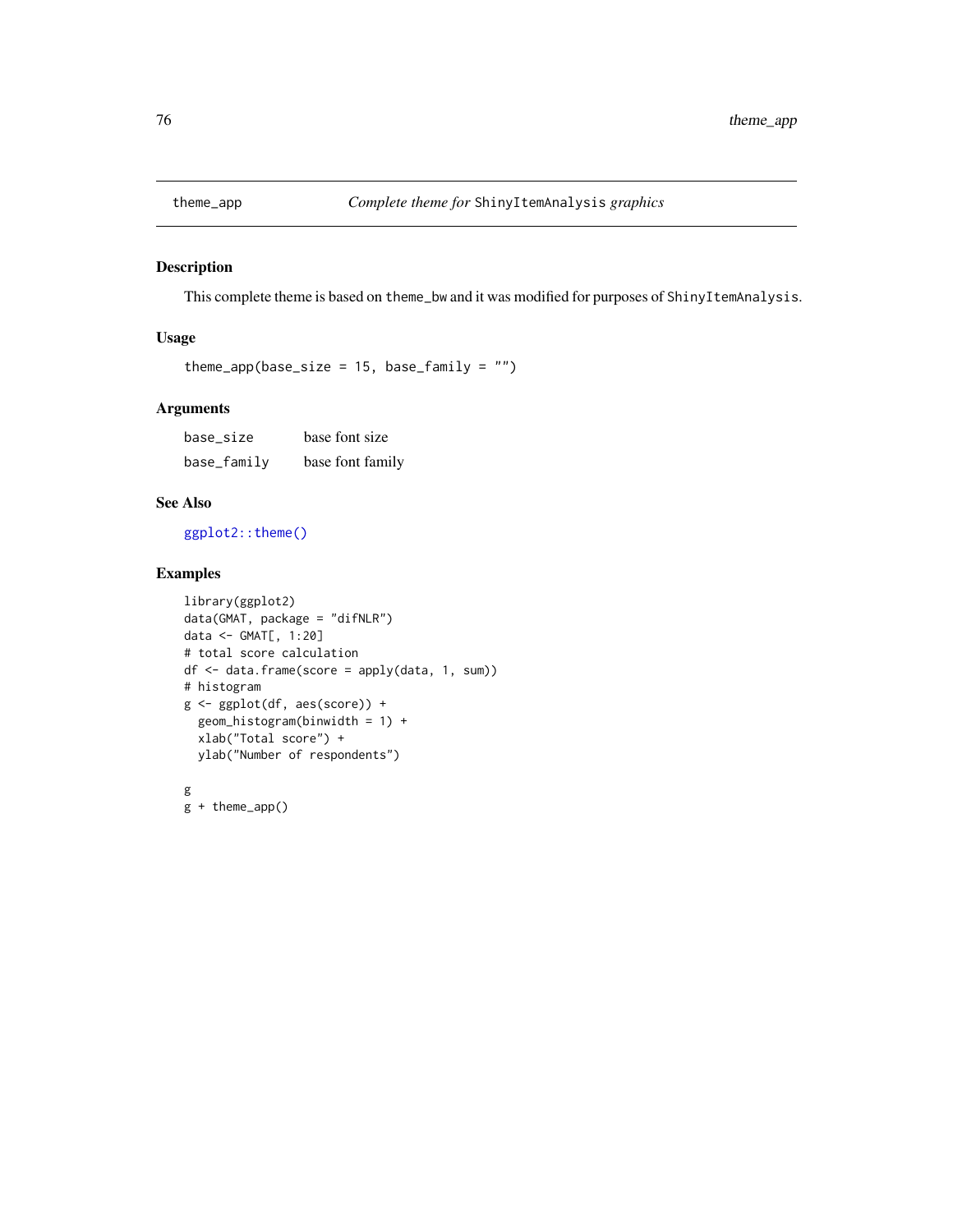<span id="page-75-0"></span>

#### Description

This complete theme is based on theme\_bw and it was modified for purposes of ShinyItemAnalysis.

#### Usage

```
theme_app(base_size = 15, base_family = "")
```
#### Arguments

base\_size base font size base\_family base font family

#### See Also

[ggplot2::theme\(\)](#page-0-0)

### Examples

```
library(ggplot2)
data(GMAT, package = "difNLR")
data <- GMAT[, 1:20]
# total score calculation
df <- data.frame(score = apply(data, 1, sum))
# histogram
g <- ggplot(df, aes(score)) +
  geom_histogram(binwidth = 1) +
  xlab("Total score") +
  ylab("Number of respondents")
g
g + theme_app()
```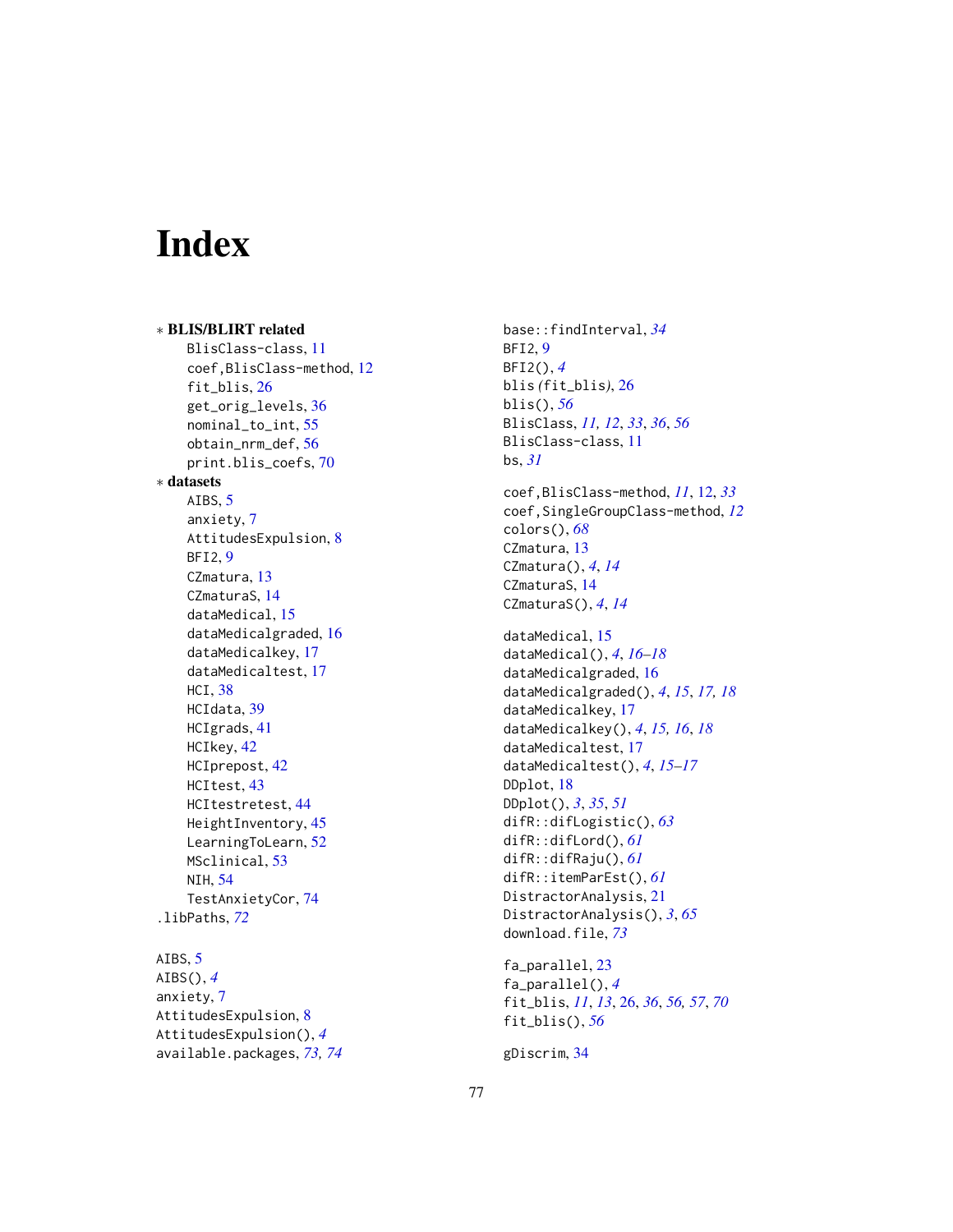# Index

∗ BLIS/BLIRT related BlisClass-class, [11](#page-10-0) coef,BlisClass-method, [12](#page-11-0) fit\_blis, [26](#page-25-0) get\_orig\_levels, [36](#page-35-0) nominal\_to\_int, [55](#page-54-0) obtain\_nrm\_def, [56](#page-55-0) print.blis\_coefs, [70](#page-69-0) ∗ datasets AIBS, [5](#page-4-0) anxiety, [7](#page-6-0) AttitudesExpulsion, [8](#page-7-0) BFI2, [9](#page-8-0) CZmatura, [13](#page-12-0) CZmaturaS, [14](#page-13-0) dataMedical, [15](#page-14-0) dataMedicalgraded, [16](#page-15-0) dataMedicalkey, [17](#page-16-0) dataMedicaltest, [17](#page-16-0) HCI, [38](#page-37-0) HCIdata, [39](#page-38-0) HCIgrads, [41](#page-40-0) HCIkey, [42](#page-41-0) HCIprepost, [42](#page-41-0) HCItest, [43](#page-42-0) HCItestretest, [44](#page-43-0) HeightInventory, [45](#page-44-0) LearningToLearn, [52](#page-51-0) MSclinical, [53](#page-52-0) NIH, [54](#page-53-0) TestAnxietyCor, [74](#page-73-0) .libPaths, *[72](#page-71-0)*

## AIBS, [5](#page-4-0)

AIBS(), *[4](#page-3-0)* anxiety, [7](#page-6-0) AttitudesExpulsion, [8](#page-7-0) AttitudesExpulsion(), *[4](#page-3-0)* available.packages, *[73,](#page-72-0) [74](#page-73-0)* base::findInterval, *[34](#page-33-0)* BFI2, [9](#page-8-0) BFI2(), *[4](#page-3-0)* blis *(*fit\_blis*)*, [26](#page-25-0) blis(), *[56](#page-55-0)* BlisClass, *[11,](#page-10-0) [12](#page-11-0)*, *[33](#page-32-0)*, *[36](#page-35-0)*, *[56](#page-55-0)* BlisClass-class, [11](#page-10-0) bs, *[31](#page-30-0)* coef,BlisClass-method, *[11](#page-10-0)*, [12,](#page-11-0) *[33](#page-32-0)* coef,SingleGroupClass-method, *[12](#page-11-0)* colors(), *[68](#page-67-0)* CZmatura, [13](#page-12-0) CZmatura(), *[4](#page-3-0)*, *[14](#page-13-0)* CZmaturaS, [14](#page-13-0) CZmaturaS(), *[4](#page-3-0)*, *[14](#page-13-0)* dataMedical, [15](#page-14-0) dataMedical(), *[4](#page-3-0)*, *[16](#page-15-0)[–18](#page-17-0)* dataMedicalgraded, [16](#page-15-0) dataMedicalgraded(), *[4](#page-3-0)*, *[15](#page-14-0)*, *[17,](#page-16-0) [18](#page-17-0)* dataMedicalkey, [17](#page-16-0) dataMedicalkey(), *[4](#page-3-0)*, *[15,](#page-14-0) [16](#page-15-0)*, *[18](#page-17-0)* dataMedicaltest, [17](#page-16-0) dataMedicaltest(), *[4](#page-3-0)*, *[15](#page-14-0)[–17](#page-16-0)* DDplot, [18](#page-17-0) DDplot(), *[3](#page-2-0)*, *[35](#page-34-0)*, *[51](#page-50-0)* difR::difLogistic(), *[63](#page-62-0)* difR::difLord(), *[61](#page-60-0)* difR::difRaju(), *[61](#page-60-0)* difR::itemParEst(), *[61](#page-60-0)* DistractorAnalysis, [21](#page-20-0) DistractorAnalysis(), *[3](#page-2-0)*, *[65](#page-64-0)* download.file, *[73](#page-72-0)* fa\_parallel, [23](#page-22-0)

```
fa_parallel(), 4
fit_blis, 11, 13, 26, 36, 56, 57, 70
fit_blis(), 56
```

```
gDiscrim, 34
```